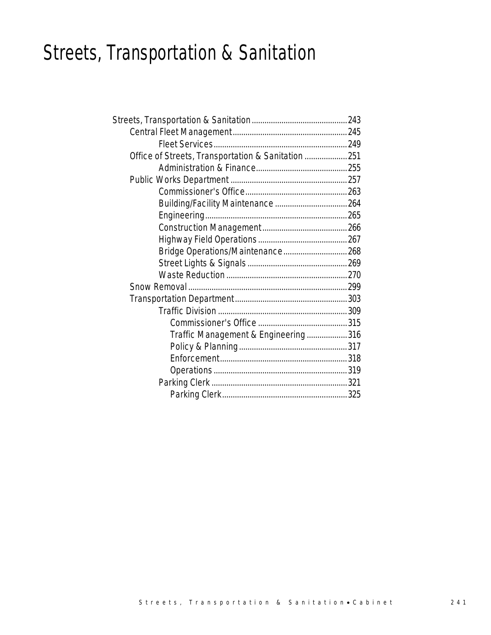# Streets, Transportation & Sanitation

| Office of Streets, Transportation & Sanitation  251 |  |
|-----------------------------------------------------|--|
|                                                     |  |
|                                                     |  |
|                                                     |  |
|                                                     |  |
|                                                     |  |
|                                                     |  |
|                                                     |  |
|                                                     |  |
|                                                     |  |
|                                                     |  |
|                                                     |  |
|                                                     |  |
|                                                     |  |
|                                                     |  |
| Traffic Management & Engineering316                 |  |
|                                                     |  |
|                                                     |  |
|                                                     |  |
|                                                     |  |
|                                                     |  |
|                                                     |  |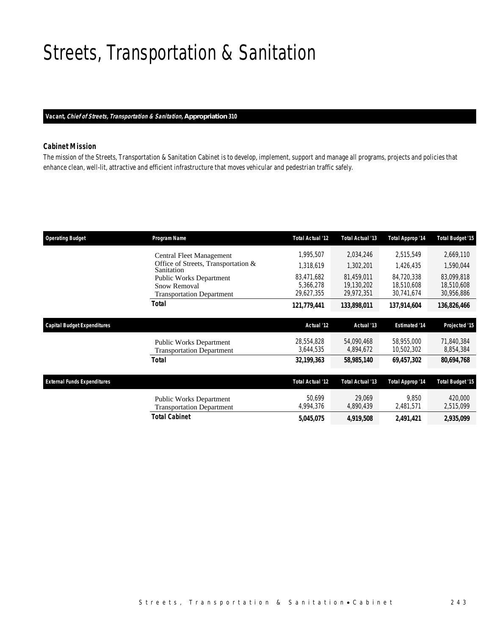# Streets, Transportation & Sanitation

#### *Vacant, Chief of Streets, Transportation & Sanitation, Appropriation 310*

# *Cabinet Mission*

The mission of the Streets, Transportation & Sanitation Cabinet is to develop, implement, support and manage all programs, projects and policies that enhance clean, well-lit, attractive and efficient infrastructure that moves vehicular and pedestrian traffic safely.

| <b>Operating Budget</b>            | Program Name                                                       | <b>Total Actual '12</b> | Total Actual '13        | Total Approp '14         | <b>Total Budget '15</b> |
|------------------------------------|--------------------------------------------------------------------|-------------------------|-------------------------|--------------------------|-------------------------|
|                                    | Central Fleet Management                                           | 1.995.507               | 2,034,246               | 2,515,549                | 2,669,110               |
|                                    | Office of Streets, Transportation &<br>Sanitation                  | 1,318,619               | 1,302,201               | 1,426,435                | 1,590,044               |
|                                    | Public Works Department                                            | 83,471,682              | 81,459,011              | 84,720,338               | 83,099,818              |
|                                    | <b>Snow Removal</b>                                                | 5,366,278               | 19,130,202              | 18,510,608               | 18,510,608              |
|                                    | <b>Transportation Department</b>                                   | 29,627,355              | 29,972,351              | 30,741,674               | 30,956,886              |
|                                    | Total                                                              | 121,779,441             | 133,898,011             | 137,914,604              | 136,826,466             |
| Capital Budget Expenditures        |                                                                    | Actual '12              | Actual '13              | <b>Estimated '14</b>     | Projected '15           |
|                                    | <b>Public Works Department</b><br><b>Transportation Department</b> | 28,554,828<br>3,644,535 | 54,090,468<br>4,894,672 | 58,955,000<br>10,502,302 | 71,840,384<br>8,854,384 |
|                                    | Total                                                              | 32,199,363              | 58,985,140              | 69,457,302               | 80,694,768              |
| <b>External Funds Expenditures</b> |                                                                    | <b>Total Actual '12</b> | Total Actual '13        | <b>Total Approp '14</b>  | <b>Total Budget '15</b> |
|                                    | <b>Public Works Department</b><br><b>Transportation Department</b> | 50.699<br>4,994,376     | 29.069<br>4,890,439     | 9.850<br>2,481,571       | 420,000<br>2,515,099    |
|                                    | <b>Total Cabinet</b>                                               | 5,045,075               | 4,919,508               | 2,491,421                | 2,935,099               |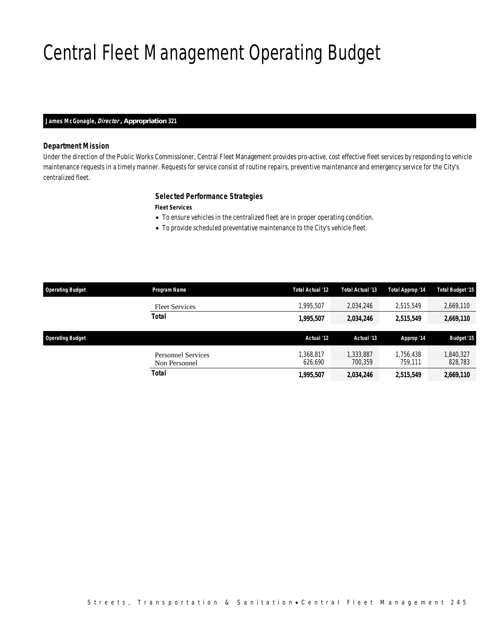# Central Fleet Management Operating Budget

#### *James McGonagle, Director , Appropriation 321*

## *Department Mission*

Under the direction of the Public Works Commissioner, Central Fleet Management provides pro-active, cost effective fleet services by responding to vehicle maintenance requests in a timely manner. Requests for service consist of routine repairs, preventive maintenance and emergency service for the City's centralized fleet.

## *Selected Performance Strategies*

*Fleet Services* 

- To ensure vehicles in the centralized fleet are in proper operating condition.
- To provide scheduled preventative maintenance to the City's vehicle fleet.

| <b>Operating Budget</b> | Program Name                               | <b>Total Actual '12</b> | Total Actual '13     | Total Approp '14     | <b>Total Budget '15</b> |
|-------------------------|--------------------------------------------|-------------------------|----------------------|----------------------|-------------------------|
|                         | <b>Fleet Services</b>                      | 1,995,507               | 2,034,246            | 2,515,549            | 2,669,110               |
|                         | <b>Total</b>                               | 1,995,507               | 2,034,246            | 2,515,549            | 2,669,110               |
| <b>Operating Budget</b> |                                            | Actual '12              | Actual '13           | Approp '14           | <b>Budget '15</b>       |
|                         |                                            |                         |                      |                      |                         |
|                         | <b>Personnel Services</b><br>Non Personnel | 1,368,817<br>626.690    | 1,333,887<br>700.359 | 1.756.438<br>759.111 | 1,840,327<br>828,783    |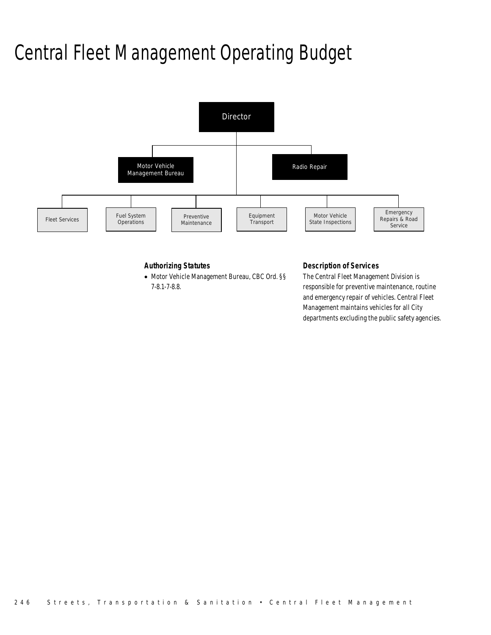# Central Fleet Management Operating Budget



## *Authorizing Statutes*

• Motor Vehicle Management Bureau, CBC Ord. §§ 7-8.1-7-8.8.

#### *Description of Services*

The Central Fleet Management Division is responsible for preventive maintenance, routine and emergency repair of vehicles. Central Fleet Management maintains vehicles for all City departments excluding the public safety agencies.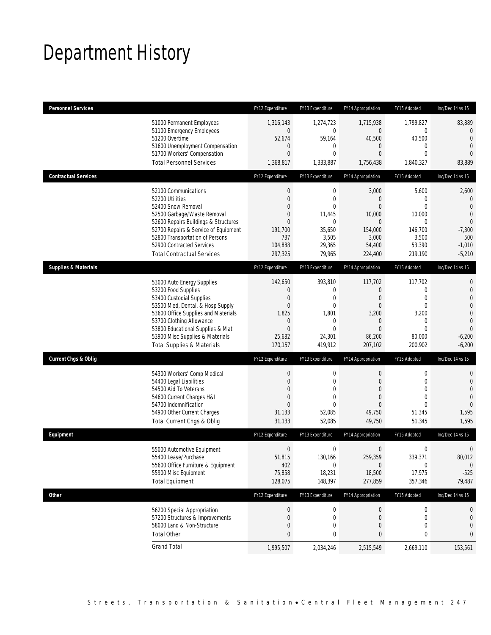# Department History

| <b>Personnel Services</b>       |                                                                                                                                                                                                                                                                                                      | FY12 Expenditure                                                                                                    | FY13 Expenditure                                                                                                   | FY14 Appropriation                                                                                         | FY15 Adopted                                                                                              | Inc/Dec 14 vs 15                                                                                                                          |
|---------------------------------|------------------------------------------------------------------------------------------------------------------------------------------------------------------------------------------------------------------------------------------------------------------------------------------------------|---------------------------------------------------------------------------------------------------------------------|--------------------------------------------------------------------------------------------------------------------|------------------------------------------------------------------------------------------------------------|-----------------------------------------------------------------------------------------------------------|-------------------------------------------------------------------------------------------------------------------------------------------|
|                                 | 51000 Permanent Employees<br>51100 Emergency Employees<br>51200 Overtime                                                                                                                                                                                                                             | 1,316,143<br>$\overline{0}$<br>52,674                                                                               | 1,274,723<br>0<br>59,164                                                                                           | 1,715,938<br>$\mathbf 0$<br>40,500                                                                         | 1,799,827<br>0<br>40,500                                                                                  | 83,889<br>$\mathbf{0}$<br>$\overline{0}$<br>$\overline{0}$                                                                                |
|                                 | 51600 Unemployment Compensation<br>51700 Workers' Compensation<br><b>Total Personnel Services</b>                                                                                                                                                                                                    | $\mathbf 0$<br>$\overline{0}$<br>1,368,817                                                                          | 0<br>$\mathbf{0}$<br>1,333,887                                                                                     | $\theta$<br>$\overline{0}$<br>1,756,438                                                                    | 0<br>$\mathbf{0}$<br>1,840,327                                                                            | $\overline{0}$<br>83,889                                                                                                                  |
| <b>Contractual Services</b>     |                                                                                                                                                                                                                                                                                                      | FY12 Expenditure                                                                                                    | FY13 Expenditure                                                                                                   | FY14 Appropriation                                                                                         | FY15 Adopted                                                                                              | Inc/Dec 14 vs 15                                                                                                                          |
|                                 | 52100 Communications<br>52200 Utilities<br>52400 Snow Removal<br>52500 Garbage/Waste Removal<br>52600 Repairs Buildings & Structures<br>52700 Repairs & Service of Equipment<br>52800 Transportation of Persons<br>52900 Contracted Services<br><b>Total Contractual Services</b>                    | $\boldsymbol{0}$<br>$\overline{0}$<br>0<br>$\overline{0}$<br>$\overline{0}$<br>191,700<br>737<br>104,888<br>297,325 | $\mathbf 0$<br>$\mathbf 0$<br>$\mathbf{0}$<br>11,445<br>$\mathbf{0}$<br>35,650<br>3,505<br>29,365<br>79,965        | 3,000<br>$\theta$<br>$\overline{0}$<br>10,000<br>$\overline{0}$<br>154,000<br>3,000<br>54,400<br>224,400   | 5,600<br>$\mathbf 0$<br>$\Omega$<br>10,000<br>$\theta$<br>146,700<br>3,500<br>53,390<br>219,190           | 2,600<br>$\theta$<br>$\overline{0}$<br>$\overline{0}$<br>$\theta$<br>$-7,300$<br>500<br>$-1,010$<br>$-5,210$                              |
| <b>Supplies &amp; Materials</b> |                                                                                                                                                                                                                                                                                                      | FY12 Expenditure                                                                                                    | FY13 Expenditure                                                                                                   | FY14 Appropriation                                                                                         | FY15 Adopted                                                                                              | Inc/Dec 14 vs 15                                                                                                                          |
|                                 | 53000 Auto Energy Supplies<br>53200 Food Supplies<br>53400 Custodial Supplies<br>53500 Med, Dental, & Hosp Supply<br>53600 Office Supplies and Materials<br>53700 Clothing Allowance<br>53800 Educational Supplies & Mat<br>53900 Misc Supplies & Materials<br><b>Total Supplies &amp; Materials</b> | 142,650<br>0<br>$\mathbf 0$<br>$\mathbf{0}$<br>1,825<br>0<br>$\overline{0}$<br>25,682<br>170,157                    | 393,810<br>$\mathbf 0$<br>$\mathbf 0$<br>$\mathbf{0}$<br>1,801<br>$\mathbf 0$<br>$\mathbf{0}$<br>24,301<br>419,912 | 117,702<br>$\theta$<br>$\theta$<br>$\mathbf 0$<br>3,200<br>$\theta$<br>$\overline{0}$<br>86,200<br>207,102 | 117,702<br>$\mathbf 0$<br>$\overline{0}$<br>$\overline{0}$<br>3,200<br>0<br>$\Omega$<br>80,000<br>200,902 | $\mathbf{0}$<br>$\mathbf{0}$<br>$\overline{0}$<br>$\mathbf{0}$<br>$\mathbf 0$<br>$\overline{0}$<br>$\overline{0}$<br>$-6,200$<br>$-6,200$ |
| <b>Current Chgs &amp; Oblig</b> |                                                                                                                                                                                                                                                                                                      | FY12 Expenditure                                                                                                    | FY13 Expenditure                                                                                                   | FY14 Appropriation                                                                                         | FY15 Adopted                                                                                              | Inc/Dec 14 vs 15                                                                                                                          |
|                                 | 54300 Workers' Comp Medical<br>54400 Legal Liabilities<br>54500 Aid To Veterans<br>54600 Current Charges H&I<br>54700 Indemnification<br>54900 Other Current Charges<br>Total Current Chgs & Oblig                                                                                                   | $\boldsymbol{0}$<br>$\overline{0}$<br>$\Omega$<br>$\overline{0}$<br>$\Omega$<br>31,133<br>31,133                    | 0<br>$\mathbf{0}$<br>$\Omega$<br>$\mathbf{0}$<br>$\Omega$<br>52,085<br>52,085                                      | $\theta$<br>$\overline{0}$<br>$\theta$<br>$\theta$<br>$\overline{0}$<br>49,750<br>49,750                   | 0<br>$\mathbf{0}$<br>$\Omega$<br>$\mathbf{0}$<br>$\Omega$<br>51,345<br>51,345                             | $\mathbf 0$<br>$\mathbf 0$<br>$\overline{0}$<br>$\overline{0}$<br>$\overline{0}$<br>1,595<br>1,595                                        |
| Equipment                       |                                                                                                                                                                                                                                                                                                      | FY12 Expenditure                                                                                                    | FY13 Expenditure                                                                                                   | FY14 Appropriation                                                                                         | FY15 Adopted                                                                                              | Inc/Dec 14 vs 15                                                                                                                          |
|                                 | 55000 Automotive Equipment<br>55400 Lease/Purchase<br>55600 Office Furniture & Equipment<br>55900 Misc Equipment<br><b>Total Equipment</b>                                                                                                                                                           | $\boldsymbol{0}$<br>51,815<br>402<br>75,858<br>128,075                                                              | 0<br>130,166<br>0<br>18,231<br>148,397                                                                             | $\mathbf{0}$<br>259,359<br>$\mathbf 0$<br>18,500<br>277,859                                                | 0<br>339,371<br>0<br>17,975<br>357,346                                                                    | $\mathbf 0$<br>80,012<br>$\theta$<br>$-525$<br>79,487                                                                                     |
| Other                           |                                                                                                                                                                                                                                                                                                      | FY12 Expenditure                                                                                                    | FY13 Expenditure                                                                                                   | FY14 Appropriation                                                                                         | FY15 Adopted                                                                                              | Inc/Dec 14 vs 15                                                                                                                          |
|                                 | 56200 Special Appropriation<br>57200 Structures & Improvements<br>58000 Land & Non-Structure<br><b>Total Other</b>                                                                                                                                                                                   | $\boldsymbol{0}$<br>0<br>0<br>0                                                                                     | 0<br>0<br>$\mathbf{0}$<br>0                                                                                        | $\boldsymbol{0}$<br>$\theta$<br>$\overline{0}$<br>0                                                        | 0<br>0<br>$\mathbf{0}$<br>0                                                                               | 0<br>0<br>0<br>0                                                                                                                          |
|                                 | <b>Grand Total</b>                                                                                                                                                                                                                                                                                   | 1,995,507                                                                                                           | 2,034,246                                                                                                          | 2,515,549                                                                                                  | 2,669,110                                                                                                 | 153,561                                                                                                                                   |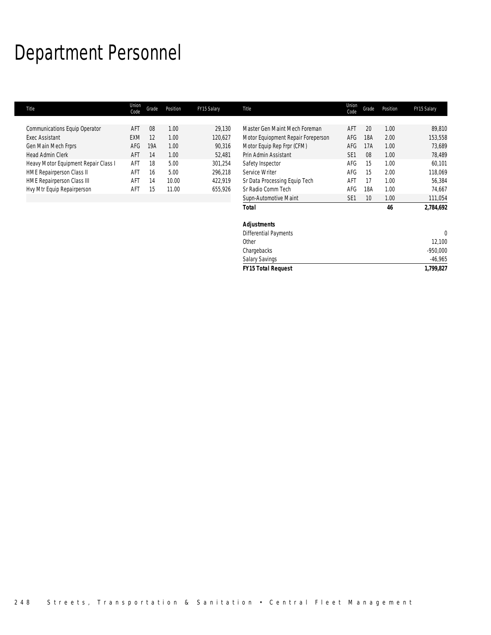# Department Personnel

| Title                                | Union<br>Code | Grade | Position | FY15 Salary | Title                              | Union<br>Code   | Grade | Position | FY15 Salary  |
|--------------------------------------|---------------|-------|----------|-------------|------------------------------------|-----------------|-------|----------|--------------|
|                                      |               |       |          |             |                                    |                 |       |          |              |
| <b>Communications Equip Operator</b> | AFT           | 08    | 1.00     | 29,130      | Master Gen Maint Mech Foreman      | AFT             | 20    | 1.00     | 89,810       |
| <b>Exec Assistant</b>                | EXM           | 12    | 1.00     | 120,627     | Motor Equiopment Repair Foreperson | AFG             | 18A   | 2.00     | 153,558      |
| Gen Main Mech Frprs                  | AFG           | 19A   | 1.00     | 90,316      | Motor Equip Rep Frpr (CFM)         | AFG             | 17A   | 1.00     | 73,689       |
| <b>Head Admin Clerk</b>              | AFT           | 14    | 1.00     | 52,481      | Prin Admin Assistant               | SE <sub>1</sub> | 08    | 1.00     | 78,489       |
| Heavy Motor Equipment Repair Class I | AFT           | 18    | 5.00     | 301,254     | Safety Inspector                   | AFG             | 15    | 1.00     | 60,101       |
| <b>HME Repairperson Class II</b>     | AFT           | 16    | 5.00     | 296,218     | Service Writer                     | AFG             | 15    | 2.00     | 118,069      |
| <b>HME Repairperson Class III</b>    | AFT           | 14    | 10.00    | 422,919     | Sr Data Processing Equip Tech      | AFT             | 17    | 1.00     | 56,384       |
| Hvy Mtr Equip Repairperson           | <b>AFT</b>    | 15    | 11.00    | 655,926     | Sr Radio Comm Tech                 | AFG             | 18A   | 1.00     | 74,667       |
|                                      |               |       |          |             | Supn-Automotive Maint              | SE <sub>1</sub> | 10    | 1.00     | 111,054      |
|                                      |               |       |          |             | <b>Total</b>                       |                 |       | 46       | 2,784,692    |
|                                      |               |       |          |             | <b>Adjustments</b>                 |                 |       |          |              |
|                                      |               |       |          |             | <b>Differential Payments</b>       |                 |       |          | $\mathbf{0}$ |
|                                      |               |       |          |             | Other                              |                 |       |          | 12,100       |
|                                      |               |       |          |             | Chargebacks                        |                 |       |          | $-950,000$   |
|                                      |               |       |          |             |                                    |                 |       |          |              |

Salary Savings -46,965 *FY15 Total Request 1,799,827*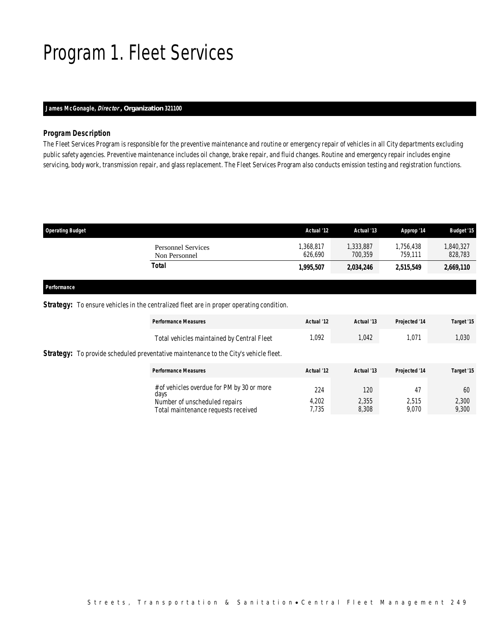# Program 1. Fleet Services

# *James McGonagle, Director , Organization 321100*

#### *Program Description*

The Fleet Services Program is responsible for the preventive maintenance and routine or emergency repair of vehicles in all City departments excluding public safety agencies. Preventive maintenance includes oil change, brake repair, and fluid changes. Routine and emergency repair includes engine servicing, body work, transmission repair, and glass replacement. The Fleet Services Program also conducts emission testing and registration functions.

| <b>Operating Budget</b>                    | Actual '12          | Actual '13           | Approp '14           | <b>Budget '15</b>   |
|--------------------------------------------|---------------------|----------------------|----------------------|---------------------|
| <b>Personnel Services</b><br>Non Personnel | ,368,817<br>626.690 | 1,333,887<br>700.359 | 1,756,438<br>759.111 | ,840,327<br>828,783 |
| Total                                      | 1,995,507           | 2,034,246            | 2,515,549            | 2,669,110           |
|                                            |                     |                      |                      |                     |

# *Performance*

*Strategy:* To ensure vehicles in the centralized fleet are in proper operating condition.

| <b>Performance Measures</b>                                                                 | Actual '12     | Actual '13     | Projected '14  | Target '15     |
|---------------------------------------------------------------------------------------------|----------------|----------------|----------------|----------------|
| Total vehicles maintained by Central Fleet                                                  | 1,092          | 042. ا         | 1.071          | 1,030          |
| <b>Strategy:</b> To provide scheduled preventative maintenance to the City's vehicle fleet. |                |                |                |                |
| <b>Performance Measures</b>                                                                 | Actual '12     | Actual '13     | Projected '14  | Target '15     |
| # of vehicles overdue for PM by 30 or more<br>days                                          | 224            | 120            | 47             | 60             |
| Number of unscheduled repairs<br>Total maintenance requests received                        | 4.202<br>7.735 | 2,355<br>8,308 | 2.515<br>9.070 | 2.300<br>9,300 |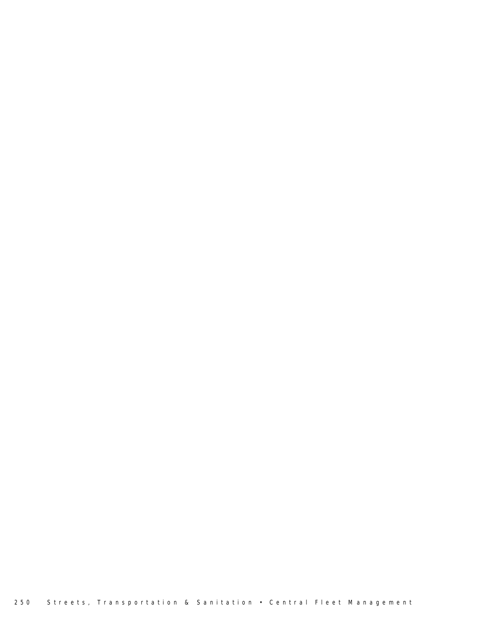250 Streets, Transportation & Sanita tion • Central Fleet Management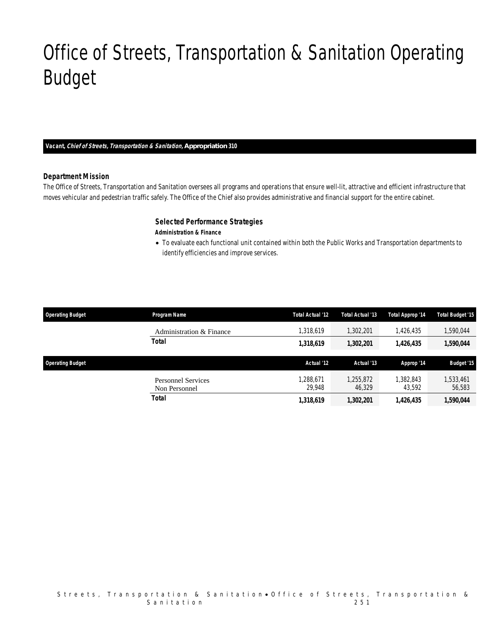# Office of Streets, Transportation & Sanitation Operating Budget

*Vacant, Chief of Streets, Transportation & Sanitation, Appropriation 310* 

# *Department Mission*

Office of Streets, Transportation & Sanitation

The Office of Streets, Transportation and Sanitation oversees all programs and operations that ensure well-lit, attractive and efficient infrastructure that moves vehicular and pedestrian traffic safely. The Office of the Chief also provides administrative and financial support for the entire cabinet.

### *Selected Performance Strategies*

*Administration & Finance* 

• To evaluate each functional unit contained within both the Public Works and Transportation departments to identify efficiencies and improve services.

| <b>Operating Budget</b> | Program Name                               | Total Actual '12    | Total Actual '13    | Total Approp '14    | <b>Total Budget '15</b> |
|-------------------------|--------------------------------------------|---------------------|---------------------|---------------------|-------------------------|
|                         | Administration & Finance                   | 1,318,619           | 1,302,201           | 1,426,435           | 1,590,044               |
|                         | <b>Total</b>                               | 1,318,619           | 1,302,201           | 1,426,435           | 1,590,044               |
|                         |                                            |                     |                     |                     |                         |
| <b>Operating Budget</b> |                                            | Actual '12          | Actual '13          | Approp '14          | <b>Budget '15</b>       |
|                         | <b>Personnel Services</b><br>Non Personnel | 1,288,671<br>29,948 | 1,255,872<br>46,329 | 1,382,843<br>43,592 | 1,533,461<br>56,583     |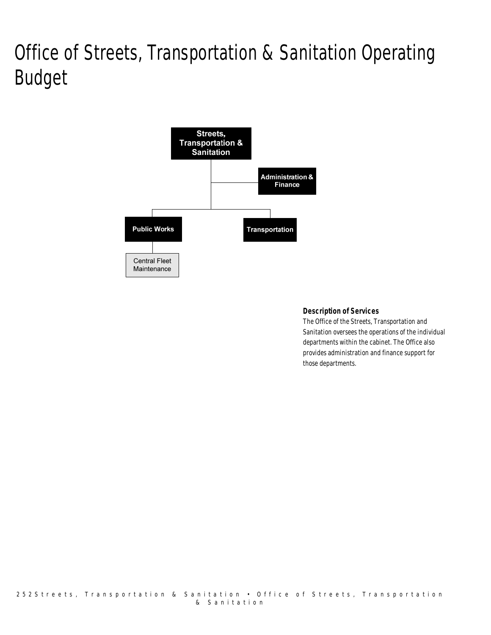# Office of Streets, Transportation & Sanitation Operating Budget



## *Description of Services*

The Office of the Streets, Transportation and Sanitation oversees the operations of the individual departments within the cabinet. The Office also provides administration and finance support for those departments.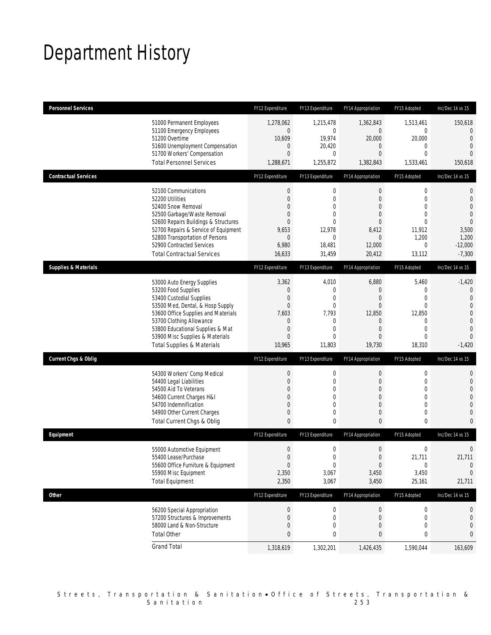# Department History

| <b>Personnel Services</b>       |                                                                                                                                                                                                                                                                                                      | FY12 Expenditure                                                                                                            | FY13 Expenditure                                                                                                     | FY14 Appropriation                                                                                                                                   | FY15 Adopted                                                                                                                            | Inc/Dec 14 vs 15                                                                                                                             |
|---------------------------------|------------------------------------------------------------------------------------------------------------------------------------------------------------------------------------------------------------------------------------------------------------------------------------------------------|-----------------------------------------------------------------------------------------------------------------------------|----------------------------------------------------------------------------------------------------------------------|------------------------------------------------------------------------------------------------------------------------------------------------------|-----------------------------------------------------------------------------------------------------------------------------------------|----------------------------------------------------------------------------------------------------------------------------------------------|
|                                 | 51000 Permanent Employees<br>51100 Emergency Employees<br>51200 Overtime<br>51600 Unemployment Compensation                                                                                                                                                                                          | 1,278,062<br>$\mathbf 0$<br>10,609<br>$\mathbf 0$                                                                           | 1,215,478<br>0<br>19,974<br>20,420                                                                                   | 1,362,843<br>$\mathbf 0$<br>20,000<br>$\theta$                                                                                                       | 1,513,461<br>$\mathbf{0}$<br>20,000<br>$\mathbf{0}$                                                                                     | 150,618<br>$\mathbf 0$<br>$\overline{0}$<br>$\mathbf{0}$                                                                                     |
|                                 | 51700 Workers' Compensation<br><b>Total Personnel Services</b>                                                                                                                                                                                                                                       | $\overline{0}$<br>1,288,671                                                                                                 | 0<br>1,255,872                                                                                                       | $\overline{0}$<br>1,382,843                                                                                                                          | $\mathbf{0}$<br>1,533,461                                                                                                               | $\theta$<br>150,618                                                                                                                          |
| <b>Contractual Services</b>     |                                                                                                                                                                                                                                                                                                      | FY12 Expenditure                                                                                                            | FY13 Expenditure                                                                                                     | FY14 Appropriation                                                                                                                                   | FY15 Adopted                                                                                                                            | Inc/Dec 14 vs 15                                                                                                                             |
|                                 | 52100 Communications<br>52200 Utilities<br>52400 Snow Removal<br>52500 Garbage/Waste Removal<br>52600 Repairs Buildings & Structures<br>52700 Repairs & Service of Equipment<br>52800 Transportation of Persons<br>52900 Contracted Services                                                         | $\boldsymbol{0}$<br>0<br>$\overline{0}$<br>0<br>$\overline{0}$<br>9,653<br>$\mathbf 0$<br>6,980                             | $\mathbf 0$<br>$\mathbf 0$<br>$\mathbf{0}$<br>$\mathbf 0$<br>$\mathbf{0}$<br>12,978<br>$\mathbf{0}$<br>18,481        | $\boldsymbol{0}$<br>$\mathbf{0}$<br>$\mathbf{0}$<br>$\mathbf{0}$<br>$\overline{0}$<br>8,412<br>$\overline{0}$<br>12,000                              | $\mathbf 0$<br>$\mathbf{0}$<br>$\overline{0}$<br>$\mathbf{0}$<br>$\mathbf{0}$<br>11,912<br>1,200<br>$\mathbf 0$                         | 0<br>$\mathbf 0$<br>$\boldsymbol{0}$<br>$\mathbf{0}$<br>$\mathbf 0$<br>3,500<br>1,200<br>$-12,000$                                           |
|                                 | <b>Total Contractual Services</b>                                                                                                                                                                                                                                                                    | 16,633                                                                                                                      | 31,459                                                                                                               | 20,412                                                                                                                                               | 13,112                                                                                                                                  | $-7,300$                                                                                                                                     |
| <b>Supplies &amp; Materials</b> | 53000 Auto Energy Supplies<br>53200 Food Supplies<br>53400 Custodial Supplies<br>53500 Med, Dental, & Hosp Supply<br>53600 Office Supplies and Materials<br>53700 Clothing Allowance<br>53800 Educational Supplies & Mat<br>53900 Misc Supplies & Materials<br><b>Total Supplies &amp; Materials</b> | FY12 Expenditure<br>3,362<br>$\mathbf 0$<br>$\overline{0}$<br>0<br>7,603<br>0<br>$\overline{0}$<br>$\overline{0}$<br>10,965 | FY13 Expenditure<br>4,010<br>$\mathbf 0$<br>$\mathbf{0}$<br>0<br>7,793<br>0<br>$\mathbf 0$<br>$\mathbf{0}$<br>11,803 | FY14 Appropriation<br>6,880<br>$\boldsymbol{0}$<br>$\mathbf{0}$<br>$\overline{0}$<br>12,850<br>$\mathbf 0$<br>$\mathbf{0}$<br>$\mathbf{0}$<br>19,730 | FY15 Adopted<br>5,460<br>$\mathbf 0$<br>$\mathbf{0}$<br>$\mathbf{0}$<br>12,850<br>$\mathbf 0$<br>$\mathbf{0}$<br>$\mathbf{0}$<br>18,310 | Inc/Dec 14 vs 15<br>$-1,420$<br>$\theta$<br>$\mathbf{0}$<br>$\theta$<br>$\boldsymbol{0}$<br>$\mathbf{0}$<br>$\theta$<br>$\theta$<br>$-1,420$ |
| <b>Current Chgs &amp; Oblig</b> |                                                                                                                                                                                                                                                                                                      | FY12 Expenditure                                                                                                            | FY13 Expenditure                                                                                                     | FY14 Appropriation                                                                                                                                   | FY15 Adopted                                                                                                                            | Inc/Dec 14 vs 15                                                                                                                             |
|                                 | 54300 Workers' Comp Medical<br>54400 Legal Liabilities<br>54500 Aid To Veterans<br>54600 Current Charges H&I<br>54700 Indemnification<br>54900 Other Current Charges<br>Total Current Chgs & Oblig                                                                                                   | $\boldsymbol{0}$<br>0<br>$\overline{0}$<br>0<br>0<br>0<br>0                                                                 | $\mathbf 0$<br>$\mathbf{0}$<br>$\mathbf{0}$<br>$\mathbf{0}$<br>$\mathbf{0}$<br>$\mathbf{0}$<br>0                     | $\boldsymbol{0}$<br>$\mathbf{0}$<br>$\mathbf{0}$<br>$\mathbf{0}$<br>$\mathbf{0}$<br>$\mathbf 0$<br>$\mathbf{0}$                                      | $\mathbf 0$<br>$\mathbf{0}$<br>$\mathbf{0}$<br>$\mathbf{0}$<br>$\mathbf{0}$<br>$\mathbf 0$<br>$\mathbf 0$                               | $\mathbf 0$<br>$\mathbf 0$<br>$\mathbf{0}$<br>$\boldsymbol{0}$<br>$\mathbf 0$<br>$\mathbf 0$<br>$\mathbf{0}$                                 |
| Equipment                       |                                                                                                                                                                                                                                                                                                      | FY12 Expenditure                                                                                                            | FY13 Expenditure                                                                                                     | FY14 Appropriation                                                                                                                                   | FY15 Adopted                                                                                                                            | Inc/Dec 14 vs 15                                                                                                                             |
|                                 | 55000 Automotive Equipment<br>55400 Lease/Purchase<br>55600 Office Furniture & Equipment<br>55900 Misc Equipment<br><b>Total Equipment</b>                                                                                                                                                           | $\mathbf 0$<br>$\boldsymbol{0}$<br>$\boldsymbol{0}$<br>2,350<br>2,350                                                       | $\mathbf 0$<br>$\boldsymbol{0}$<br>$\boldsymbol{0}$<br>3,067<br>3,067                                                | $\boldsymbol{0}$<br>$\boldsymbol{0}$<br>$\boldsymbol{0}$<br>3,450<br>3,450                                                                           | $\mathbf 0$<br>21,711<br>$\mathbf 0$<br>3,450<br>25,161                                                                                 | $\mathbf 0$<br>21,711<br>$\mathbf 0$<br>$\mathbf 0$<br>21,711                                                                                |
| Other                           |                                                                                                                                                                                                                                                                                                      | FY12 Expenditure                                                                                                            | FY13 Expenditure                                                                                                     | FY14 Appropriation                                                                                                                                   | FY15 Adopted                                                                                                                            | Inc/Dec 14 vs 15                                                                                                                             |
|                                 | 56200 Special Appropriation<br>57200 Structures & Improvements<br>58000 Land & Non-Structure<br><b>Total Other</b>                                                                                                                                                                                   | $\boldsymbol{0}$<br>$\mathbf 0$<br>0<br>0                                                                                   | $\boldsymbol{0}$<br>$\boldsymbol{0}$<br>0<br>0                                                                       | $\boldsymbol{0}$<br>$\boldsymbol{0}$<br>$\theta$<br>$\pmb{0}$                                                                                        | 0<br>$\mathbf 0$<br>0<br>0                                                                                                              | 0<br>$\mathbf 0$<br>0<br>0                                                                                                                   |
|                                 | <b>Grand Total</b>                                                                                                                                                                                                                                                                                   | 1,318,619                                                                                                                   | 1,302,201                                                                                                            | 1,426,435                                                                                                                                            | 1,590,044                                                                                                                               | 163,609                                                                                                                                      |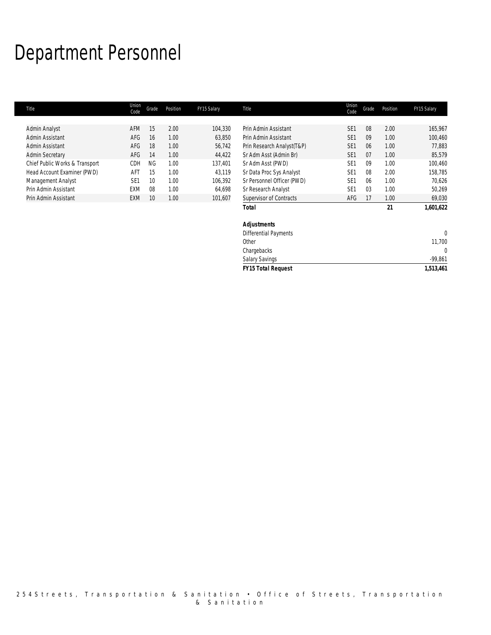# Department Personnel

L

| Title                          | Union<br>Code   | Grade           | Position | FY15 Salary | Title                      | Union<br>Code   | Grade | Position | FY15 Salary |
|--------------------------------|-----------------|-----------------|----------|-------------|----------------------------|-----------------|-------|----------|-------------|
|                                |                 |                 |          |             |                            |                 |       |          |             |
| Admin Analyst                  | AFM             | 15              | 2.00     | 104,330     | Prin Admin Assistant       | SE <sub>1</sub> | 08    | 2.00     | 165,967     |
| Admin Assistant                | AFG             | 16              | 1.00     | 63,850      | Prin Admin Assistant       | SE <sub>1</sub> | 09    | 1.00     | 100,460     |
| Admin Assistant                | AFG             | 18              | 1.00     | 56,742      | Prin Research Analyst(T&P) | SE <sub>1</sub> | 06    | 1.00     | 77,883      |
| <b>Admin Secretary</b>         | AFG             | 14              | 1.00     | 44,422      | Sr Adm Asst (Admin Br)     | SE <sub>1</sub> | 07    | 1.00     | 85,579      |
| Chief Public Works & Transport | CDH             | <b>NG</b>       | 1.00     | 137,401     | Sr Adm Asst (PWD)          | SE <sub>1</sub> | 09    | 1.00     | 100,460     |
| Head Account Examiner (PWD)    | AFT             | 15              | 1.00     | 43,119      | Sr Data Proc Sys Analyst   | SE <sub>1</sub> | 08    | 2.00     | 158,785     |
| Management Analyst             | SE <sub>1</sub> | 10              | 1.00     | 106,392     | Sr Personnel Officer (PWD) | SE <sub>1</sub> | 06    | 1.00     | 70,626      |
| Prin Admin Assistant           | EXM             | 08              | 1.00     | 64,698      | Sr Research Analyst        | SE <sub>1</sub> | 03    | 1.00     | 50,269      |
| Prin Admin Assistant           | EXM             | 10 <sup>°</sup> | 1.00     | 101,607     | Supervisor of Contracts    | AFG             | 17    | 1.00     | 69,030      |
|                                |                 |                 |          |             | <b>Total</b>               |                 |       | 21       | 1,601,622   |
|                                |                 |                 |          |             | <b>Adjustments</b>         |                 |       |          |             |
|                                |                 |                 |          |             | Differential Payments      |                 |       |          | $\theta$    |
|                                |                 |                 |          |             | Other                      |                 |       |          | 11,700      |
|                                |                 |                 |          |             | Chargebacks                |                 |       |          | 0           |
|                                |                 |                 |          |             | <b>Salary Savings</b>      |                 |       |          | $-99,861$   |

*FY15 Total Request 1,513,461*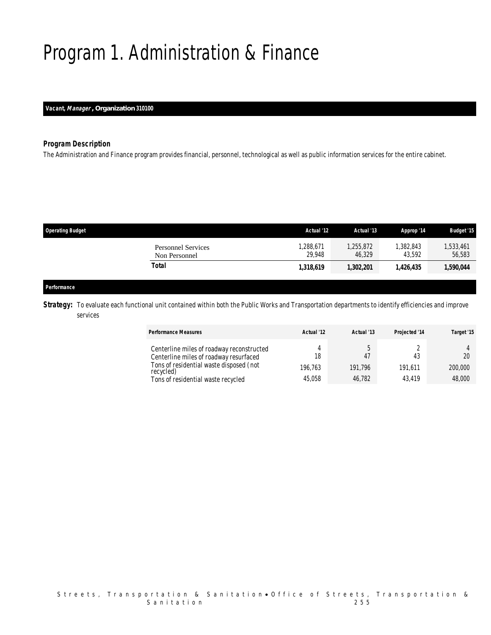# Program 1. Administration & Finance

## *Vacant, Manager , Organization 310100*

## *Program Description*

The Administration and Finance program provides financial, personnel, technological as well as public information services for the entire cabinet.

| <b>Operating Budget</b>                    | Actual '12         | Actual '13          | Approp '14        | <b>Budget '15</b>   |
|--------------------------------------------|--------------------|---------------------|-------------------|---------------------|
| <b>Personnel Services</b><br>Non Personnel | ,288,671<br>29.948 | 1,255,872<br>46.329 | 382,843<br>43.592 | 1,533,461<br>56,583 |
| Total                                      | 1,318,619          | 1,302,201           | 1.426.435         | 1,590,044           |
|                                            |                    |                     |                   |                     |

#### *Performance*

**Strategy:** To evaluate each functional unit contained within both the Public Works and Transportation departments to identify efficiencies and improve services

| <b>Performance Measures</b>                                                         | Actual '12 | Actual '13 | Projected '14 | Target '15 |
|-------------------------------------------------------------------------------------|------------|------------|---------------|------------|
| Centerline miles of roadway reconstructed<br>Centerline miles of roadway resurfaced | 18         | h<br>47    | 43            |            |
| Tons of residential waste disposed (not)<br>recycled)                               | 196.763    | 191.796    | 191.611       | 200,000    |
| Tons of residential waste recycled                                                  | 45.058     | 46.782     | 43.419        | 48,000     |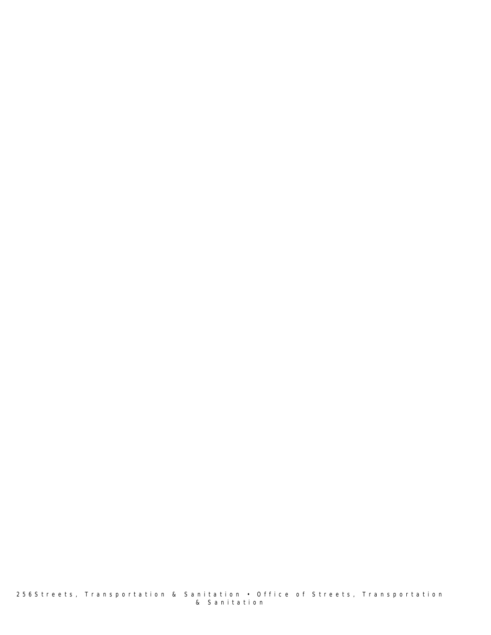256Streets, Transportation & Sanitation • Office of Streets, Transportation & Sanitation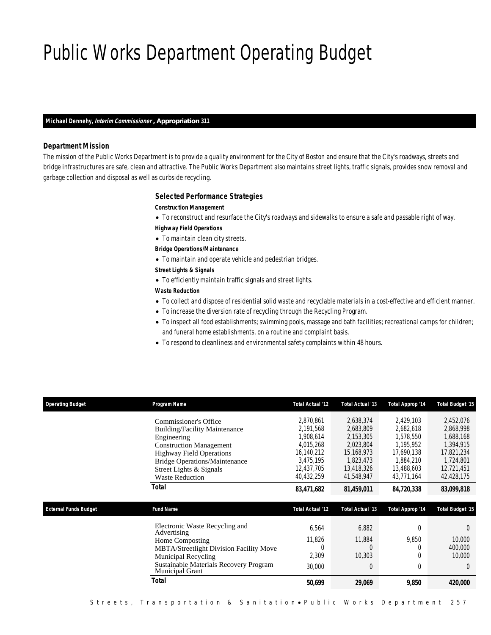# Public Works Department Operating Budget

#### *Michael Dennehy, Interim Commissioner , Appropriation 311*

## *Department Mission*

The mission of the Public Works Department is to provide a quality environment for the City of Boston and ensure that the City's roadways, streets and bridge infrastructures are safe, clean and attractive. The Public Works Department also maintains street lights, traffic signals, provides snow removal and garbage collection and disposal as well as curbside recycling.

#### *Selected Performance Strategies*

#### *Construction Management*

- To reconstruct and resurface the City's roadways and sidewalks to ensure a safe and passable right of way.
- *Highway Field Operations*
- To maintain clean city streets.
- *Bridge Operations/Maintenance*
- To maintain and operate vehicle and pedestrian bridges.

### *Street Lights & Signals*

• To efficiently maintain traffic signals and street lights.

*Waste Reduction* 

- To collect and dispose of residential solid waste and recyclable materials in a cost-effective and efficient manner.
- To increase the diversion rate of recycling through the Recycling Program.
- To inspect all food establishments; swimming pools, massage and bath facilities; recreational camps for children; and funeral home establishments, on a routine and complaint basis.
- To respond to cleanliness and environmental safety complaints within 48 hours.

| <b>Operating Budget</b>      | Program Name                                                     | <b>Total Actual '12</b> | Total Actual '13 | Total Approp '14 | <b>Total Budget '15</b> |
|------------------------------|------------------------------------------------------------------|-------------------------|------------------|------------------|-------------------------|
|                              | Commissioner's Office                                            | 2,870,861               | 2,638,374        | 2.429.103        | 2,452,076               |
|                              | <b>Building/Facility Maintenance</b>                             | 2,191,568               | 2,683,809        | 2,682,618        | 2,868,998               |
|                              | Engineering                                                      | 1,908,614               | 2,153,305        | 1,578,550        | 1,688,168               |
|                              | <b>Construction Management</b>                                   | 4,015,268               | 2,023,804        | 1,195,952        | 1,394,915               |
|                              | <b>Highway Field Operations</b>                                  | 16,140,212              | 15,168,973       | 17,690,138       | 17,821,234              |
|                              | <b>Bridge Operations/Maintenance</b>                             | 3,475,195               | 1,823,473        | 1,884,210        | 1,724,801               |
|                              | Street Lights & Signals                                          | 12,437,705              | 13,418,326       | 13,488,603       | 12,721,451              |
|                              | <b>Waste Reduction</b>                                           | 40,432,259              | 41,548,947       | 43,771,164       | 42,428,175              |
|                              | Total                                                            | 83,471,682              | 81,459,011       | 84,720,338       | 83,099,818              |
| <b>External Funds Budget</b> | <b>Fund Name</b>                                                 | Total Actual '12        | Total Actual '13 | Total Approp '14 | <b>Total Budget '15</b> |
|                              |                                                                  |                         |                  |                  |                         |
|                              | Electronic Waste Recycling and<br>Advertising                    | 6,564                   | 6,882            | 0                | $\Omega$                |
|                              | Home Composting                                                  | 11,826                  | 11,884           | 9,850            | 10,000                  |
|                              | <b>MBTA/Streetlight Division Facility Move</b>                   | $\Omega$                | C                | 0                | 400,000                 |
|                              | <b>Municipal Recycling</b>                                       | 2,309                   | 10,303           |                  | 10,000                  |
|                              |                                                                  |                         |                  |                  |                         |
|                              | Sustainable Materials Recovery Program<br><b>Municipal Grant</b> | 30,000                  | $\overline{0}$   | 0                | $\theta$                |
|                              | <b>Total</b>                                                     | 50,699                  | 29,069           | 9,850            | 420,000                 |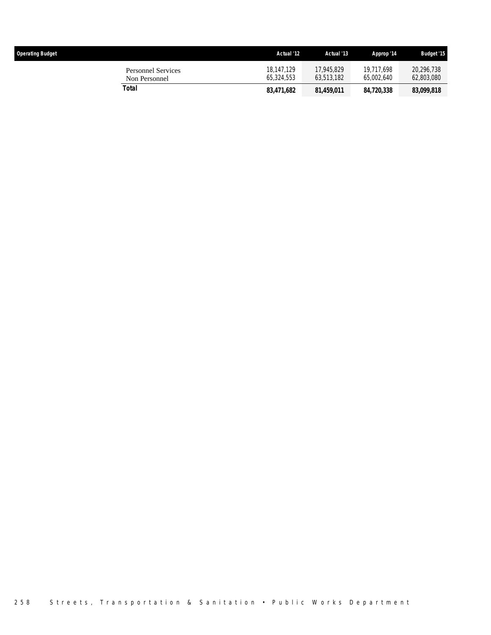| <b>Operating Budget</b>             | Actual '12               | Actual '13               | Approp '14               | <b>Budget '15</b>        |
|-------------------------------------|--------------------------|--------------------------|--------------------------|--------------------------|
| Personnel Services<br>Non Personnel | 18.147.129<br>65.324.553 | 17.945.829<br>63.513.182 | 19.717.698<br>65.002.640 | 20.296.738<br>62,803,080 |
| Total                               | 83,471,682               | 81,459,011               | 84,720,338               | 83,099,818               |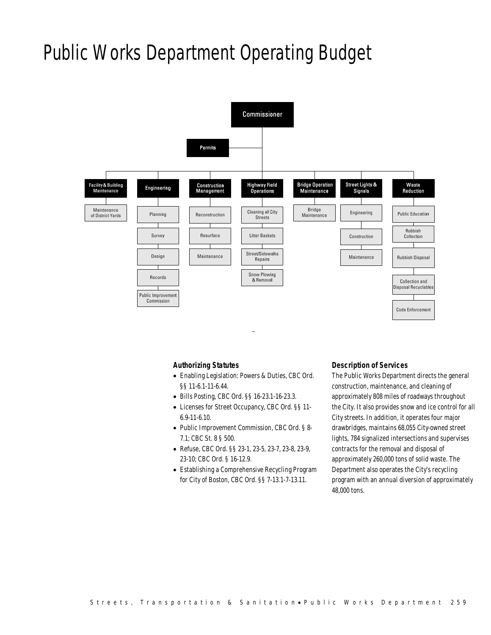# Public Works Department Operating Budget



### *Authorizing Statutes*

- Enabling Legislation: Powers & Duties, CBC Ord. §§ 11-6.1-11-6.44.
- Bills Posting, CBC Ord. §§ 16-23.1-16-23.3.
- Licenses for Street Occupancy, CBC Ord. §§ 11- 6.9-11-6.10.
- Public Improvement Commission, CBC Ord. § 8- 7.1; CBC St. 8 § 500.
- Refuse, CBC Ord. §§ 23-1, 23-5, 23-7, 23-8, 23-9, 23-10; CBC Ord. § 16-12.9.
- Establishing a Comprehensive Recycling Program for City of Boston, CBC Ord. §§ 7-13.1-7-13.11.

### *Description of Services*

The Public Works Department directs the general construction, maintenance, and cleaning of approximately 808 miles of roadways throughout the City. It also provides snow and ice control for all City streets. In addition, it operates four major drawbridges, maintains 68,055 City-owned street lights, 784 signalized intersections and supervises contracts for the removal and disposal of approximately 260,000 tons of solid waste. The Department also operates the City's recycling program with an annual diversion of approximately 48,000 tons.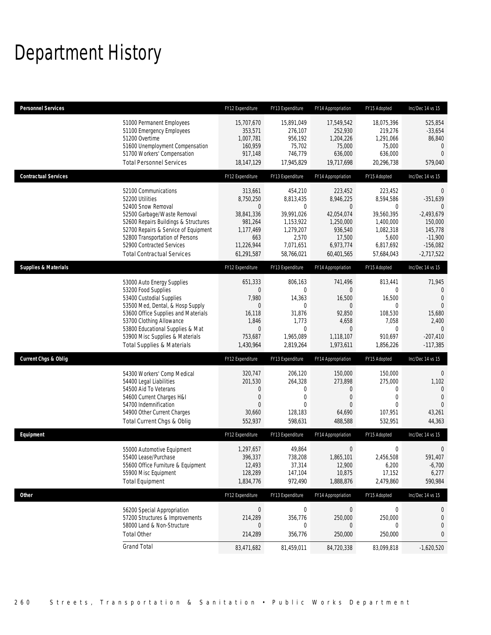# Department History

| <b>Personnel Services</b>       |                                                                                                                                                                                                                                                                                                      | FY12 Expenditure                                                                                                | FY13 Expenditure                                                                                                 | FY14 Appropriation                                                                                               | FY15 Adopted                                                                                                     | Inc/Dec 14 vs 15                                                                                                        |
|---------------------------------|------------------------------------------------------------------------------------------------------------------------------------------------------------------------------------------------------------------------------------------------------------------------------------------------------|-----------------------------------------------------------------------------------------------------------------|------------------------------------------------------------------------------------------------------------------|------------------------------------------------------------------------------------------------------------------|------------------------------------------------------------------------------------------------------------------|-------------------------------------------------------------------------------------------------------------------------|
|                                 | 51000 Permanent Employees<br>51100 Emergency Employees<br>51200 Overtime<br>51600 Unemployment Compensation<br>51700 Workers' Compensation<br><b>Total Personnel Services</b>                                                                                                                        | 15,707,670<br>353,571<br>1,007,781<br>160,959<br>917,148<br>18,147,129                                          | 15,891,049<br>276,107<br>956,192<br>75,702<br>746,779<br>17,945,829                                              | 17,549,542<br>252,930<br>1,204,226<br>75,000<br>636,000<br>19,717,698                                            | 18,075,396<br>219,276<br>1,291,066<br>75,000<br>636,000<br>20,296,738                                            | 525,854<br>$-33,654$<br>86,840<br>$\mathbf{0}$<br>$\Omega$<br>579,040                                                   |
| <b>Contractual Services</b>     |                                                                                                                                                                                                                                                                                                      | FY12 Expenditure                                                                                                | FY13 Expenditure                                                                                                 | FY14 Appropriation                                                                                               | FY15 Adopted                                                                                                     | Inc/Dec 14 vs 15                                                                                                        |
|                                 | 52100 Communications<br>52200 Utilities<br>52400 Snow Removal<br>52500 Garbage/Waste Removal<br>52600 Repairs Buildings & Structures<br>52700 Repairs & Service of Equipment<br>52800 Transportation of Persons<br>52900 Contracted Services<br><b>Total Contractual Services</b>                    | 313,661<br>8,750,250<br>$\overline{0}$<br>38,841,336<br>981,264<br>1,177,469<br>663<br>11,226,944<br>61,291,587 | 454,210<br>8,813,435<br>$\mathbf{0}$<br>39,991,026<br>1,153,922<br>1,279,207<br>2,570<br>7,071,651<br>58,766,021 | 223,452<br>8,946,225<br>$\theta$<br>42,054,074<br>1,250,000<br>936,540<br>17,500<br>6,973,774<br>60,401,565      | 223,452<br>8,594,586<br>$\mathbf{0}$<br>39,560,395<br>1,400,000<br>1,082,318<br>5,600<br>6,817,692<br>57,684,043 | $\mathbf{0}$<br>$-351,639$<br>$\Omega$<br>$-2,493,679$<br>150,000<br>145,778<br>$-11,900$<br>$-156,082$<br>$-2,717,522$ |
| <b>Supplies &amp; Materials</b> |                                                                                                                                                                                                                                                                                                      | FY12 Expenditure                                                                                                | FY13 Expenditure                                                                                                 | FY14 Appropriation                                                                                               | FY15 Adopted                                                                                                     | Inc/Dec 14 vs 15                                                                                                        |
|                                 | 53000 Auto Energy Supplies<br>53200 Food Supplies<br>53400 Custodial Supplies<br>53500 Med, Dental, & Hosp Supply<br>53600 Office Supplies and Materials<br>53700 Clothing Allowance<br>53800 Educational Supplies & Mat<br>53900 Misc Supplies & Materials<br><b>Total Supplies &amp; Materials</b> | 651,333<br>0<br>7,980<br>$\mathbf 0$<br>16,118<br>1,846<br>$\mathbf 0$<br>753,687<br>1,430,964                  | 806,163<br>$\mathbf{0}$<br>14,363<br>$\mathbf{0}$<br>31,876<br>1,773<br>$\mathbf{0}$<br>1,965,089<br>2,819,264   | 741,496<br>$\overline{0}$<br>16,500<br>$\mathbf{0}$<br>92,850<br>4,658<br>$\mathbf{0}$<br>1,118,107<br>1,973,611 | 813,441<br>$\mathbf{0}$<br>16,500<br>$\mathbf{0}$<br>108,530<br>7,058<br>$\mathbf{0}$<br>910,697<br>1,856,226    | 71,945<br>$\mathbf 0$<br>$\overline{0}$<br>$\Omega$<br>15,680<br>2,400<br>$\overline{0}$<br>$-207,410$<br>$-117,385$    |
| <b>Current Chgs &amp; Oblig</b> |                                                                                                                                                                                                                                                                                                      | FY12 Expenditure                                                                                                | FY13 Expenditure                                                                                                 | FY14 Appropriation                                                                                               | FY15 Adopted                                                                                                     | Inc/Dec 14 vs 15                                                                                                        |
|                                 | 54300 Workers' Comp Medical<br>54400 Legal Liabilities<br>54500 Aid To Veterans<br>54600 Current Charges H&I<br>54700 Indemnification<br>54900 Other Current Charges<br>Total Current Chgs & Oblig                                                                                                   | 320,747<br>201,530<br>0<br>$\mathbf 0$<br>$\overline{0}$<br>30,660<br>552,937                                   | 206,120<br>264,328<br>$\mathbf 0$<br>$\mathbf 0$<br>$\Omega$<br>128,183<br>598,631                               | 150,000<br>273,898<br>$\mathbf 0$<br>$\boldsymbol{0}$<br>$\Omega$<br>64,690<br>488,588                           | 150,000<br>275,000<br>$\mathbf{0}$<br>$\mathbf{0}$<br>$\Omega$<br>107,951<br>532,951                             | $\mathbf 0$<br>1,102<br>$\mathbf{0}$<br>$\overline{0}$<br>$\Omega$<br>43,261<br>44,363                                  |
| Equipment                       |                                                                                                                                                                                                                                                                                                      | FY12 Expenditure                                                                                                | FY13 Expenditure                                                                                                 | FY14 Appropriation                                                                                               | FY15 Adopted                                                                                                     | Inc/Dec 14 vs 15                                                                                                        |
|                                 | 55000 Automotive Equipment<br>55400 Lease/Purchase<br>55600 Office Furniture & Equipment<br>55900 Misc Equipment<br><b>Total Equipment</b>                                                                                                                                                           | 1,297,657<br>396,337<br>12,493<br>128,289<br>1,834,776                                                          | 49,864<br>738,208<br>37,314<br>147,104<br>972,490                                                                | $\boldsymbol{0}$<br>1,865,101<br>12,900<br>10,875<br>1,888,876                                                   | 0<br>2,456,508<br>6,200<br>17,152<br>2,479,860                                                                   | 0<br>591,407<br>$-6,700$<br>6,277<br>590,984                                                                            |
| Other                           |                                                                                                                                                                                                                                                                                                      | FY12 Expenditure                                                                                                | FY13 Expenditure                                                                                                 | FY14 Appropriation                                                                                               | FY15 Adopted                                                                                                     | Inc/Dec 14 vs 15                                                                                                        |
|                                 | 56200 Special Appropriation<br>57200 Structures & Improvements<br>58000 Land & Non-Structure<br><b>Total Other</b>                                                                                                                                                                                   | $\boldsymbol{0}$<br>214,289<br>0<br>214,289                                                                     | $\boldsymbol{0}$<br>356,776<br>$\mathbf 0$<br>356,776                                                            | $\overline{0}$<br>250,000<br>0<br>250,000                                                                        | 0<br>250,000<br>0<br>250,000                                                                                     | $\theta$<br>$\mathbf 0$<br>0<br>0                                                                                       |
|                                 | <b>Grand Total</b>                                                                                                                                                                                                                                                                                   | 83,471,682                                                                                                      | 81,459,011                                                                                                       | 84,720,338                                                                                                       | 83,099,818                                                                                                       | $-1,620,520$                                                                                                            |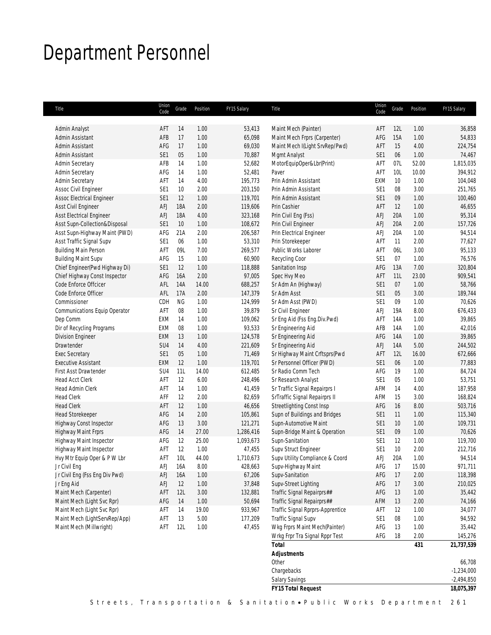# Department Personnel

| Title                            | Union<br>Code   | Grade     | Position | FY15 Salary | Title                            | Union<br>Code   | Grade | Position | FY15 Salary  |
|----------------------------------|-----------------|-----------|----------|-------------|----------------------------------|-----------------|-------|----------|--------------|
|                                  |                 |           |          |             |                                  |                 |       |          |              |
| Admin Analyst                    | AFT             | 14        | 1.00     | 53,413      | Maint Mech (Painter)             | AFT             | 12L   | 1.00     | 36,858       |
| Admin Assistant                  | AFB             | 17        | 1.00     | 65,098      | Maint Mech Frprs (Carpenter)     | AFG             | 15A   | 1.00     | 54,833       |
| Admin Assistant                  | AFG             | 17        | 1.00     | 69,030      | Maint Mech I(Light SrvRep/Pwd)   | AFT             | 15    | 4.00     | 224,754      |
| Admin Assistant                  | SE <sub>1</sub> | 05        | 1.00     | 70,887      | Mgmt Analyst                     | SE <sub>1</sub> | 06    | 1.00     | 74,467       |
| Admin Secretary                  | AFB             | 14        | 1.00     | 52,682      | MotorEquipOper&Lbr(Print)        | AFT             | 07L   | 52.00    | 1,815,035    |
| Admin Secretary                  | AFG             | 14        | 1.00     | 52,481      | Paver                            | AFT             | 10L   | 10.00    | 394,912      |
| Admin Secretary                  | AFT             | 14        | 4.00     | 195,773     | Prin Admin Assistant             | EXM             | 10    | 1.00     | 104,048      |
| Assoc Civil Engineer             | SE <sub>1</sub> | 10        | 2.00     | 203,150     | Prin Admin Assistant             | SE <sub>1</sub> | 08    | 3.00     | 251,765      |
| <b>Assoc Electrical Engineer</b> | SE1             | 12        | 1.00     | 119,701     | Prin Admin Assistant             | SE <sub>1</sub> | 09    | 1.00     | 100,460      |
| Asst Civil Engineer              | AFJ             | 18A       | 2.00     | 119,606     | Prin Cashier                     | AFT             | 12    | 1.00     | 46,655       |
| <b>Asst Electrical Engineer</b>  | AFJ             | 18A       | 4.00     | 323,168     | Prin Civil Eng (Fss)             | AFJ             | 20A   | 1.00     | 95,314       |
| Asst Supn-Collection&Disposal    | SE1             | 10        | 1.00     | 108,672     | Prin Civil Engineer              | AFJ             | 20A   | 2.00     | 157,726      |
| Asst Supn-Highway Maint (PWD)    | AFG             | 21A       | 2.00     | 206,587     | Prin Electrical Engineer         | AFJ             | 20A   | 1.00     | 94,514       |
| Asst Traffic Signal Supv         | SE <sub>1</sub> | 06        | 1.00     | 53,310      | Prin Storekeeper                 | AFT             | 11    | 2.00     | 77,627       |
| <b>Building Main Person</b>      | AFT             | 09L       | 7.00     | 269,577     | Public Works Laborer             | AFT             | 06L   | 3.00     | 95,133       |
| <b>Building Maint Supv</b>       | AFG             | 15        | 1.00     | 60,900      | Recycling Coor                   | SE <sub>1</sub> | 07    | 1.00     | 76,576       |
| Chief Engineer(Pwd Highway Di)   | SE <sub>1</sub> | 12        | 1.00     | 118,888     | Sanitation Insp                  | AFG             | 13A   | 7.00     | 320,804      |
| Chief Highway Const Inspector    | AFG             | 16A       | 2.00     | 97,005      | Spec Hvy Meo                     | AFT             | 11L   | 23.00    | 909,541      |
| Code Enforce Offcicer            | AFL             | 14A       | 14.00    | 688,257     | Sr Adm An (Highway)              | SE <sub>1</sub> | 07    | 1.00     | 58,766       |
| Code Enforce Officer             | AFL             | 17A       | 2.00     | 147,379     | Sr Adm Asst                      | SE <sub>1</sub> | 05    | 3.00     | 189,744      |
| Commissioner                     | CDH             | <b>NG</b> | 1.00     | 124,999     | Sr Adm Asst (PWD)                | SE <sub>1</sub> | 09    | 1.00     | 70,626       |
| Communications Equip Operator    | AFT             | 08        | 1.00     | 39,879      | Sr Civil Engineer                | AFJ             | 19A   | 8.00     | 676,433      |
| Dep Comm                         | <b>EXM</b>      | 14        | 1.00     | 109,062     | Sr Eng Aid (Fss Eng.Div.Pwd)     | AFT             | 14A   | 1.00     | 39,865       |
| Dir of Recycling Programs        | EXM             | 08        | 1.00     | 93,533      | Sr Engineering Aid               | AFB             | 14A   | 1.00     | 42,016       |
| Division Engineer                | EXM             | 13        | 1.00     | 124,578     | Sr Engineering Aid               | AFG             | 14A   | 1.00     | 39,865       |
| Drawtender                       | SU <sub>4</sub> | 14        | 4.00     | 221,609     | Sr Engineering Aid               | AFJ             | 14A   | 5.00     | 244,502      |
| <b>Exec Secretary</b>            | SE1             | 05        | 1.00     | 71,469      | Sr Highway Maint Crftsprs(Pwd    | AFT             | 12L   | 16.00    | 672,666      |
| <b>Executive Assistant</b>       | <b>EXM</b>      | 12        | 1.00     | 119,701     | Sr Personnel Officer (PWD)       | SE <sub>1</sub> | 06    | 1.00     | 77,883       |
| First Asst Drawtender            | SU <sub>4</sub> | 11L       | 14.00    | 612,485     | Sr Radio Comm Tech               | AFG             | 19    | 1.00     | 84,724       |
| <b>Head Acct Clerk</b>           | AFT             | 12        | 6.00     | 248,496     | Sr Research Analyst              | SE <sub>1</sub> | 05    | 1.00     | 53,751       |
| Head Admin Clerk                 | AFT             | 14        | 1.00     | 41,459      | Sr Traffic Signal Repairprs I    | AFM             | 14    | 4.00     | 187,958      |
| <b>Head Clerk</b>                | AFF             | 12        | 2.00     | 82,659      | SrTraffic Signal Repairprs II    | AFM             | 15    | 3.00     | 168,824      |
| <b>Head Clerk</b>                | AFT             | 12        | 1.00     | 46,656      | Streetlighting Const Insp        | AFG             | 16    | 8.00     | 503,716      |
| <b>Head Storekeeper</b>          | AFG             | 14        | 2.00     | 105,861     | Supn of Buildings and Bridges    | SE <sub>1</sub> | 11    | 1.00     | 115,340      |
| Highway Const Inspector          | ${\sf AFG}$     | 13        | 3.00     | 121,271     | Supn-Automotive Maint            | SE <sub>1</sub> | 10    | 1.00     | 109,731      |
| Highway Maint Frprs              | AFG             | 14        | 27.00    | 1,286,416   | Supn-Bridge Maint & Operation    | SE <sub>1</sub> | 09    | 1.00     | 70,626       |
| Highway Maint Inspector          | AFG             | 12        | 25.00    | 1,093,673   | Supn-Sanitation                  | SE <sub>1</sub> | 12    | 1.00     | 119,700      |
| Highway Maint Inspector          | AFT             | 12        | 1.00     | 47,455      | Supv Struct Engineer             | SE1             | 10    | 2.00     | 212,716      |
| Hvy Mtr Equip Oper & P W Lbr     | AFT             | 10L       | 44.00    | 1,710,673   | Supv Utility Compliance & Coord  | AFJ             | 20A   | 1.00     | 94,514       |
| Jr Civil Eng                     | AFJ             | 16A       | 8.00     | 428,663     | Supv-Highway Maint               | AFG             | 17    | 15.00    | 971,711      |
| Jr Civil Eng (Fss Eng Div Pwd)   | AFJ             | 16A       | 1.00     | 67,206      | Supv-Sanitation                  | AFG             | 17    | 2.00     | 118,398      |
| Jr Eng Aid                       | AFJ             | 12        | 1.00     | 37,848      | Supv-Street Lighting             | AFG             | 17    | 3.00     | 210,025      |
| Maint Mech (Carpenter)           | AFT             | 12L       | 3.00     | 132,881     | Traffic Signal Repairprs##       | AFG             | 13    | 1.00     | 35,442       |
| Maint Mech (Light Svc Rpr)       | AFG             | 14        | 1.00     | 50,694      | Traffic Signal Repairprs##       | AFM             | 13    | 2.00     | 74,166       |
| Maint Mech (Light Svc Rpr)       | AFT             | 14        | 19.00    | 933,967     | Traffic Signal Rprprs-Apprentice | AFT             | 12    | 1.00     | 34,077       |
| Maint Mech (LightServRep/App)    | AFT             | 13        | 5.00     | 177,209     | Traffic Signal Supv              | SE1             | 08    | 1.00     | 94,592       |
| Maint Mech (Millwright)          | AFT             | 12L       | 1.00     | 47,455      | Wkg Frprs Maint Mech(Painter)    | AFG             | 13    | 1.00     | 35,442       |
|                                  |                 |           |          |             | Wrkg Frpr Tra Signal Rppr Test   | AFG             | 18    | 2.00     | 145,276      |
|                                  |                 |           |          |             | Total                            |                 |       | 431      | 21,737,539   |
|                                  |                 |           |          |             | <b>Adjustments</b>               |                 |       |          |              |
|                                  |                 |           |          |             | Other                            |                 |       |          | 66,708       |
|                                  |                 |           |          |             | Chargebacks                      |                 |       |          | $-1,234,000$ |
|                                  |                 |           |          |             | Salary Savings                   |                 |       |          | $-2,494,850$ |

*FY15 Total Request 18,075,397*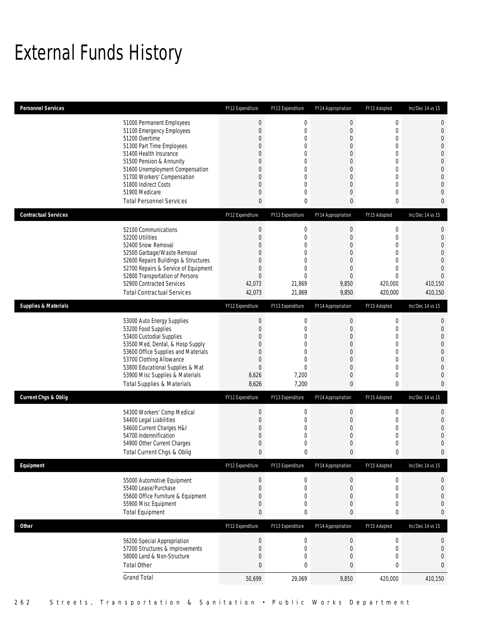# External Funds History

| <b>Personnel Services</b>       |                                                              | FY12 Expenditure         | FY13 Expenditure              | FY14 Appropriation   | FY15 Adopted                | Inc/Dec 14 vs 15               |
|---------------------------------|--------------------------------------------------------------|--------------------------|-------------------------------|----------------------|-----------------------------|--------------------------------|
|                                 | 51000 Permanent Employees                                    | $\boldsymbol{0}$         | $\boldsymbol{0}$              | $\boldsymbol{0}$     | $\boldsymbol{0}$            | $\mathbf 0$                    |
|                                 | 51100 Emergency Employees                                    | $\mathbf 0$              | $\mathbf 0$                   | $\mathbf 0$          | $\mathbf 0$                 | $\mathbf 0$                    |
|                                 | 51200 Overtime                                               | 0                        | $\mathbf 0$                   | 0                    | $\mathbf{0}$                | $\overline{0}$                 |
|                                 | 51300 Part Time Employees                                    | 0                        | $\mathbf 0$                   | 0                    | $\mathbf 0$                 | $\mathbf 0$                    |
|                                 | 51400 Health Insurance                                       | 0                        | $\mathbf 0$                   | 0                    | $\mathbf{0}$                | $\mathbf 0$                    |
|                                 | 51500 Pension & Annunity<br>51600 Unemployment Compensation  | 0<br>0                   | $\overline{0}$<br>$\mathbf 0$ | 0<br>0               | $\mathbf 0$<br>$\mathbf{0}$ | $\overline{0}$<br>$\mathbf{0}$ |
|                                 | 51700 Workers' Compensation                                  | 0                        | $\mathbf 0$                   | 0                    | $\mathbf{0}$                | $\mathbf{0}$                   |
|                                 | 51800 Indirect Costs                                         | 0                        | $\overline{0}$                | 0                    | $\mathbf 0$                 | $\mathbf{0}$                   |
|                                 | 51900 Medicare                                               | 0                        | 0                             | 0                    | $\mathbf 0$                 | $\mathbf 0$                    |
|                                 | <b>Total Personnel Services</b>                              | $\mathbf{0}$             | $\mathbf 0$                   | 0                    | $\bf{0}$                    | $\mathbf{0}$                   |
| <b>Contractual Services</b>     |                                                              | FY12 Expenditure         | FY13 Expenditure              | FY14 Appropriation   | FY15 Adopted                | Inc/Dec 14 vs 15               |
|                                 | 52100 Communications                                         | $\boldsymbol{0}$         | 0                             | 0                    | $\boldsymbol{0}$            | 0                              |
|                                 | 52200 Utilities                                              | 0                        | $\mathbf 0$                   | $\mathbf 0$          | $\mathbf 0$                 | $\mathbf{0}$                   |
|                                 | 52400 Snow Removal                                           | 0                        | $\mathbf 0$                   | 0                    | $\mathbf{0}$                | $\mathbf 0$                    |
|                                 | 52500 Garbage/Waste Removal                                  | 0                        | $\overline{0}$                | $\overline{0}$       | $\mathbf 0$                 | $\overline{0}$                 |
|                                 | 52600 Repairs Buildings & Structures                         | 0                        | $\overline{0}$                | $\overline{0}$       | $\mathbf{0}$                | $\overline{0}$                 |
|                                 | 52700 Repairs & Service of Equipment                         | $\overline{0}$           | $\mathbf 0$                   | 0                    | $\mathbf{0}$                | $\overline{0}$                 |
|                                 | 52800 Transportation of Persons<br>52900 Contracted Services | $\overline{0}$<br>42,073 | $\mathbf 0$<br>21,869         | $\mathbf 0$<br>9,850 | $\overline{0}$<br>420,000   | $\Omega$<br>410,150            |
|                                 | <b>Total Contractual Services</b>                            | 42,073                   | 21,869                        | 9,850                | 420,000                     | 410,150                        |
| <b>Supplies &amp; Materials</b> |                                                              | FY12 Expenditure         | FY13 Expenditure              | FY14 Appropriation   | FY15 Adopted                | Inc/Dec 14 vs 15               |
|                                 |                                                              |                          |                               |                      |                             |                                |
|                                 | 53000 Auto Energy Supplies                                   | $\boldsymbol{0}$         | $\boldsymbol{0}$              | 0                    | $\boldsymbol{0}$            | 0                              |
|                                 | 53200 Food Supplies<br>53400 Custodial Supplies              | $\mathbf 0$<br>0         | $\mathbf 0$<br>$\mathbf 0$    | $\mathbf 0$<br>0     | $\mathbf 0$<br>$\mathbf{0}$ | $\mathbf{0}$<br>$\mathbf 0$    |
|                                 | 53500 Med, Dental, & Hosp Supply                             | 0                        | 0                             | 0                    | $\mathbf 0$                 | $\mathbf{0}$                   |
|                                 | 53600 Office Supplies and Materials                          | 0                        | $\overline{0}$                | $\overline{0}$       | $\overline{0}$              | $\mathbf 0$                    |
|                                 | 53700 Clothing Allowance                                     | 0                        | $\mathbf 0$                   | 0                    | $\mathbf{0}$                | $\overline{0}$                 |
|                                 | 53800 Educational Supplies & Mat                             | $\mathbf 0$              | $\boldsymbol{0}$              | 0                    | $\mathbf 0$                 | $\overline{0}$                 |
|                                 | 53900 Misc Supplies & Materials                              | 8,626                    | 7,200                         | 0                    | $\mathbf 0$                 | $\mathbf 0$                    |
|                                 | <b>Total Supplies &amp; Materials</b>                        | 8,626                    | 7,200                         | 0                    | 0                           | $\mathbf{0}$                   |
| <b>Current Chgs &amp; Oblig</b> |                                                              | FY12 Expenditure         | FY13 Expenditure              | FY14 Appropriation   | FY15 Adopted                | Inc/Dec 14 vs 15               |
|                                 | 54300 Workers' Comp Medical                                  | $\boldsymbol{0}$         | 0                             | 0                    | $\boldsymbol{0}$            | 0                              |
|                                 | 54400 Legal Liabilities                                      | $\mathbf 0$              | $\boldsymbol{0}$              | $\mathbf 0$          | $\mathbf 0$                 | $\mathbf{0}$                   |
|                                 | 54600 Current Charges H&I                                    | 0                        | 0                             | 0                    | $\mathbf 0$                 | $\mathbf 0$                    |
|                                 | 54700 Indemnification                                        | $\mathbf 0$              | 0                             | 0                    | $\mathbf 0$                 | $\mathbf{0}$                   |
|                                 | 54900 Other Current Charges<br>Total Current Chgs & Oblig    | 0<br>0                   | $\mathbf 0$<br>0              | $\mathbf 0$<br>0     | $\mathbf 0$<br>0            | $\mathbf 0$<br>0               |
| Equipment                       |                                                              |                          |                               |                      |                             |                                |
|                                 |                                                              | FY12 Expenditure         | FY13 Expenditure              | FY14 Appropriation   | FY15 Adopted                | Inc/Dec 14 vs 15               |
|                                 | 55000 Automotive Equipment                                   | $\boldsymbol{0}$         | $\boldsymbol{0}$              | $\boldsymbol{0}$     | $\boldsymbol{0}$            | 0                              |
|                                 | 55400 Lease/Purchase                                         | $\mathbf 0$              | $\boldsymbol{0}$              | $\mathbf 0$          | $\boldsymbol{0}$            | $\mathbf 0$                    |
|                                 | 55600 Office Furniture & Equipment<br>55900 Misc Equipment   | 0<br>0                   | $\boldsymbol{0}$<br>0         | $\mathbf 0$<br>0     | $\mathbf 0$<br>$\mathbf 0$  | $\mathbf 0$<br>$\mathbf 0$     |
|                                 | <b>Total Equipment</b>                                       | 0                        | 0                             | 0                    | $\bf{0}$                    | 0                              |
| <b>Other</b>                    |                                                              | FY12 Expenditure         | FY13 Expenditure              | FY14 Appropriation   | FY15 Adopted                | Inc/Dec 14 vs 15               |
|                                 |                                                              |                          |                               |                      |                             |                                |
|                                 | 56200 Special Appropriation                                  | $\boldsymbol{0}$         | $\boldsymbol{0}$              | $\boldsymbol{0}$     | $\boldsymbol{0}$            | 0                              |
|                                 | 57200 Structures & Improvements                              | $\mathbf 0$              | $\boldsymbol{0}$              | $\mathbf 0$          | $\mathbf 0$                 | $\mathbf 0$                    |
|                                 | 58000 Land & Non-Structure<br><b>Total Other</b>             | 0                        | $\boldsymbol{0}$              | $\mathbf 0$          | $\mathbf 0$                 | $\mathbf 0$                    |
|                                 |                                                              | 0                        | 0                             | 0                    | $\pmb{0}$                   | $\bf{0}$                       |
|                                 | <b>Grand Total</b>                                           | 50,699                   | 29,069                        | 9,850                | 420,000                     | 410,150                        |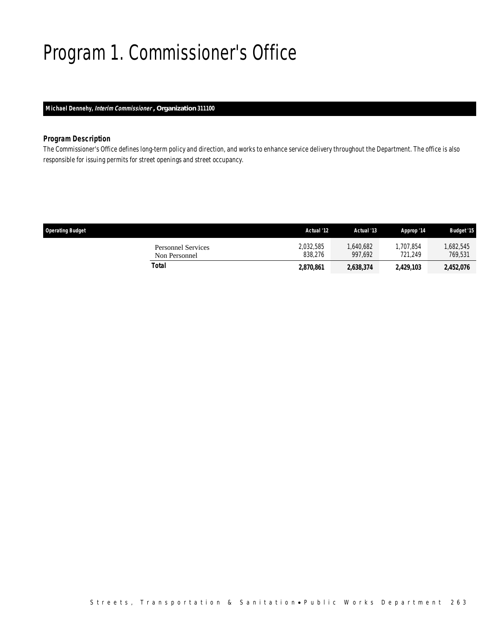# Program 1. Commissioner's Office

*Michael Dennehy, Interim Commissioner , Organization 311100* 

# *Program Description*

The Commissioner's Office defines long-term policy and direction, and works to enhance service delivery throughout the Department. The office is also responsible for issuing permits for street openings and street occupancy.

| <b>Operating Budget</b>             | Actual '12           | Actual '13           | Approp '14          | <b>Budget '15</b>   |
|-------------------------------------|----------------------|----------------------|---------------------|---------------------|
| Personnel Services<br>Non Personnel | 2,032,585<br>838.276 | 1,640,682<br>997.692 | .707.854<br>721.249 | ,682,545<br>769,531 |
| Total                               | 2,870,861            | 2,638,374            | 2,429,103           | 2,452,076           |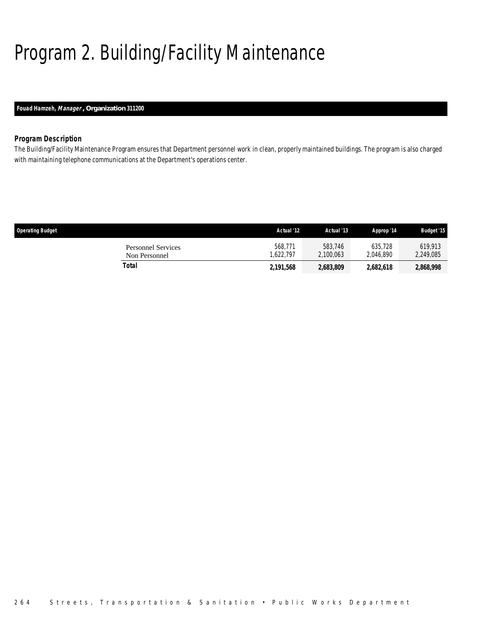# Program 2. Building/Facility Maintenance

# *Fouad Hamzeh, Manager , Organization 311200*

### *Program Description*

The Building/Facility Maintenance Program ensures that Department personnel work in clean, properly maintained buildings. The program is also charged with maintaining telephone communications at the Department's operations center.

| <b>Operating Budget</b>                    | Actual '12          | Actual '13           | Approp '14           | <b>Budget '15</b>    |
|--------------------------------------------|---------------------|----------------------|----------------------|----------------------|
| <b>Personnel Services</b><br>Non Personnel | 568.771<br>.622.797 | 583.746<br>2.100.063 | 635.728<br>2.046.890 | 619.913<br>2,249,085 |
| Total                                      | 2,191,568           | 2,683,809            | 2,682,618            | 2,868,998            |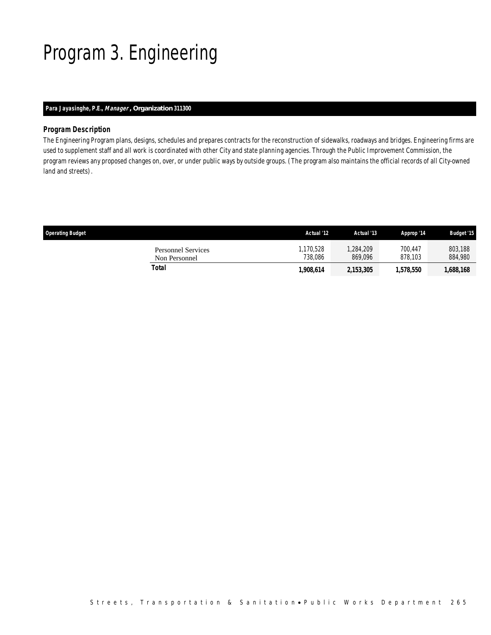# Program 3. Engineering

# *Para Jayasinghe, P.E., Manager , Organization 311300*

# *Program Description*

The Engineering Program plans, designs, schedules and prepares contracts for the reconstruction of sidewalks, roadways and bridges. Engineering firms are used to supplement staff and all work is coordinated with other City and state planning agencies. Through the Public Improvement Commission, the program reviews any proposed changes on, over, or under public ways by outside groups. (The program also maintains the official records of all City-owned land and streets).

| <b>Operating Budget</b>                    | Actual '12          | Actual '13          | Approp '14         | <b>Budget '15</b>  |
|--------------------------------------------|---------------------|---------------------|--------------------|--------------------|
| <b>Personnel Services</b><br>Non Personnel | .170.528<br>738.086 | .284.209<br>869.096 | 700.447<br>878.103 | 803.188<br>884,980 |
| Total                                      | 1,908,614           | 2,153,305           | 578,550,           | ,688,168           |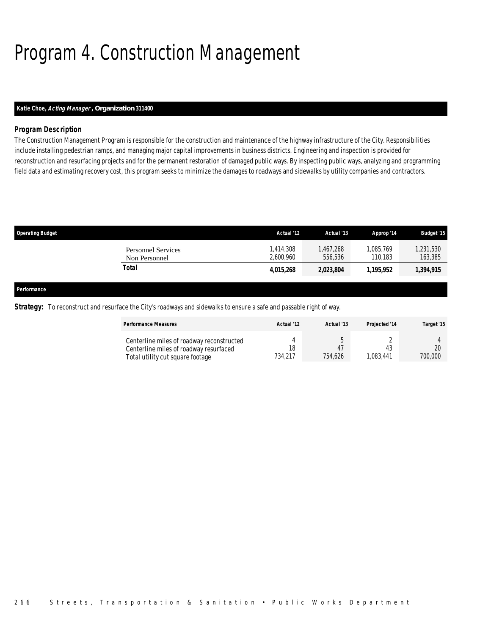# Program 4. Construction Management

### *Katie Choe, Acting Manager , Organization 311400*

## *Program Description*

The Construction Management Program is responsible for the construction and maintenance of the highway infrastructure of the City. Responsibilities include installing pedestrian ramps, and managing major capital improvements in business districts. Engineering and inspection is provided for reconstruction and resurfacing projects and for the permanent restoration of damaged public ways. By inspecting public ways, analyzing and programming field data and estimating recovery cost, this program seeks to minimize the damages to roadways and sidewalks by utility companies and contractors.

| <b>Operating Budget</b>                    | Actual '12             | Actual '13           | Approp '14           | <b>Budget '15</b>   |
|--------------------------------------------|------------------------|----------------------|----------------------|---------------------|
| <b>Personnel Services</b><br>Non Personnel | 1.414.308<br>2,600,960 | 1.467.268<br>556.536 | 1.085.769<br>110.183 | ,231,530<br>163,385 |
| Total                                      | 4,015,268              | 2,023,804            | 1,195,952            | 1,394,915           |
| Performance                                |                        |                      |                      |                     |

*Strategy:* To reconstruct and resurface the City's roadways and sidewalks to ensure a safe and passable right of way.

| <b>Performance Measures</b>                                                                                             | Actual '12    | Actual '13    | <b>Projected '14</b> | Target '15    |
|-------------------------------------------------------------------------------------------------------------------------|---------------|---------------|----------------------|---------------|
| Centerline miles of roadway reconstructed<br>Centerline miles of roadway resurfaced<br>Total utility cut square footage | 18<br>734,217 | 47<br>754.626 | .083.441             | 20<br>700,000 |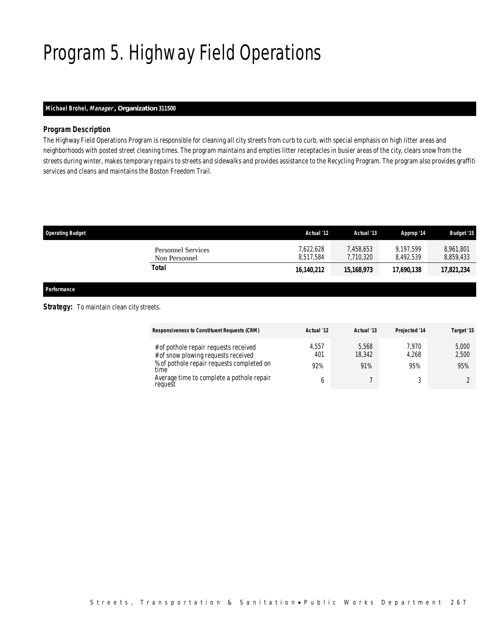# Program 5. Highway Field Operations

# *Michael Brohel, Manager , Organization 311500*

### *Program Description*

The Highway Field Operations Program is responsible for cleaning all city streets from curb to curb, with special emphasis on high litter areas and neighborhoods with posted street cleaning times. The program maintains and empties litter receptacles in busier areas of the city, clears snow from the streets during winter, makes temporary repairs to streets and sidewalks and provides assistance to the Recycling Program. The program also provides graffiti services and cleans and maintains the Boston Freedom Trail.

| <b>Operating Budget</b>             | Actual '12             | Actual '13             | Approp '14             | <b>Budget '15</b>      |
|-------------------------------------|------------------------|------------------------|------------------------|------------------------|
| Personnel Services<br>Non Personnel | 1.622.628<br>8.517.584 | 7.458.653<br>7.710.320 | 9.197.599<br>8.492.539 | 8,961,801<br>8,859,433 |
| Total                               | 16,140,212             | 15,168,973             | 17.690.138             | 17,821,234             |

#### *Performance*

#### **Strategy:** To maintain clean city streets.

| <b>Responsiveness to Constituent Requests (CRM)</b>                                                                               | Actual '12          | Actual '13             | <b>Projected '14</b>  | Target '15            |
|-----------------------------------------------------------------------------------------------------------------------------------|---------------------|------------------------|-----------------------|-----------------------|
| # of pothole repair requests received<br># of snow plowing requests received<br>% of pothole repair requests completed on<br>time | 4.557<br>401<br>92% | 5.568<br>18,342<br>91% | 7.970<br>4.268<br>95% | 5,000<br>2,500<br>95% |
| Average time to complete a pothole repair<br>request                                                                              |                     |                        |                       |                       |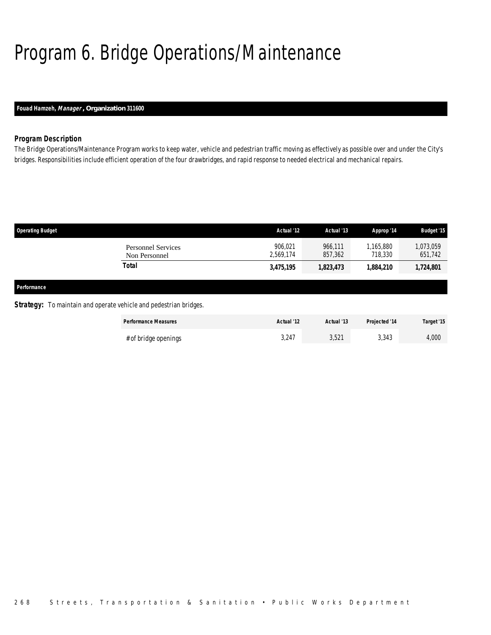# Program 6. Bridge Operations/Maintenance

# *Fouad Hamzeh, Manager , Organization 311600*

### *Program Description*

The Bridge Operations/Maintenance Program works to keep water, vehicle and pedestrian traffic moving as effectively as possible over and under the City's bridges. Responsibilities include efficient operation of the four drawbridges, and rapid response to needed electrical and mechanical repairs.

| <b>Operating Budget</b> |                                                                          | Actual '12           | Actual '13         | Approp '14           | <b>Budget '15</b>    |
|-------------------------|--------------------------------------------------------------------------|----------------------|--------------------|----------------------|----------------------|
|                         | Personnel Services<br>Non Personnel                                      | 906.021<br>2,569,174 | 966.111<br>857,362 | 1,165,880<br>718,330 | 1,073,059<br>651,742 |
|                         | Total                                                                    | 3,475,195            | 1,823,473          | 1,884,210            | 1,724,801            |
| Performance             |                                                                          |                      |                    |                      |                      |
|                         | <b>Strategy:</b> To maintain and operate vehicle and pedestrian bridges. |                      |                    |                      |                      |
|                         | <b>Performance Measures</b>                                              | Actual '12           | Actual '13         | <b>Projected '14</b> | Target '15           |

| # of bridge openings | 3 247 | 3.521 | 3.343 | 4.000 |
|----------------------|-------|-------|-------|-------|
|                      |       |       |       |       |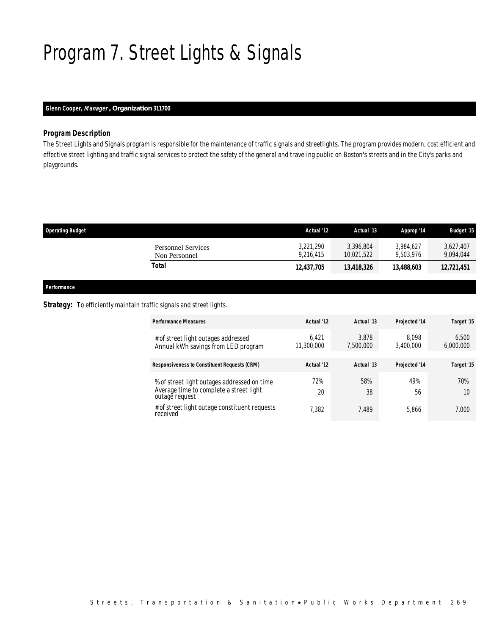# Program 7. Street Lights & Signals

# *Glenn Cooper, Manager , Organization 311700*

#### *Program Description*

The Street Lights and Signals program is responsible for the maintenance of traffic signals and streetlights. The program provides modern, cost efficient and effective street lighting and traffic signal services to protect the safety of the general and traveling public on Boston's streets and in the City's parks and playgrounds.

| <b>Operating Budget</b>                    | Actual '12             | Actual '13              | Approp '14             | <b>Budget '15</b>      |
|--------------------------------------------|------------------------|-------------------------|------------------------|------------------------|
| <b>Personnel Services</b><br>Non Personnel | 3,221,290<br>9.216.415 | 3.396.804<br>10.021.522 | 3.984.627<br>9.503.976 | 3,627,407<br>9,094,044 |
| Total                                      | 12,437,705             | 13,418,326              | 13.488.603             | 12,721,451             |
|                                            |                        |                         |                        |                        |

*Performance* 

## **Strategy:** To efficiently maintain traffic signals and street lights.

| <b>Performance Measures</b>                                                | Actual '12          | Actual '13         | Projected '14      | Target '15         |
|----------------------------------------------------------------------------|---------------------|--------------------|--------------------|--------------------|
| # of street light outages addressed<br>Annual kWh savings from LED program | 6.421<br>11,300,000 | 3.878<br>7,500,000 | 8.098<br>3,400,000 | 6,500<br>6,000,000 |
| <b>Responsiveness to Constituent Requests (CRM)</b>                        | Actual '12          | Actual '13         | Projected '14      | Target '15         |
| % of street light outages addressed on time                                | 72%                 | 58%                | 49%                | 70%                |
| Average time to complete a street light<br>outage request                  | 20                  | 38                 | 56                 | 10                 |
| # of street light outage constituent requests<br>received                  | 7.382               | 7.489              | 5.866              | 7.000              |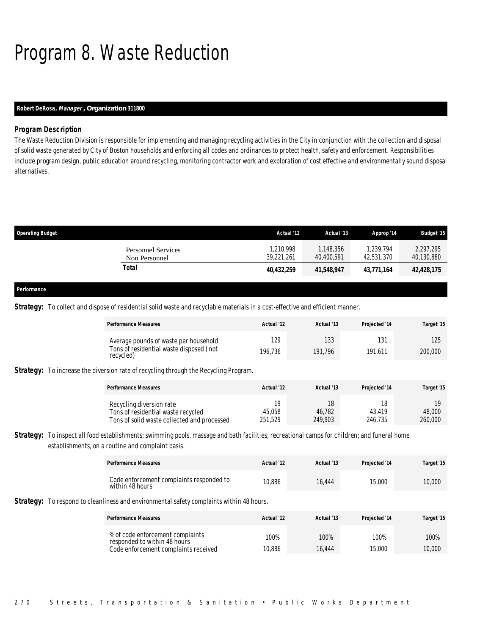# Program 8. Waste Reduction

## *Robert DeRosa, Manager , Organization 311800*

## *Program Description*

The Waste Reduction Division is responsible for implementing and managing recycling activities in the City in conjunction with the collection and disposal of solid waste generated by City of Boston households and enforcing all codes and ordinances to protect health, safety and enforcement. Responsibilities include program design, public education around recycling, monitoring contractor work and exploration of cost effective and environmentally sound disposal alternatives.

| <b>Operating Budget</b>             | Actual '12             | Actual '13              | Approp '14              | <b>Budget '15</b>       |
|-------------------------------------|------------------------|-------------------------|-------------------------|-------------------------|
| Personnel Services<br>Non Personnel | ,210,998<br>39.221.261 | 1.148.356<br>40.400.591 | 1.239.794<br>42.531.370 | 2.297.295<br>40,130,880 |
| Total                               | 40,432,259             | 41,548,947              | 43.771.164              | 42,428,175              |
|                                     |                        |                         |                         |                         |

#### *Performance*

**Strategy:** To collect and dispose of residential solid waste and recyclable materials in a cost-effective and efficient manner.

| <b>Performance Measures</b>                          | Actual '12 | Actual '13 | <b>Projected '14</b> | Target '15 |
|------------------------------------------------------|------------|------------|----------------------|------------|
| Average pounds of waste per household                | 129        | 133        | 131                  |            |
| Tons of residential waste disposed (not<br>recycled) | 196.736    | 191.796    | 191.611              | 200,000    |

#### **Strategy:** To increase the diversion rate of recycling through the Recycling Program.

| <b>Performance Measures</b>                                                                                   | Actual '12        | Actual '13              | <b>Projected '14</b>    | Target '15        |
|---------------------------------------------------------------------------------------------------------------|-------------------|-------------------------|-------------------------|-------------------|
| Recycling diversion rate<br>Tons of residential waste recycled<br>Tons of solid waste collected and processed | 45.058<br>251,529 | 18<br>46.782<br>249.903 | 18<br>43.419<br>246.735 | 48,000<br>260,000 |

## **Strategy:** To inspect all food establishments; swimming pools, massage and bath facilities; recreational camps for children; and funeral home establishments, on a routine and complaint basis.

| <b>Performance Measures</b>                                 | Actual '12 | Actual '13 | <b>Projected '14</b> | Target '15 |
|-------------------------------------------------------------|------------|------------|----------------------|------------|
| Code enforcement complaints responded to<br>within 48 hours | 10.886     | 16.444     | 15,000               | 10,000     |

### **Strategy:** To respond to cleanliness and environmental safety complaints within 48 hours.

| <b>Performance Measures</b>                                      | Actual '12 | Actual '13 | <b>Projected '14</b> | Target '15 |
|------------------------------------------------------------------|------------|------------|----------------------|------------|
| % of code enforcement complaints<br>responded to within 48 hours | 100%       | 100%       | 100%                 | 100%       |
| Code enforcement complaints received                             | 10.886     | 16.444     | 15,000               | 10,000     |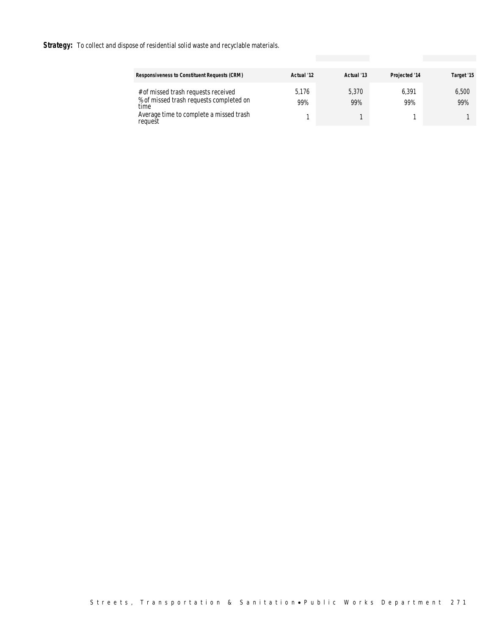**Strategy:** To collect and dispose of residential solid waste and recyclable materials.

| <b>Responsiveness to Constituent Requests (CRM)</b>                                                                               | Actual '12   | Actual '13   | Projected '14 | Target '15   |
|-----------------------------------------------------------------------------------------------------------------------------------|--------------|--------------|---------------|--------------|
| # of missed trash requests received<br>% of missed trash requests completed on<br>time<br>Average time to complete a missed trash | 5.176<br>99% | 5.370<br>99% | 6.391<br>99%  | 6,500<br>99% |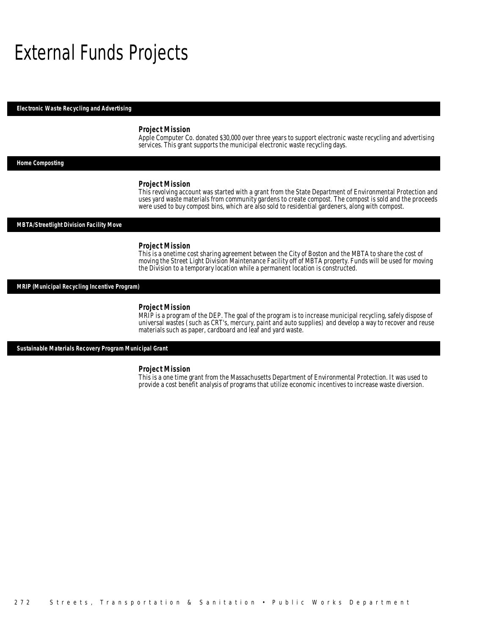# External Funds Projects

#### *Electronic Waste Recycling and Advertising*

#### *Project Mission*

Apple Computer Co. donated \$30,000 over three years to support electronic waste recycling and advertising services. This grant supports the municipal electronic waste recycling days.

#### *Home Composting*

#### *Project Mission*

This revolving account was started with a grant from the State Department of Environmental Protection and uses yard waste materials from community gardens to create compost. The compost is sold and the proceeds were used to buy compost bins, which are also sold to residential gardeners, along with compost.

# *MBTA/Streetlight Division Facility Move*

#### *Project Mission*

This is a onetime cost sharing agreement between the City of Boston and the MBTA to share the cost of moving the Street Light Division Maintenance Facility off of MBTA property. Funds will be used for moving the Division to a temporary location while a permanent location is constructed.

*MRIP (Municipal Recycling Incentive Program)* 

#### *Project Mission*

MRIP is a program of the DEP. The goal of the program is to increase municipal recycling, safely dispose of universal wastes (such as CRT's, mercury, paint and auto supplies) and develop a way to recover and reuse materials such as paper, cardboard and leaf and yard waste.

*Sustainable Materials Recovery Program Municipal Grant* 

#### *Project Mission*

This is a one time grant from the Massachusetts Department of Environmental Protection. It was used to provide a cost benefit analysis of programs that utilize economic incentives to increase waste diversion.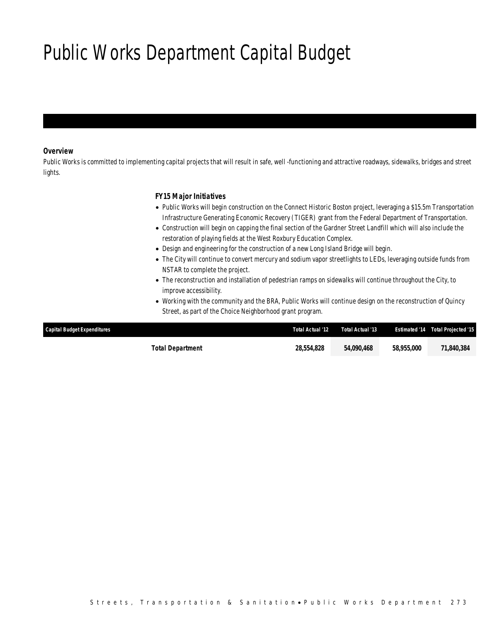# Public Works Department Capital Budget

### *Overview*

Public Works is committed to implementing capital projects that will result in safe, well -functioning and attractive roadways, sidewalks, bridges and street lights.

# *FY15 Major Initiatives*

- Public Works will begin construction on the Connect Historic Boston project, leveraging a \$15.5m Transportation Infrastructure Generating Economic Recovery (TIGER) grant from the Federal Department of Transportation.
- Construction will begin on capping the final section of the Gardner Street Landfill which will also include the restoration of playing fields at the West Roxbury Education Complex.
- Design and engineering for the construction of a new Long Island Bridge will begin.
- The City will continue to convert mercury and sodium vapor streetlights to LEDs, leveraging outside funds from NSTAR to complete the project.
- The reconstruction and installation of pedestrian ramps on sidewalks will continue throughout the City, to improve accessibility.
- Working with the community and the BRA, Public Works will continue design on the reconstruction of Quincy Street, as part of the Choice Neighborhood grant program.

| <b>Capital Budget Expenditures</b> | Total Actual '12 | Total Actual '13 | <b>Estimated '14</b> | <b>Total Projected '15</b> |
|------------------------------------|------------------|------------------|----------------------|----------------------------|
| Total Department                   | 28,554,828       | 54,090,468       | 58,955,000           | 71.840.384                 |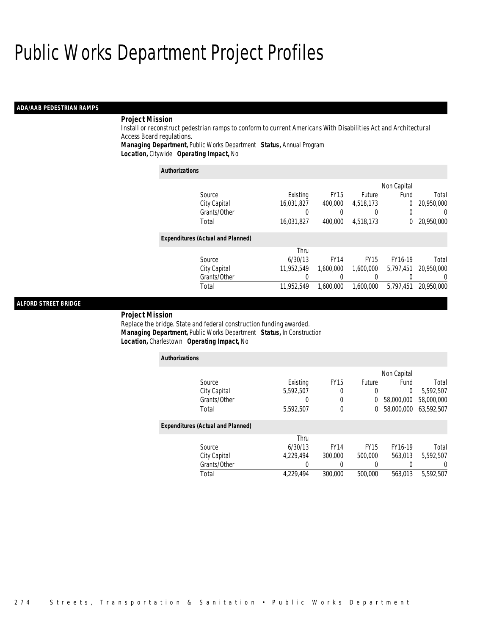# Public Works Department Project Profiles

#### *ADA/AAB PEDESTRIAN RAMPS*

# *Project Mission*

Install or reconstruct pedestrian ramps to conform to current Americans With Disabilities Act and Architectural Access Board regulations.

*Managing Department,* Public Works Department *Status,* Annual Program

*Location,* Citywide *Operating Impact,* No

| <b>Authorizations</b>                    |            |             |             |             |                  |
|------------------------------------------|------------|-------------|-------------|-------------|------------------|
|                                          |            |             |             | Non Capital |                  |
| Source                                   | Existing   | <b>FY15</b> | Future      | Fund        | Total            |
| City Capital                             | 16,031,827 | 400,000     | 4,518,173   | 0           | 20,950,000       |
| Grants/Other                             |            |             |             | 0           | $\left( \right)$ |
| Total                                    | 16.031.827 | 400,000     | 4.518.173   | $^{0}$      | 20,950,000       |
| <b>Expenditures (Actual and Planned)</b> |            |             |             |             |                  |
|                                          | Thru       |             |             |             |                  |
| Source                                   | 6/30/13    | <b>FY14</b> | <b>FY15</b> | FY16-19     | Total            |
| City Capital                             | 11.952.549 | 1.600.000   | 1.600.000   | 5.797.451   | 20,950,000       |
| Grants/Other                             |            |             |             | 0           | $\left($         |
| Total                                    | 11.952.549 | 1.600.000   | 1.600.000   | 5.797.451   | 20,950,000       |

#### *ALFORD STREET BRIDGE*

#### *Project Mission*

Replace the bridge. State and federal construction funding awarded. *Managing Department,* Public Works Department *Status,* In Construction *Location,* Charlestown *Operating Impact,* No

| <b>Authorizations</b>                    |           |             |             |             |            |
|------------------------------------------|-----------|-------------|-------------|-------------|------------|
|                                          |           |             |             | Non Capital |            |
| Source                                   | Existing  | <b>FY15</b> | Future      | Fund        | Total      |
| City Capital                             | 5,592,507 | 0           | 0           | 0           | 5,592,507  |
| Grants/Other                             | 0         | 0           | 0           | 58,000,000  | 58,000,000 |
| Total                                    | 5,592,507 | $\theta$    | 0           | 58,000,000  | 63,592,507 |
| <b>Expenditures (Actual and Planned)</b> |           |             |             |             |            |
|                                          | Thru      |             |             |             |            |
| Source                                   | 6/30/13   | <b>FY14</b> | <b>FY15</b> | FY16-19     | Total      |
| City Capital                             | 4.229.494 | 300,000     | 500,000     | 563.013     | 5.592.507  |
| Grants/Other                             | 0         |             | 0           | 0           | 0          |
| Total                                    | 4.229.494 | 300,000     | 500,000     | 563.013     | 5.592.507  |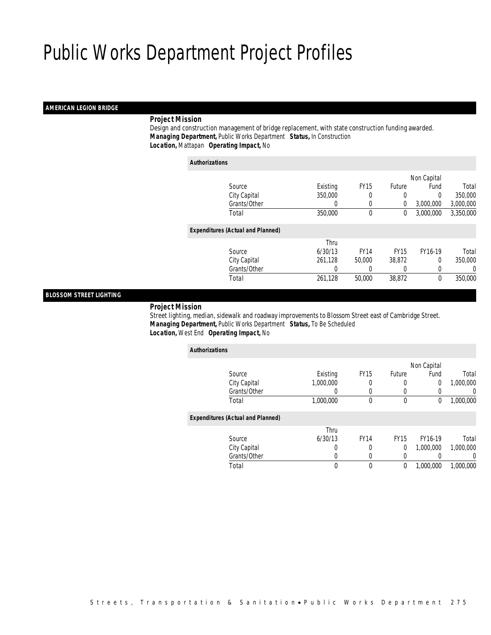# Public Works Department Project Profiles

#### *AMERICAN LEGION BRIDGE*

## *Project Mission*

 Design and construction management of bridge replacement, with state construction funding awarded. *Managing Department,* Public Works Department *Status,* In Construction *Location,* Mattapan *Operating Impact,* No

| <b>Authorizations</b>                    |          |             |             |           |           |  |
|------------------------------------------|----------|-------------|-------------|-----------|-----------|--|
|                                          |          |             | Non Capital |           |           |  |
| Source                                   | Existing | <b>FY15</b> | Future      | Fund      | Total     |  |
| City Capital                             | 350,000  | 0           | $\theta$    | $\Omega$  | 350,000   |  |
| Grants/Other                             | 0        | 0           | $\Omega$    | 3,000,000 | 3,000,000 |  |
| Total                                    | 350,000  | 0           | 0           | 3,000,000 | 3,350,000 |  |
| <b>Expenditures (Actual and Planned)</b> |          |             |             |           |           |  |
|                                          | Thru     |             |             |           |           |  |
| Source                                   | 6/30/13  | <b>FY14</b> | <b>FY15</b> | FY16-19   | Total     |  |
| City Capital                             | 261.128  | 50,000      | 38,872      | $\Omega$  | 350,000   |  |
| Grants/Other                             | 0        | 0           | $\Omega$    | $\Omega$  |           |  |
| Total                                    | 261,128  | 50,000      | 38,872      | 0         | 350,000   |  |
|                                          |          |             |             |           |           |  |

## *BLOSSOM STREET LIGHTING*

#### *Project Mission*

 Street lighting, median, sidewalk and roadway improvements to Blossom Street east of Cambridge Street. *Managing Department,* Public Works Department *Status,* To Be Scheduled *Location,* West End *Operating Impact,* No

| <b>Authorizations</b>                    |           |             |             |             |           |
|------------------------------------------|-----------|-------------|-------------|-------------|-----------|
|                                          |           |             |             | Non Capital |           |
| Source                                   | Existing  | <b>FY15</b> | Future      | Fund        | Total     |
| City Capital                             | 1,000,000 | 0           | 0           | 0           | 1,000,000 |
| Grants/Other                             | 0         |             | 0           |             | 0         |
| Total                                    | 1,000,000 | 0           | $\mathbf 0$ | 0           | 1,000,000 |
| <b>Expenditures (Actual and Planned)</b> |           |             |             |             |           |
|                                          | Thru      |             |             |             |           |
| Source                                   | 6/30/13   | <b>FY14</b> | <b>FY15</b> | FY16-19     | Total     |
| City Capital                             | 0         | 0           | $\Omega$    | 1.000.000   | 1.000.000 |
| Grants/Other                             | 0         | 0           | 0           |             | $\Omega$  |
| Total                                    | 0         | $\theta$    | 0           | 1.000.000   | 1.000.000 |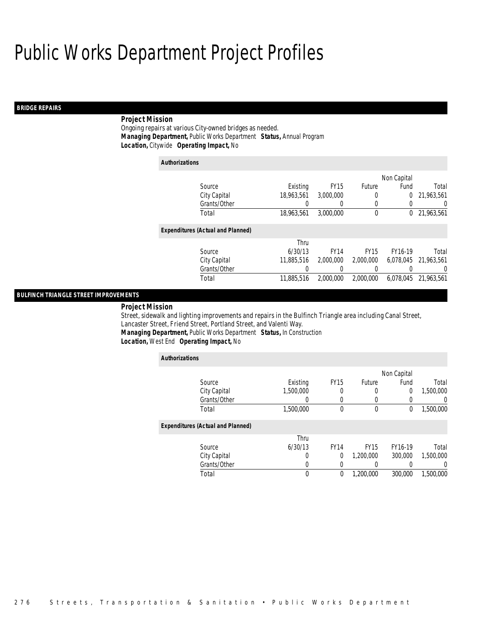# Public Works Department Project Profiles

#### *BRIDGE REPAIRS*

## *Project Mission*

Ongoing repairs at various City-owned bridges as needed. *Managing Department,* Public Works Department *Status,* Annual Program *Location,* Citywide *Operating Impact,* No

### *Authorizations*

|                                          |            |             |             | Non Capital |            |
|------------------------------------------|------------|-------------|-------------|-------------|------------|
| Source                                   | Existing   | <b>FY15</b> | Future      | Fund        | Total      |
| City Capital                             | 18,963,561 | 3,000,000   | 0           | 0           | 21,963,561 |
| Grants/Other                             |            |             | 0           | 0           | 0          |
| Total                                    | 18.963.561 | 3,000,000   | 0           | 0           | 21,963,561 |
| <b>Expenditures (Actual and Planned)</b> |            |             |             |             |            |
|                                          | Thru       |             |             |             |            |
| Source                                   | 6/30/13    | <b>FY14</b> | <b>FY15</b> | FY16-19     | Total      |
| City Capital                             | 11,885,516 | 2,000,000   | 2,000,000   | 6.078.045   | 21.963.561 |
| Grants/Other                             |            |             |             |             | $\left($   |
| Total                                    | 11.885.516 | 2,000,000   | 2.000.000   | 6.078.045   | 21,963,561 |
|                                          |            |             |             |             |            |

## *BULFINCH TRIANGLE STREET IMPROVEMENTS*

*Project Mission* 

Street, sidewalk and lighting improvements and repairs in the Bulfinch Triangle area including Canal Street, Lancaster Street, Friend Street, Portland Street, and Valenti Way. *Managing Department,* Public Works Department *Status,* In Construction

*Location,* West End *Operating Impact,* No

| <b>Authorizations</b>                    |           |             |             |             |                |
|------------------------------------------|-----------|-------------|-------------|-------------|----------------|
|                                          |           |             |             | Non Capital |                |
| Source                                   | Existing  | <b>FY15</b> | Future      | Fund        | Total          |
| City Capital                             | 1,500,000 | 0           | 0           | $\theta$    | 1,500,000      |
| Grants/Other                             | 0         | $\left($    | 0           | 0           | $\overline{0}$ |
| Total                                    | 1,500,000 | $\Omega$    | $\mathbf 0$ | $\Omega$    | 1,500,000      |
| <b>Expenditures (Actual and Planned)</b> |           |             |             |             |                |
|                                          | Thru      |             |             |             |                |
| Source                                   | 6/30/13   | <b>FY14</b> | <b>FY15</b> | FY16-19     | Total          |
| City Capital                             | 0         | 0           | 1.200.000   | 300,000     | 1,500,000      |
| Grants/Other                             | 0         |             | 0           |             | $\Omega$       |
| Total                                    | 0         | 0           | 1.200.000   | 300,000     | 1,500,000      |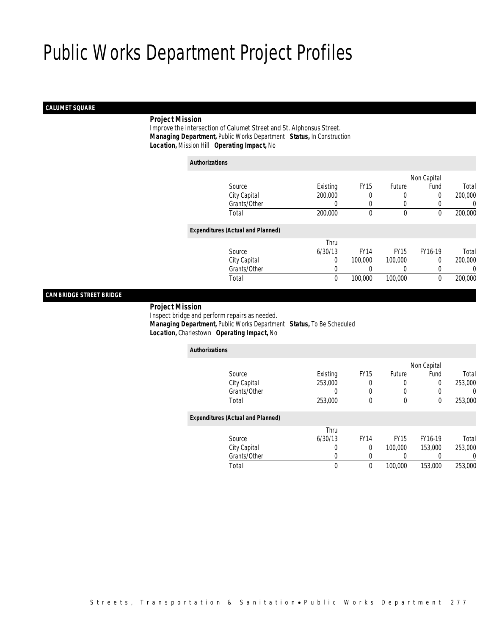#### *CALUMET SQUARE*

#### *Project Mission*

 Improve the intersection of Calumet Street and St. Alphonsus Street. *Managing Department,* Public Works Department *Status,* In Construction *Location,* Mission Hill *Operating Impact,* No

| <b>Authorizations</b> |                                          |             |             |             |             |         |
|-----------------------|------------------------------------------|-------------|-------------|-------------|-------------|---------|
|                       |                                          |             |             |             | Non Capital |         |
|                       | Source                                   | Existing    | <b>FY15</b> | Future      | Fund        | Total   |
|                       | City Capital                             | 200,000     | 0           | 0           | 0           | 200,000 |
|                       | Grants/Other                             | $\left($    | 0           | 0           |             | 0       |
|                       | Total                                    | 200,000     | 0           | 0           | 0           | 200,000 |
|                       | <b>Expenditures (Actual and Planned)</b> |             |             |             |             |         |
|                       |                                          | Thru        |             |             |             |         |
|                       | Source                                   | 6/30/13     | <b>FY14</b> | <b>FY15</b> | FY16-19     | Total   |
|                       | City Capital                             | 0           | 100,000     | 100,000     | 0           | 200,000 |
|                       | Grants/Other                             | 0           | 0           | 0           | 0           | 0       |
|                       | Total                                    | $\mathbf 0$ | 100,000     | 100,000     | $\mathbf 0$ | 200,000 |

#### *CAMBRIDGE STREET BRIDGE*

 *Project Mission* Inspect bridge and perform repairs as needed. *Managing Department,* Public Works Department *Status,* To Be Scheduled *Location,* Charlestown *Operating Impact,* No

| <b>Authorizations</b>                    |          |             |             |             |          |
|------------------------------------------|----------|-------------|-------------|-------------|----------|
|                                          |          |             |             | Non Capital |          |
| Source                                   | Existing | <b>FY15</b> | Future      | Fund        | Total    |
| City Capital                             | 253,000  | 0           | 0           | $\Omega$    | 253,000  |
| Grants/Other                             | 0        | 0           | $\Omega$    | 0           | 0        |
| Total                                    | 253,000  | 0           | $\mathbf 0$ | 0           | 253,000  |
| <b>Expenditures (Actual and Planned)</b> |          |             |             |             |          |
|                                          | Thru     |             |             |             |          |
| Source                                   | 6/30/13  | <b>FY14</b> | <b>FY15</b> | FY16-19     | Total    |
| City Capital                             | 0        | 0           | 100,000     | 153,000     | 253,000  |
| Grants/Other                             | 0        | 0           |             |             | $\Omega$ |
| Total                                    | 0        | 0           | 100,000     | 153,000     | 253,000  |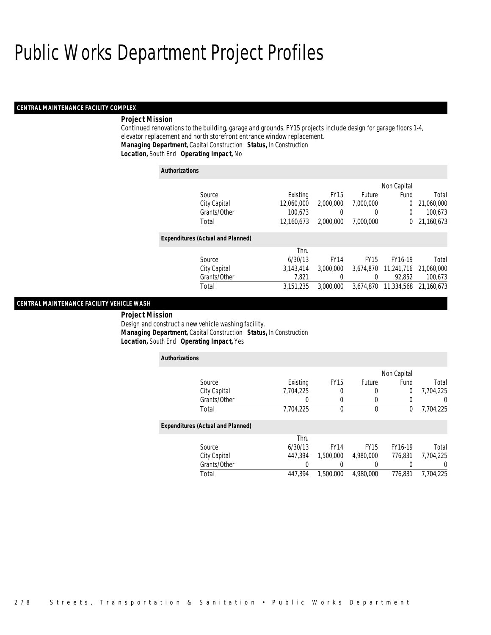#### *CENTRAL MAINTENANCE FACILITY COMPLEX*

#### *Project Mission*

Continued renovations to the building, garage and grounds. FY15 projects include design for garage floors 1-4, elevator replacement and north storefront entrance window replacement. *Managing Department,* Capital Construction *Status,* In Construction *Location,* South End *Operating Impact,* No

| <b>Authorizations</b>                    |            |             |             |             |            |
|------------------------------------------|------------|-------------|-------------|-------------|------------|
|                                          |            |             |             | Non Capital |            |
| Source                                   | Existing   | <b>FY15</b> | Future      | Fund        | Total      |
| City Capital                             | 12,060,000 | 2.000.000   | 7.000.000   | 0           | 21,060,000 |
| Grants/Other                             | 100,673    | 0           | 0           | 0           | 100,673    |
| Total                                    | 12,160,673 | 2.000.000   | 7.000.000   | 0           | 21,160,673 |
| <b>Expenditures (Actual and Planned)</b> |            |             |             |             |            |
|                                          | Thru       |             |             |             |            |
| Source                                   | 6/30/13    | <b>FY14</b> | <b>FY15</b> | FY16-19     | Total      |
| City Capital                             | 3.143.414  | 3,000,000   | 3.674.870   | 11.241.716  | 21,060,000 |
| Grants/Other                             | 7.821      | 0           | 0           | 92.852      | 100,673    |
| Total                                    | 3.151.235  | 3.000.000   | 3.674.870   | 11,334,568  | 21.160.673 |

#### *CENTRAL MAINTENANCE FACILITY VEHICLE WASH*

*Project Mission* 

Design and construct a new vehicle washing facility. *Managing Department,* Capital Construction *Status,* In Construction *Location,* South End *Operating Impact,* Yes

| <b>Authorizations</b>                    |           |             |             |             |           |
|------------------------------------------|-----------|-------------|-------------|-------------|-----------|
|                                          |           |             |             | Non Capital |           |
| Source                                   | Existing  | <b>FY15</b> | Future      | Fund        | Total     |
| City Capital                             | 7.704.225 |             | 0           | 0           | 7.704.225 |
| Grants/Other                             | 0         | $\left($    | 0           | 0           | O         |
| Total                                    | 7.704.225 | $\theta$    | 0           | 0           | 7,704,225 |
| <b>Expenditures (Actual and Planned)</b> |           |             |             |             |           |
|                                          | Thru      |             |             |             |           |
| Source                                   | 6/30/13   | <b>FY14</b> | <b>FY15</b> | FY16-19     | Total     |
| City Capital                             | 447.394   | 1,500,000   | 4,980,000   | 776.831     | 7,704,225 |
| Grants/Other                             |           |             |             |             |           |
| Total                                    | 447.394   | 1,500,000   | 4.980.000   | 776.831     | 7.704.225 |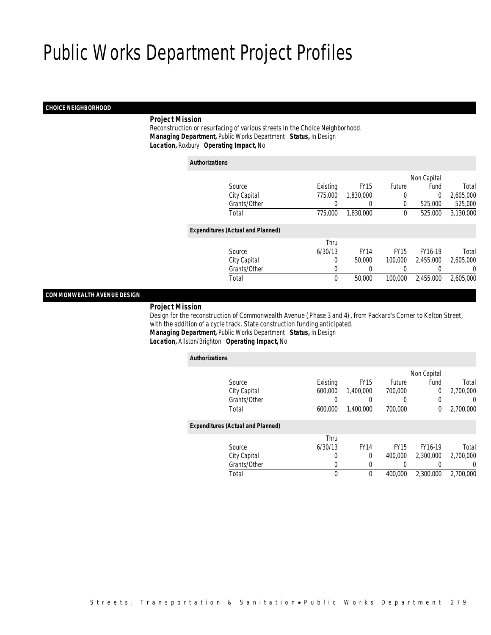#### *CHOICE NEIGHBORHOOD*

#### *Project Mission*

 Reconstruction or resurfacing of various streets in the Choice Neighborhood. *Managing Department,* Public Works Department *Status,* In Design *Location,* Roxbury *Operating Impact,* No

| <b>Authorizations</b>                    |          |                  |             |             |           |
|------------------------------------------|----------|------------------|-------------|-------------|-----------|
|                                          |          |                  |             | Non Capital |           |
| Source                                   | Existing | <b>FY15</b>      | Future      | Fund        | Total     |
| City Capital                             | 775,000  | 1,830,000        | 0           | 0           | 2,605,000 |
| Grants/Other                             | 0        | $\Omega$         | 0           | 525,000     | 525,000   |
| Total                                    | 775,000  | 1,830,000        | 0           | 525,000     | 3,130,000 |
| <b>Expenditures (Actual and Planned)</b> |          |                  |             |             |           |
|                                          | Thru     |                  |             |             |           |
| Source                                   | 6/30/13  | FY <sub>14</sub> | <b>FY15</b> | FY16-19     | Total     |
| City Capital                             | 0        | 50,000           | 100,000     | 2,455,000   | 2,605,000 |
| Grants/Other                             | 0        | 0                | 0           | 0           | 0         |
| Total                                    | 0        | 50,000           | 100,000     | 2,455,000   | 2,605,000 |
|                                          |          |                  |             |             |           |

#### *COMMONWEALTH AVENUE DESIGN*

#### *Project Mission*

 Design for the reconstruction of Commonwealth Avenue (Phase 3 and 4), from Packard's Corner to Kelton Street, with the addition of a cycle track. State construction funding anticipated. *Managing Department,* Public Works Department *Status,* In Design

*Location,* Allston/Brighton *Operating Impact,* No

| <b>Authorizations</b>                    |          |             |                  |                |           |
|------------------------------------------|----------|-------------|------------------|----------------|-----------|
|                                          |          |             |                  | Non Capital    |           |
| Source                                   | Existing | <b>FY15</b> | <b>Future</b>    | Fund           | Total     |
| City Capital                             | 600,000  | 1,400,000   | 700,000          | $\overline{0}$ | 2,700,000 |
| Grants/Other                             | 0        |             | $\left( \right)$ |                | 0         |
| Total                                    | 600.000  | 1.400.000   | 700,000          | 0              | 2.700.000 |
| <b>Expenditures (Actual and Planned)</b> |          |             |                  |                |           |
|                                          | Thru     |             |                  |                |           |
| Source                                   | 6/30/13  | <b>FY14</b> | <b>FY15</b>      | FY16-19        | Total     |
| City Capital                             | 0        | $\Omega$    | 400,000          | 2,300,000      | 2,700,000 |
| Grants/Other                             | 0        |             |                  |                | 0         |
| Total                                    | 0        | $\theta$    | 400,000          | 2,300,000      | 2.700.000 |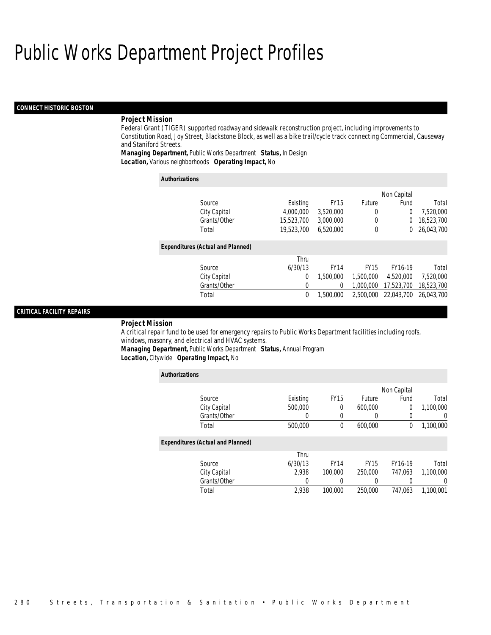#### *CONNECT HISTORIC BOSTON*

#### *Project Mission*

Federal Grant (TIGER) supported roadway and sidewalk reconstruction project, including improvements to Constitution Road, Joy Street, Blackstone Block, as well as a bike trail/cycle track connecting Commercial, Causeway and Staniford Streets.

*Managing Department,* Public Works Department *Status,* In Design *Location,* Various neighborhoods *Operating Impact,* No

| <b>Authorizations</b>                    |            |             |             |             |            |
|------------------------------------------|------------|-------------|-------------|-------------|------------|
|                                          |            |             |             | Non Capital |            |
| Source                                   | Existing   | <b>FY15</b> | Future      | Fund        | Total      |
| City Capital                             | 4.000.000  | 3.520.000   | 0           | 0           | 7,520,000  |
| Grants/Other                             | 15,523,700 | 3,000,000   | $\mathbf 0$ | 0           | 18,523,700 |
| Total                                    | 19,523,700 | 6.520.000   | $\theta$    | $^{0}$      | 26,043,700 |
| <b>Expenditures (Actual and Planned)</b> |            |             |             |             |            |
|                                          | Thru       |             |             |             |            |
| Source                                   | 6/30/13    | <b>FY14</b> | <b>FY15</b> | FY16-19     | Total      |
| City Capital                             | 0          | 1,500,000   | 1,500,000   | 4,520,000   | 7,520,000  |
| Grants/Other                             | 0          | $\Omega$    | 1,000,000   | 17,523,700  | 18,523,700 |
| Total                                    | 0          | 1,500,000   | 2.500.000   | 22.043.700  | 26.043.700 |

#### *CRITICAL FACILITY REPAIRS*

#### *Project Mission*

A critical repair fund to be used for emergency repairs to Public Works Department facilities including roofs, windows, masonry, and electrical and HVAC systems.

*Managing Department,* Public Works Department *Status,* Annual Program

*Location,* Citywide *Operating Impact,* No

| <b>Authorizations</b>                    |          |             |             |             |                  |
|------------------------------------------|----------|-------------|-------------|-------------|------------------|
|                                          |          |             |             | Non Capital |                  |
| Source                                   | Existing | <b>FY15</b> | Future      | Fund        | Total            |
| City Capital                             | 500,000  | 0           | 600.000     | $\Omega$    | 1,100,000        |
| Grants/Other                             | 0        | 0           | 0           |             | $\left($         |
| Total                                    | 500,000  | 0           | 600,000     | $\theta$    | 1,100,000        |
| <b>Expenditures (Actual and Planned)</b> |          |             |             |             |                  |
|                                          | Thru     |             |             |             |                  |
| Source                                   | 6/30/13  | <b>FY14</b> | <b>FY15</b> | FY16-19     | Total            |
| City Capital                             | 2.938    | 100,000     | 250,000     | 747.063     | 1.100.000        |
| Grants/Other                             | 0        | 0           | 0           |             | $\left( \right)$ |
| Total                                    | 2.938    | 100,000     | 250,000     | 747.063     | 1.100.001        |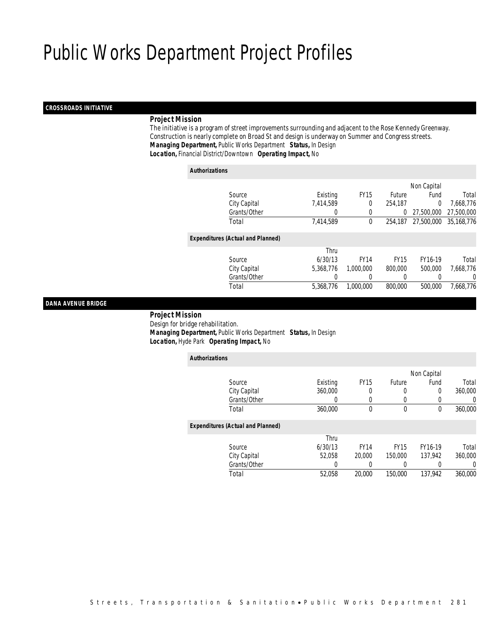#### *CROSSROADS INITIATIVE*

#### *Project Mission*

 The initiative is a program of street improvements surrounding and adjacent to the Rose Kennedy Greenway. Construction is nearly complete on Broad St and design is underway on Summer and Congress streets. *Managing Department,* Public Works Department *Status,* In Design *Location,* Financial District/Downtown *Operating Impact,* No

#### *Authorizations*

|                                          |           |             |               | Non Capital |              |
|------------------------------------------|-----------|-------------|---------------|-------------|--------------|
| Source                                   | Existing  | <b>FY15</b> | <b>Future</b> | Fund        | Total        |
| City Capital                             | 7,414,589 | $\Omega$    | 254.187       | 0           | 7,668,776    |
| Grants/Other                             | $\Omega$  |             | 0             | 27,500,000  | 27,500,000   |
| Total                                    | 7,414,589 | 0           | 254,187       | 27,500,000  | 35, 168, 776 |
| <b>Expenditures (Actual and Planned)</b> |           |             |               |             |              |
|                                          | Thru      |             |               |             |              |
| Source                                   | 6/30/13   | <b>FY14</b> | <b>FY15</b>   | FY16-19     | Total        |
| City Capital                             | 5.368.776 | 1.000.000   | 800,000       | 500,000     | 7,668,776    |
| Grants/Other                             | 0         | 0           | $\left($      | 0           | 0            |
| Total                                    | 5,368,776 | 1,000,000   | 800,000       | 500,000     | 7,668,776    |
|                                          |           |             |               |             |              |

#### *DANA AVENUE BRIDGE*

 *Project Mission* Design for bridge rehabilitation. *Managing Department,* Public Works Department *Status,* In Design *Location,* Hyde Park *Operating Impact,* No

| <b>Authorizations</b>                    |          |             |               |             |         |
|------------------------------------------|----------|-------------|---------------|-------------|---------|
|                                          |          |             |               | Non Capital |         |
| Source                                   | Existing | <b>FY15</b> | <b>Future</b> | Fund        | Total   |
| City Capital                             | 360,000  | 0           | $\left($      | 0           | 360,000 |
| Grants/Other                             |          | 0           | $\left($      |             | 0       |
| Total                                    | 360,000  | 0           | $\mathbf 0$   | 0           | 360,000 |
| <b>Expenditures (Actual and Planned)</b> |          |             |               |             |         |
|                                          | Thru     |             |               |             |         |
| Source                                   | 6/30/13  | <b>FY14</b> | <b>FY15</b>   | FY16-19     | Total   |
| City Capital                             | 52,058   | 20,000      | 150,000       | 137.942     | 360,000 |
| Grants/Other                             |          |             |               |             | 0       |
| Total                                    | 52,058   | 20,000      | 150,000       | 137,942     | 360,000 |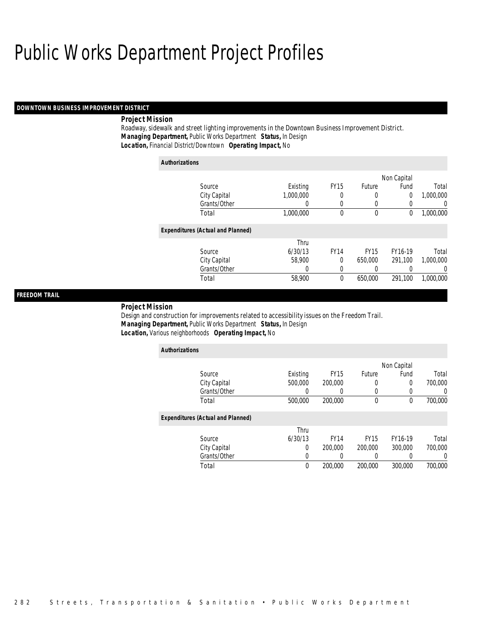#### *DOWNTOWN BUSINESS IMPROVEMENT DISTRICT*

#### *Project Mission*

Roadway, sidewalk and street lighting improvements in the Downtown Business Improvement District. *Managing Department,* Public Works Department *Status,* In Design *Location,* Financial District/Downtown *Operating Impact,* No

| <b>Authorizations</b> |                                          |           |             |             |                |           |
|-----------------------|------------------------------------------|-----------|-------------|-------------|----------------|-----------|
|                       |                                          |           |             |             | Non Capital    |           |
|                       | Source                                   | Existing  | <b>FY15</b> | Future      | Fund           | Total     |
|                       | City Capital                             | 1.000.000 | 0           | 0           | $\overline{0}$ | 1,000,000 |
|                       | Grants/Other                             | 0         | 0           | 0           |                | 0         |
|                       | Total                                    | 1,000,000 | 0           | 0           | 0              | 1,000,000 |
|                       | <b>Expenditures (Actual and Planned)</b> |           |             |             |                |           |
|                       |                                          | Thru      |             |             |                |           |
|                       | Source                                   | 6/30/13   | <b>FY14</b> | <b>FY15</b> | FY16-19        | Total     |
|                       | City Capital                             | 58,900    | 0           | 650,000     | 291.100        | 1.000.000 |
|                       | Grants/Other                             | $\left($  | 0           | 0           |                | 0         |
|                       | Total                                    | 58,900    | 0           | 650,000     | 291.100        | 1,000,000 |

#### *FREEDOM TRAIL*

#### *Project Mission*

Design and construction for improvements related to accessibility issues on the Freedom Trail. *Managing Department,* Public Works Department *Status,* In Design *Location,* Various neighborhoods *Operating Impact,* No

| <b>Authorizations</b>                    |          |             |             |             |         |
|------------------------------------------|----------|-------------|-------------|-------------|---------|
|                                          |          |             |             | Non Capital |         |
| Source                                   | Existing | <b>FY15</b> | Future      | Fund        | Total   |
| City Capital                             | 500,000  | 200,000     | 0           | 0           | 700,000 |
| Grants/Other                             | 0        | 0           |             | 0           | 0       |
| Total                                    | 500,000  | 200,000     | $\mathbf 0$ | 0           | 700,000 |
| <b>Expenditures (Actual and Planned)</b> |          |             |             |             |         |
|                                          | Thru     |             |             |             |         |
| Source                                   | 6/30/13  | <b>FY14</b> | <b>FY15</b> | FY16-19     | Total   |
| City Capital                             | 0        | 200,000     | 200,000     | 300,000     | 700,000 |
| Grants/Other                             | 0        | 0           |             | 0           | 0       |
| Total                                    | 0        | 200,000     | 200,000     | 300,000     | 700,000 |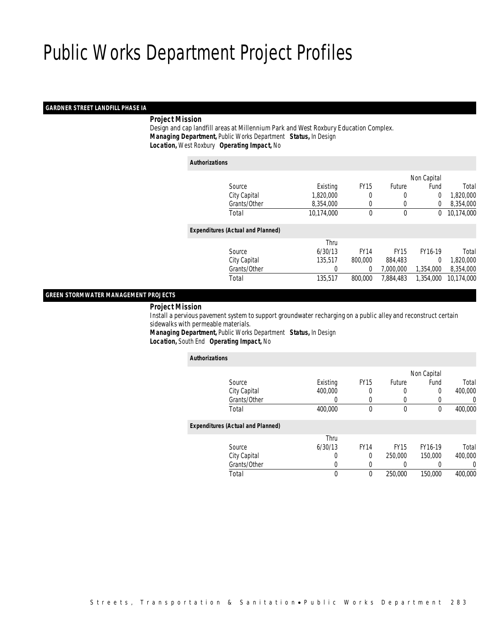#### *GARDNER STREET LANDFILL PHASE IA*

#### *Project Mission*

 Design and cap landfill areas at Millennium Park and West Roxbury Education Complex. *Managing Department,* Public Works Department *Status,* In Design *Location,* West Roxbury *Operating Impact,* No

#### *Authorizations*

|                                          |            |             |             | Non Capital    |            |
|------------------------------------------|------------|-------------|-------------|----------------|------------|
| Source                                   | Existing   | <b>FY15</b> | Future      | Fund           | Total      |
| City Capital                             | 1,820,000  | 0           | 0           | $\overline{0}$ | 1,820,000  |
| Grants/Other                             | 8,354,000  | 0           | 0           | 0              | 8,354,000  |
| Total                                    | 10,174,000 | 0           | 0           | $\Omega$       | 10,174,000 |
|                                          |            |             |             |                |            |
| <b>Expenditures (Actual and Planned)</b> |            |             |             |                |            |
|                                          | Thru       |             |             |                |            |
| Source                                   | 6/30/13    | <b>FY14</b> | <b>FY15</b> | FY16-19        | Total      |
| City Capital                             | 135,517    | 800,000     | 884,483     | $\Omega$       | 1,820,000  |
| Grants/Other                             | 0          | 0           | 7.000.000   | 1.354.000      | 8,354,000  |
| Total                                    | 135,517    | 800,000     | 7,884,483   | 1,354,000      | 10,174,000 |
|                                          |            |             |             |                |            |

#### *GREEN STORMWATER MANAGEMENT PROJECTS*

#### *Project Mission*

 Install a pervious pavement system to support groundwater recharging on a public alley and reconstruct certain sidewalks with permeable materials. *Managing Department,* Public Works Department *Status,* In Design

*Location,* South End *Operating Impact,* No

| <b>Authorizations</b>                    |              |          |             |             |             |         |
|------------------------------------------|--------------|----------|-------------|-------------|-------------|---------|
|                                          |              |          |             |             | Non Capital |         |
|                                          | Source       | Existing | <b>FY15</b> | Future      | Fund        | Total   |
|                                          | City Capital | 400,000  | 0           | 0           | 0           | 400,000 |
|                                          | Grants/Other | 0        | 0           | 0           |             | 0       |
|                                          | Total        | 400,000  | 0           | $\mathbf 0$ | 0           | 400,000 |
| <b>Expenditures (Actual and Planned)</b> |              |          |             |             |             |         |
|                                          |              | Thru     |             |             |             |         |
|                                          | Source       | 6/30/13  | <b>FY14</b> | <b>FY15</b> | FY16-19     | Total   |
|                                          | City Capital | 0        | 0           | 250,000     | 150,000     | 400,000 |
|                                          | Grants/Other | 0        | 0           | 0           | 0           | 0       |
|                                          | Total        | 0        | 0           | 250,000     | 150,000     | 400,000 |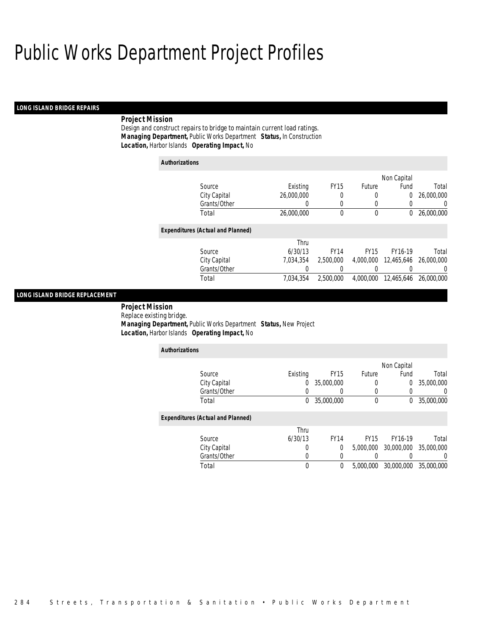#### *LONG ISLAND BRIDGE REPAIRS*

#### *Project Mission*

Design and construct repairs to bridge to maintain current load ratings. *Managing Department,* Public Works Department *Status,* In Construction *Location,* Harbor Islands *Operating Impact,* No

| <b>Authorizations</b>                    |            |             |                  |                       |            |
|------------------------------------------|------------|-------------|------------------|-----------------------|------------|
|                                          |            |             |                  | Non Capital           |            |
| Source                                   | Existing   | <b>FY15</b> | Future           | Fund                  | Total      |
| City Capital                             | 26,000,000 | 0           |                  | 0                     | 26,000,000 |
| Grants/Other                             |            | 0           | $\left( \right)$ | 0                     | $\cup$     |
| Total                                    | 26,000,000 | 0           | 0                | 0                     | 26,000,000 |
| <b>Expenditures (Actual and Planned)</b> |            |             |                  |                       |            |
|                                          | Thru       |             |                  |                       |            |
| Source                                   | 6/30/13    | <b>FY14</b> | <b>FY15</b>      | FY16-19               | Total      |
| City Capital                             | 7,034,354  | 2,500,000   | 4,000,000        | 12,465,646 26,000,000 |            |
| Grants/Other                             |            | 0           |                  | 0                     |            |
| Total                                    | 7.034.354  | 2.500.000   | 4.000.000        | 12.465.646            | 26,000,000 |

#### *LONG ISLAND BRIDGE REPLACEMENT*

 *Project Mission* Replace existing bridge. *Managing Department,* Public Works Department *Status,* New Project *Location,* Harbor Islands *Operating Impact,* No

| <b>Authorizations</b>                    |          |             |             |             |            |
|------------------------------------------|----------|-------------|-------------|-------------|------------|
|                                          |          |             |             | Non Capital |            |
| Source                                   | Existing | <b>FY15</b> | Future      | Fund        | Total      |
| City Capital                             | 0        | 35,000,000  | 0           | 0           | 35,000,000 |
| Grants/Other                             | 0        |             | 0           | 0           |            |
| Total                                    | 0        | 35,000,000  | 0           | 0           | 35,000,000 |
| <b>Expenditures (Actual and Planned)</b> |          |             |             |             |            |
|                                          | Thru     |             |             |             |            |
| Source                                   | 6/30/13  | <b>FY14</b> | <b>FY15</b> | FY16-19     | Total      |
| City Capital                             | 0        | $\theta$    | 5,000,000   | 30,000,000  | 35,000,000 |
| Grants/Other                             | 0        | $\left($    |             |             |            |
| Total                                    | 0        | 0           | 5,000,000   | 30,000,000  | 35,000,000 |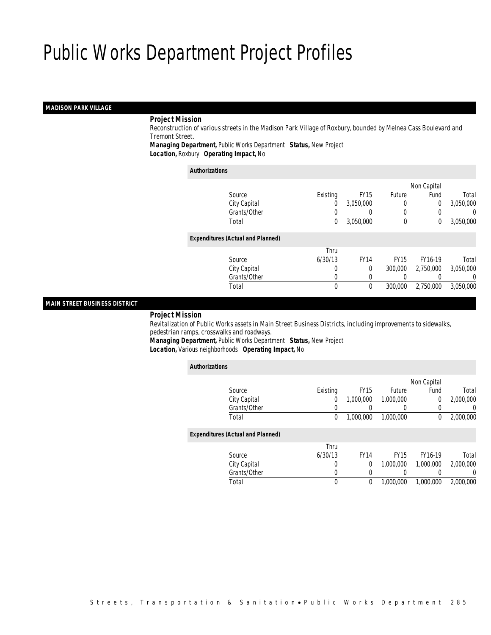#### *MADISON PARK VILLAGE*

#### *Project Mission*

 Reconstruction of various streets in the Madison Park Village of Roxbury, bounded by Melnea Cass Boulevard and Tremont Street.

*Managing Department,* Public Works Department *Status,* New Project *Location,* Roxbury *Operating Impact,* No

#### *Authorizations*

|                                          |          |             |             | Non Capital |           |
|------------------------------------------|----------|-------------|-------------|-------------|-----------|
| Source                                   | Existing | <b>FY15</b> | Future      | Fund        | Total     |
| City Capital                             | 0        | 3,050,000   | 0           | 0           | 3,050,000 |
| Grants/Other                             | 0        |             | $\left($    |             | 0         |
| Total                                    | 0        | 3,050,000   | $\mathbf 0$ | 0           | 3,050,000 |
| <b>Expenditures (Actual and Planned)</b> |          |             |             |             |           |
|                                          | Thru     |             |             |             |           |
| Source                                   | 6/30/13  | <b>FY14</b> | <b>FY15</b> | FY16-19     | Total     |
| City Capital                             | 0        | $\theta$    | 300,000     | 2,750,000   | 3,050,000 |
| Grants/Other                             | 0        |             | 0           |             | 0         |
| Total                                    | 0        | $\theta$    | 300,000     | 2,750,000   | 3,050,000 |
|                                          |          |             |             |             |           |

#### *MAIN STREET BUSINESS DISTRICT*

#### *Project Mission*

 Revitalization of Public Works assets in Main Street Business Districts, including improvements to sidewalks, pedestrian ramps, crosswalks and roadways.

*Managing Department,* Public Works Department *Status,* New Project *Location,* Various neighborhoods *Operating Impact,* No

| <b>Authorizations</b>                    |          |             |             |             |           |
|------------------------------------------|----------|-------------|-------------|-------------|-----------|
|                                          |          |             |             | Non Capital |           |
| Source                                   | Existing | <b>FY15</b> | Future      | Fund        | Total     |
| City Capital                             | 0        | 1.000.000   | 1.000.000   | 0           | 2.000.000 |
| Grants/Other                             | $\left($ |             | 0           | 0           | U         |
| Total                                    | 0        | 1,000,000   | 1,000,000   | 0           | 2,000,000 |
| <b>Expenditures (Actual and Planned)</b> |          |             |             |             |           |
|                                          | Thru     |             |             |             |           |
| Source                                   | 6/30/13  | <b>FY14</b> | <b>FY15</b> | FY16-19     | Total     |
| City Capital                             | 0        | 0           | 1.000.000   | 1,000,000   | 2,000,000 |
| Grants/Other                             | 0        | 0           | 0           |             | 0         |
| Total                                    | 0        | 0           | 1.000.000   | 1.000.000   | 2.000.000 |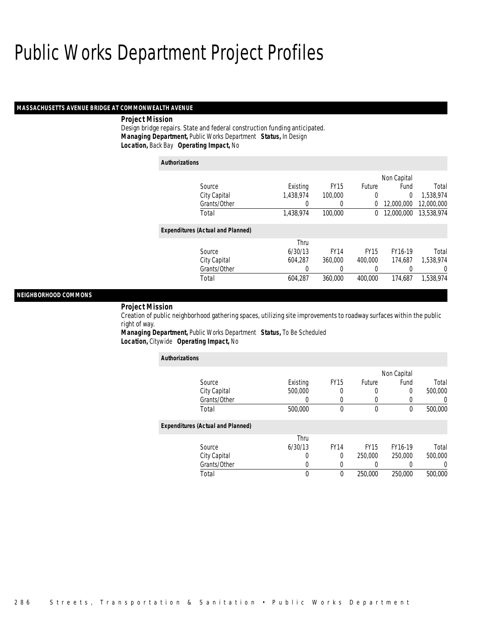#### *MASSACHUSETTS AVENUE BRIDGE AT COMMONWEALTH AVENUE*

#### *Project Mission*

Design bridge repairs. State and federal construction funding anticipated. *Managing Department,* Public Works Department *Status,* In Design *Location,* Back Bay *Operating Impact,* No

| <b>Authorizations</b>                    |              |           |             |             |             |                |
|------------------------------------------|--------------|-----------|-------------|-------------|-------------|----------------|
|                                          |              |           |             |             | Non Capital |                |
| Source                                   |              | Existing  | <b>FY15</b> | Future      | Fund        | Total          |
|                                          | City Capital | 1.438.974 | 100,000     | 0           | 0           | 1.538.974      |
|                                          | Grants/Other | 0         | $\left($    | 0           | 12,000,000  | 12,000,000     |
| Total                                    |              | 1.438.974 | 100,000     | 0           | 12,000,000  | 13,538,974     |
| <b>Expenditures (Actual and Planned)</b> |              |           |             |             |             |                |
|                                          |              | Thru      |             |             |             |                |
| Source                                   |              | 6/30/13   | <b>FY14</b> | <b>FY15</b> | FY16-19     | Total          |
|                                          | City Capital | 604.287   | 360,000     | 400,000     | 174.687     | 1.538.974      |
|                                          | Grants/Other | 0         | $\left($    | 0           | 0           | $\overline{0}$ |
| Total                                    |              | 604.287   | 360,000     | 400,000     | 174.687     | 1.538.974      |

#### *NEIGHBORHOOD COMMONS*

*Project Mission* 

Creation of public neighborhood gathering spaces, utilizing site improvements to roadway surfaces within the public right of way.

*Managing Department,* Public Works Department *Status,* To Be Scheduled *Location,* Citywide *Operating Impact,* No

| <b>Authorizations</b>                    |          |             |             |             |         |
|------------------------------------------|----------|-------------|-------------|-------------|---------|
|                                          |          |             |             | Non Capital |         |
| Source                                   | Existing | <b>FY15</b> | Future      | Fund        | Total   |
| City Capital                             | 500,000  | 0           | 0           | 0           | 500,000 |
| Grants/Other                             | O        |             |             | 0           |         |
| Total                                    | 500,000  | $\theta$    | $\theta$    | $\theta$    | 500,000 |
| <b>Expenditures (Actual and Planned)</b> |          |             |             |             |         |
|                                          | Thru     |             |             |             |         |
| Source                                   | 6/30/13  | <b>FY14</b> | <b>FY15</b> | FY16-19     | Total   |
| City Capital                             | U        | 0           | 250,000     | 250,000     | 500,000 |
| Grants/Other                             | 0        | 0           |             | 0           |         |
| Total                                    | 0        | $\theta$    | 250,000     | 250,000     | 500,000 |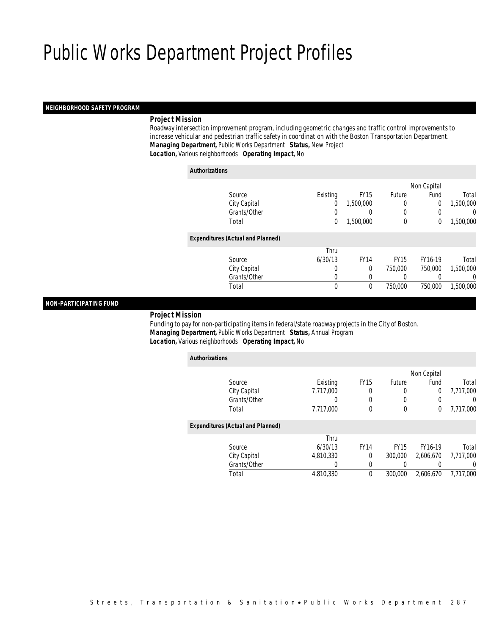#### *NEIGHBORHOOD SAFETY PROGRAM*

#### *Project Mission*

 Roadway intersection improvement program, including geometric changes and traffic control improvements to increase vehicular and pedestrian traffic safety in coordination with the Boston Transportation Department. *Managing Department,* Public Works Department *Status,* New Project *Location,* Various neighborhoods *Operating Impact,* No

#### *Authorizations*

|                                          |          |             |             | Non Capital    |           |
|------------------------------------------|----------|-------------|-------------|----------------|-----------|
| Source                                   | Existing | <b>FY15</b> | Future      | Fund           | Total     |
| City Capital                             | 0        | 1,500,000   | 0           | $\overline{0}$ | 1,500,000 |
| Grants/Other                             | 0        |             | $\left($    |                | 0         |
| Total                                    | 0        | 1,500,000   | $\mathbf 0$ | 0              | 1,500,000 |
| <b>Expenditures (Actual and Planned)</b> |          |             |             |                |           |
|                                          | Thru     |             |             |                |           |
| Source                                   | 6/30/13  | <b>FY14</b> | <b>FY15</b> | FY16-19        | Total     |
| City Capital                             | 0        | $\theta$    | 750,000     | 750,000        | 1,500,000 |
| Grants/Other                             | 0        |             | $\left($    |                | 0         |
| Total                                    | 0        | $\theta$    | 750,000     | 750,000        | 1,500,000 |
|                                          |          |             |             |                |           |

#### *NON-PARTICIPATING FUND*

*Project Mission*

 Funding to pay for non-participating items in federal/state roadway projects in the City of Boston. *Managing Department,* Public Works Department *Status,* Annual Program *Location,* Various neighborhoods *Operating Impact,* No

### *Authorizations*

|                                          |                  |             |               | Non Capital |           |
|------------------------------------------|------------------|-------------|---------------|-------------|-----------|
| Source                                   | Existing         | <b>FY15</b> | <b>Future</b> | Fund        | Total     |
| City Capital                             | 7,717,000        |             | 0             | 0           | 7,717,000 |
| Grants/Other                             | $\left( \right)$ |             | 0             |             | 0         |
| Total                                    | 7,717,000        | 0           | 0             | 0           | 7,717,000 |
| <b>Expenditures (Actual and Planned)</b> |                  |             |               |             |           |
|                                          | Thru             |             |               |             |           |
| Source                                   | 6/30/13          | <b>FY14</b> | <b>FY15</b>   | FY16-19     | Total     |
| City Capital                             | 4,810,330        |             | 300,000       | 2,606,670   | 7.717.000 |
| Grants/Other                             | 0                |             |               |             | 0         |
| Total                                    | 4,810,330        |             | 300,000       | 2,606,670   | 7.717.000 |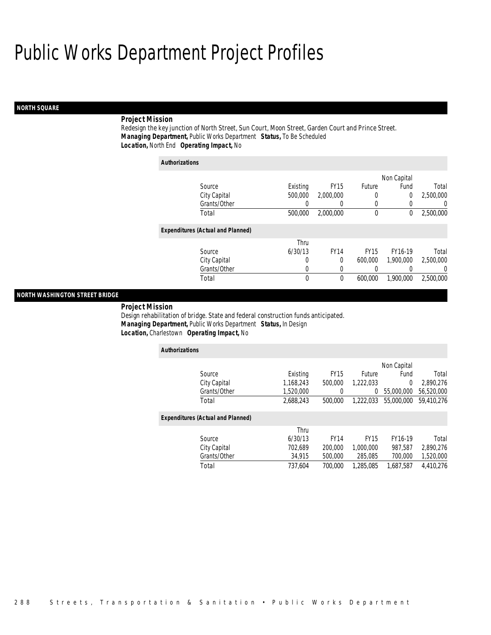#### *NORTH SQUARE*

#### *Project Mission*

Redesign the key junction of North Street, Sun Court, Moon Street, Garden Court and Prince Street. *Managing Department,* Public Works Department *Status,* To Be Scheduled *Location,* North End *Operating Impact,* No

#### *Authorizations* Source **Existing** FY15 Future Non Capital Fund Total City Capital 500,000 2,000,000 0 0 2,500,000 Grants/Other 0 0 0 0 0 0 Total 500,000 2,000,000 0 0 2,500,000*Expenditures (Actual and Planned)* Source Thru<br>6/30/13 6/30/13 FY14 FY15 FY16-19 Total City Capital 0 0 600,000 1,900,000 2,500,000 Grants/Other 0 0 0 0 0 0 Total 0 0 600,000 1,900,000 2,500,000

#### *NORTH WASHINGTON STREET BRIDGE*

 *Project Mission* Design rehabilitation of bridge. State and federal construction funds anticipated. *Managing Department,* Public Works Department *Status,* In Design

*Location,* Charlestown *Operating Impact,* No

| <b>Authorizations</b>                    |           |             |             |             |            |  |  |
|------------------------------------------|-----------|-------------|-------------|-------------|------------|--|--|
|                                          |           |             |             | Non Capital |            |  |  |
| Source                                   | Existing  | <b>FY15</b> | Future      | Fund        | Total      |  |  |
| City Capital                             | 1.168.243 | 500,000     | 1.222.033   | $\Omega$    | 2,890,276  |  |  |
| Grants/Other                             | 1.520.000 | 0           | 0           | 55,000,000  | 56,520,000 |  |  |
| Total                                    | 2.688.243 | 500,000     | 1.222.033   | 55,000,000  | 59,410,276 |  |  |
| <b>Expenditures (Actual and Planned)</b> |           |             |             |             |            |  |  |
|                                          | Thru      |             |             |             |            |  |  |
| Source                                   | 6/30/13   | <b>FY14</b> | <b>FY15</b> | FY16-19     | Total      |  |  |
| City Capital                             | 702.689   | 200,000     | 1.000.000   | 987,587     | 2,890,276  |  |  |
| Grants/Other                             | 34.915    | 500,000     | 285.085     | 700,000     | 1,520,000  |  |  |
| Total                                    | 737.604   | 700,000     | 1.285.085   | 1.687.587   | 4.410.276  |  |  |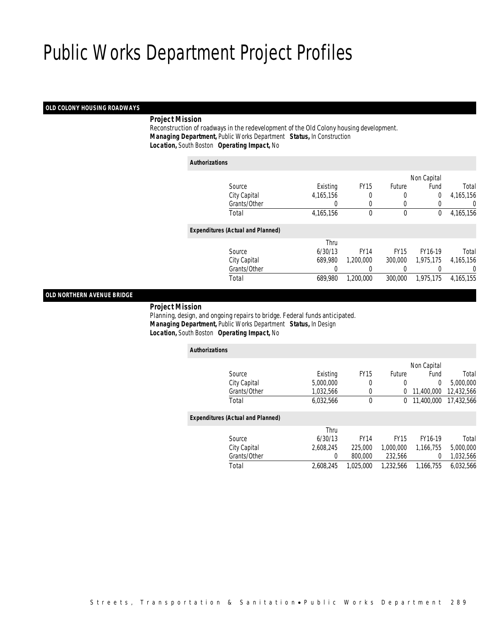#### *OLD COLONY HOUSING ROADWAYS*

#### *Project Mission*

 Reconstruction of roadways in the redevelopment of the Old Colony housing development. *Managing Department,* Public Works Department *Status,* In Construction *Location,* South Boston *Operating Impact,* No

*Authorizations*

|                                          |           |             |              | Non Capital    |           |
|------------------------------------------|-----------|-------------|--------------|----------------|-----------|
| Source                                   | Existing  | <b>FY15</b> | Future       | Fund           | Total     |
| City Capital                             | 4,165,156 | 0           | 0            | $\overline{0}$ | 4,165,156 |
| Grants/Other                             | 0         | 0           | 0            |                | 0         |
| Total                                    | 4,165,156 | 0           | $\mathbf{0}$ | 0              | 4,165,156 |
| <b>Expenditures (Actual and Planned)</b> |           |             |              |                |           |
|                                          | Thru      |             |              |                |           |
| Source                                   | 6/30/13   | <b>FY14</b> | <b>FY15</b>  | FY16-19        | Total     |
| City Capital                             | 689,980   | 1,200,000   | 300,000      | 1,975,175      | 4,165,156 |
| Grants/Other                             | 0         |             | 0            |                | 0         |
| Total                                    | 689,980   | 1,200,000   | 300,000      | 1,975,175      | 4,165,155 |
|                                          |           |             |              |                |           |

#### *OLD NORTHERN AVENUE BRIDGE*

#### *Project Mission*

 Planning, design, and ongoing repairs to bridge. Federal funds anticipated. *Managing Department,* Public Works Department *Status,* In Design *Location,* South Boston *Operating Impact,* No

| <b>Authorizations</b>                    |           |             |             |             |            |
|------------------------------------------|-----------|-------------|-------------|-------------|------------|
|                                          |           |             |             | Non Capital |            |
| Source                                   | Existing  | <b>FY15</b> | Future      | Fund        | Total      |
| City Capital                             | 5,000,000 | 0           | 0           | $\Omega$    | 5,000,000  |
| Grants/Other                             | 1,032,566 | 0           | 0           | 11,400,000  | 12.432.566 |
| Total                                    | 6.032.566 | 0           | $\Omega$    | 11,400,000  | 17,432,566 |
| <b>Expenditures (Actual and Planned)</b> |           |             |             |             |            |
|                                          | Thru      |             |             |             |            |
| Source                                   | 6/30/13   | <b>FY14</b> | <b>FY15</b> | FY16-19     | Total      |
| City Capital                             | 2.608.245 | 225,000     | 1.000.000   | 1.166.755   | 5,000,000  |
| Grants/Other                             | 0         | 800,000     | 232.566     | $\Omega$    | 1,032,566  |
| Total                                    | 2.608.245 | 1,025,000   | 1.232.566   | 1,166,755   | 6.032.566  |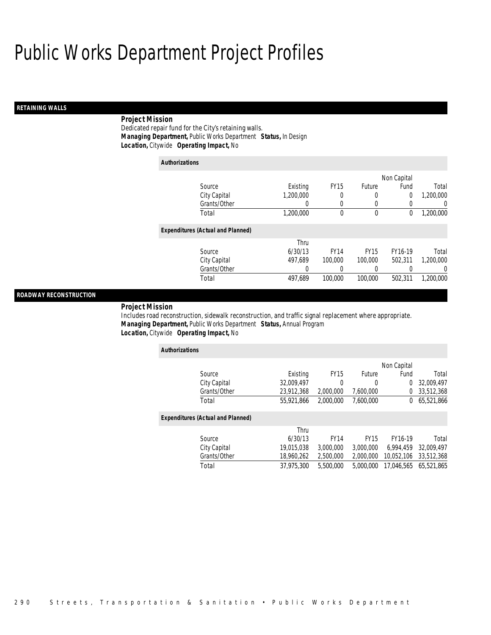#### *RETAINING WALLS*

#### *Project Mission*

Dedicated repair fund for the City's retaining walls. *Managing Department,* Public Works Department *Status,* In Design *Location,* Citywide *Operating Impact,* No

| <b>Authorizations</b>                    |           |             |             |             |           |
|------------------------------------------|-----------|-------------|-------------|-------------|-----------|
|                                          |           |             |             | Non Capital |           |
| Source                                   | Existing  | <b>FY15</b> | Future      | Fund        | Total     |
| City Capital                             | 1,200,000 | 0           | 0           | 0           | 1,200,000 |
| Grants/Other                             | 0         | 0           | 0           |             | 0         |
| Total                                    | 1,200,000 | 0           | 0           | 0           | 1,200,000 |
| <b>Expenditures (Actual and Planned)</b> |           |             |             |             |           |
|                                          | Thru      |             |             |             |           |
| Source                                   | 6/30/13   | <b>FY14</b> | <b>FY15</b> | FY16-19     | Total     |
| City Capital                             | 497.689   | 100,000     | 100,000     | 502.311     | 1,200,000 |
| Grants/Other                             |           |             | 0           |             | 0         |
| Total                                    | 497,689   | 100,000     | 100,000     | 502,311     | 1,200,000 |

#### *ROADWAY RECONSTRUCTION*

#### *Project Mission*

Includes road reconstruction, sidewalk reconstruction, and traffic signal replacement where appropriate. *Managing Department,* Public Works Department *Status,* Annual Program *Location,* Citywide *Operating Impact,* No

| <b>Authorizations</b>                    |            |             |             |             |            |
|------------------------------------------|------------|-------------|-------------|-------------|------------|
|                                          |            |             |             | Non Capital |            |
| Source                                   | Existing   | <b>FY15</b> | Future      | Fund        | Total      |
| City Capital                             | 32.009.497 | 0           | $\Omega$    | 0           | 32,009,497 |
| Grants/Other                             | 23,912,368 | 2,000,000   | 7,600,000   | 0           | 33,512,368 |
| Total                                    | 55,921,866 | 2.000.000   | 7.600.000   | 0           | 65,521,866 |
| <b>Expenditures (Actual and Planned)</b> |            |             |             |             |            |
|                                          | Thru       |             |             |             |            |
| Source                                   | 6/30/13    | <b>FY14</b> | <b>FY15</b> | FY16-19     | Total      |
| City Capital                             | 19,015,038 | 3,000,000   | 3.000.000   | 6.994.459   | 32.009.497 |
| Grants/Other                             | 18,960,262 | 2,500,000   | 2,000,000   | 10,052,106  | 33,512,368 |
| Total                                    | 37.975.300 | 5,500,000   | 5.000.000   | 17.046.565  | 65.521.865 |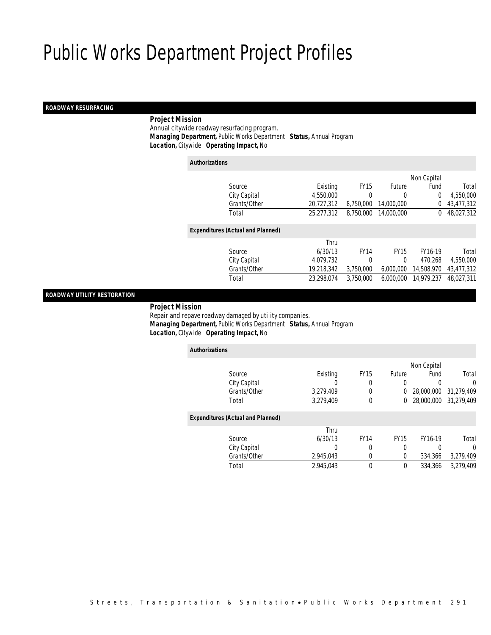#### *ROADWAY RESURFACING*

#### *Project Mission*

 Annual citywide roadway resurfacing program. *Managing Department,* Public Works Department *Status,* Annual Program *Location,* Citywide *Operating Impact,* No

*Authorizations*

|                                          |            |             |             | Non Capital    |            |
|------------------------------------------|------------|-------------|-------------|----------------|------------|
| Source                                   | Existing   | <b>FY15</b> | Future      | Fund           | Total      |
| City Capital                             | 4.550.000  | 0           | 0           | $\overline{0}$ | 4,550,000  |
| Grants/Other                             | 20,727,312 | 8.750.000   | 14,000,000  | $\Omega$       | 43,477,312 |
| Total                                    | 25,277,312 | 8,750,000   | 14.000.000  | $\mathbf{0}$   | 48,027,312 |
|                                          |            |             |             |                |            |
| <b>Expenditures (Actual and Planned)</b> |            |             |             |                |            |
|                                          | Thru       |             |             |                |            |
| Source                                   | 6/30/13    | <b>FY14</b> | <b>FY15</b> | FY16-19        | Total      |
| City Capital                             | 4.079.732  | $\Omega$    | $\theta$    | 470.268        | 4,550,000  |
| Grants/Other                             | 19,218,342 | 3,750,000   | 6,000,000   | 14,508,970     | 43,477,312 |
| Total                                    | 23,298,074 | 3,750,000   | 6.000.000   | 14,979,237     | 48,027,311 |
|                                          |            |             |             |                |            |

#### *ROADWAY UTILITY RESTORATION*

#### *Project Mission*

 Repair and repave roadway damaged by utility companies. *Managing Department,* Public Works Department *Status,* Annual Program *Location,* Citywide *Operating Impact,* No

| <b>Authorizations</b>                    |           |             |             |             |            |
|------------------------------------------|-----------|-------------|-------------|-------------|------------|
|                                          |           |             |             | Non Capital |            |
| Source                                   | Existing  | <b>FY15</b> | Future      | Fund        | Total      |
| City Capital                             | 0         | 0           |             | 0           | 0          |
| Grants/Other                             | 3,279,409 | 0           | 0           | 28,000,000  | 31,279,409 |
| Total                                    | 3,279,409 | 0           | 0           | 28,000,000  | 31,279,409 |
| <b>Expenditures (Actual and Planned)</b> |           |             |             |             |            |
|                                          | Thru      |             |             |             |            |
| Source                                   | 6/30/13   | <b>FY14</b> | <b>FY15</b> | FY16-19     | Total      |
| City Capital                             | $\Omega$  | 0           | 0           | 0           | 0          |
| Grants/Other                             | 2,945,043 | 0           | $\theta$    | 334,366     | 3,279,409  |
| Total                                    | 2,945,043 | $\theta$    | 0           | 334,366     | 3.279.409  |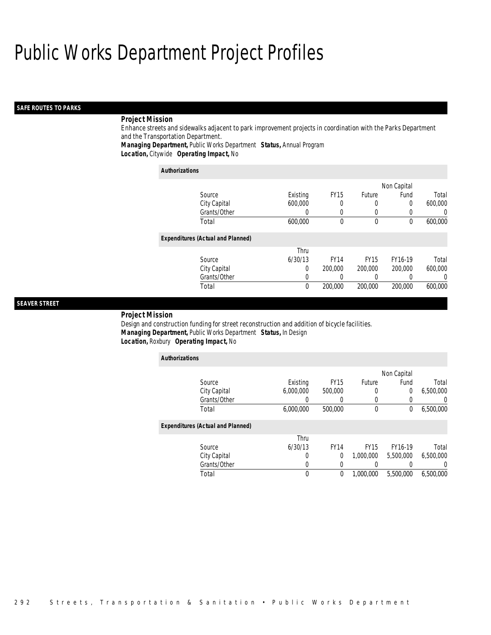#### *SAFE ROUTES TO PARKS*

#### *Project Mission*

Enhance streets and sidewalks adjacent to park improvement projects in coordination with the Parks Department and the Transportation Department.

*Managing Department,* Public Works Department *Status,* Annual Program

*Location,* Citywide *Operating Impact,* No

| <b>Authorizations</b>                    |          |             |             |             |         |
|------------------------------------------|----------|-------------|-------------|-------------|---------|
|                                          |          |             |             | Non Capital |         |
| Source                                   | Existing | <b>FY15</b> | Future      | Fund        | Total   |
| City Capital                             | 600,000  | 0           |             | $\Omega$    | 600,000 |
| Grants/Other                             | 0        | 0           |             | 0           | 0       |
| Total                                    | 600,000  | 0           | $\mathbf 0$ | 0           | 600,000 |
| <b>Expenditures (Actual and Planned)</b> |          |             |             |             |         |
|                                          | Thru     |             |             |             |         |
| Source                                   | 6/30/13  | <b>FY14</b> | <b>FY15</b> | FY16-19     | Total   |
| City Capital                             | 0        | 200,000     | 200,000     | 200,000     | 600,000 |
| Grants/Other                             | 0        |             |             | 0           | 0       |
| Total                                    | 0        | 200,000     | 200,000     | 200,000     | 600.000 |

#### *SEAVER STREET*

#### *Project Mission*

Design and construction funding for street reconstruction and addition of bicycle facilities. *Managing Department,* Public Works Department *Status,* In Design *Location,* Roxbury *Operating Impact,* No

| <b>Authorizations</b>                    |                  |             |             |             |                |
|------------------------------------------|------------------|-------------|-------------|-------------|----------------|
|                                          |                  |             |             | Non Capital |                |
| Source                                   | Existing         | <b>FY15</b> | Future      | Fund        | Total          |
| City Capital                             | 6.000.000        | 500,000     | 0           | $\theta$    | 6,500,000      |
| Grants/Other                             |                  |             | 0           |             | $\overline{0}$ |
| Total                                    | 6,000,000        | 500,000     | $\mathbf 0$ | $\theta$    | 6,500,000      |
| <b>Expenditures (Actual and Planned)</b> |                  |             |             |             |                |
|                                          | Thru             |             |             |             |                |
| Source                                   | 6/30/13          | <b>FY14</b> | <b>FY15</b> | FY16-19     | Total          |
| City Capital                             | $\left( \right)$ | 0           | 1.000.000   | 5,500,000   | 6.500.000      |
| Grants/Other                             | U                | 0           |             |             | $\overline{0}$ |
| Total                                    | 0                | 0           | 1.000.000   | 5,500,000   | 6.500.000      |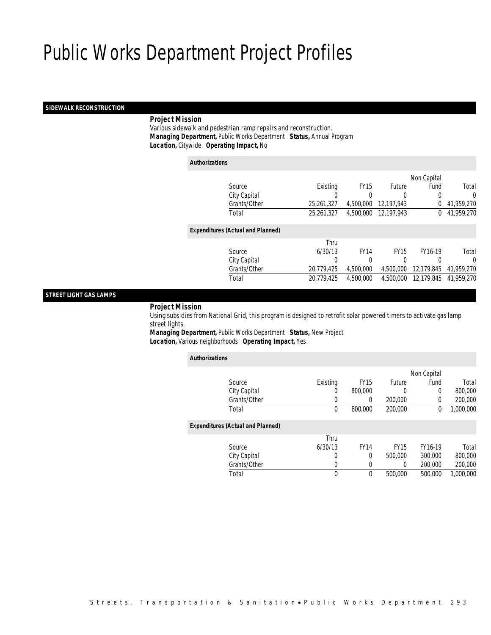#### *SIDEWALK RECONSTRUCTION*

#### *Project Mission*

 Various sidewalk and pedestrian ramp repairs and reconstruction. *Managing Department,* Public Works Department *Status,* Annual Program *Location,* Citywide *Operating Impact,* No

| <b>Authorizations</b>                    |              |             |             |                |            |
|------------------------------------------|--------------|-------------|-------------|----------------|------------|
|                                          |              |             |             | Non Capital    |            |
| Source                                   | Existing     | <b>FY15</b> | Future      | Fund           | Total      |
| City Capital                             | 0            | 0           | 0           | 0              | $\Omega$   |
| Grants/Other                             | 25, 261, 327 | 4.500.000   | 12,197,943  | $\overline{0}$ | 41,959,270 |
| Total                                    | 25,261,327   | 4.500.000   | 12.197.943  | $\Omega$       | 41.959.270 |
| <b>Expenditures (Actual and Planned)</b> |              |             |             |                |            |
|                                          | Thru         |             |             |                |            |
| Source                                   | 6/30/13      | <b>FY14</b> | <b>FY15</b> | FY16-19        | Total      |
| City Capital                             | 0            | 0           | 0           |                | $\Omega$   |
| Grants/Other                             | 20,779,425   | 4.500.000   | 4.500.000   | 12,179,845     | 41.959.270 |
| Total                                    | 20,779,425   | 4,500,000   | 4.500.000   | 12.179.845     | 41.959.270 |

#### *STREET LIGHT GAS LAMPS*

#### *Project Mission*

 Using subsidies from National Grid, this program is designed to retrofit solar powered timers to activate gas lamp street lights.

*Managing Department,* Public Works Department *Status,* New Project *Location,* Various neighborhoods *Operating Impact,* Yes

#### *Authorizations*

|                                          |          |             |             | Non Capital |           |
|------------------------------------------|----------|-------------|-------------|-------------|-----------|
| Source                                   | Existing | <b>FY15</b> | Future      | Fund        | Total     |
| City Capital                             | 0        | 800,000     | 0           | $\Omega$    | 800,000   |
| Grants/Other                             | 0        | 0           | 200,000     | 0           | 200,000   |
| Total                                    | 0        | 800,000     | 200,000     | 0           | 1,000,000 |
| <b>Expenditures (Actual and Planned)</b> |          |             |             |             |           |
|                                          | Thru     |             |             |             |           |
| Source                                   | 6/30/13  | <b>FY14</b> | <b>FY15</b> | FY16-19     | Total     |
| City Capital                             | 0        | 0           | 500,000     | 300,000     | 800,000   |
| Grants/Other                             | 0        |             | 0           | 200,000     | 200,000   |
| Total                                    | 0        | 0           | 500,000     | 500,000     | 1,000,000 |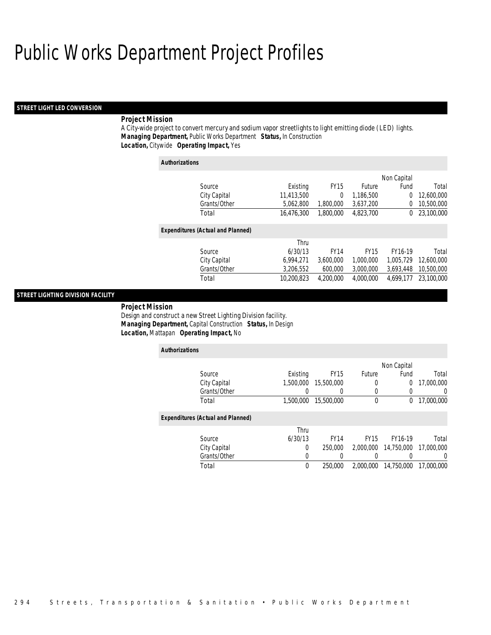#### *STREET LIGHT LED CONVERSION*

#### *Project Mission*

A City-wide project to convert mercury and sodium vapor streetlights to light emitting diode (LED) lights. *Managing Department,* Public Works Department *Status,* In Construction *Location,* Citywide *Operating Impact,* Yes

#### *Authorizations*

|                                          |            |             |               | Non Capital |            |
|------------------------------------------|------------|-------------|---------------|-------------|------------|
| Source                                   | Existing   | <b>FY15</b> | <b>Future</b> | Fund        | Total      |
| City Capital                             | 11,413,500 | 0           | 1,186,500     | $\Omega$    | 12,600,000 |
| Grants/Other                             | 5,062,800  | 1.800.000   | 3,637,200     | 0           | 10,500,000 |
| Total                                    | 16,476,300 | 1,800,000   | 4,823,700     | 0           | 23,100,000 |
|                                          |            |             |               |             |            |
| <b>Expenditures (Actual and Planned)</b> |            |             |               |             |            |
|                                          | Thru       |             |               |             |            |
| Source                                   | 6/30/13    | <b>FY14</b> | <b>FY15</b>   | FY16-19     | Total      |
| City Capital                             | 6.994.271  | 3,600,000   | 1.000.000     | 1.005.729   | 12,600,000 |
| Grants/Other                             | 3,206,552  | 600,000     | 3.000.000     | 3,693,448   | 10,500,000 |
| Total                                    | 10,200,823 | 4,200,000   | 4,000,000     | 4.699.177   | 23,100,000 |
|                                          |            |             |               |             |            |

#### *STREET LIGHTING DIVISION FACILITY*

 *Project Mission* Design and construct a new Street Lighting Division facility. *Managing Department,* Capital Construction *Status,* In Design *Location,* Mattapan *Operating Impact,* No

| <b>Authorizations</b>                    |           |             |             |             |            |
|------------------------------------------|-----------|-------------|-------------|-------------|------------|
|                                          |           |             |             | Non Capital |            |
| Source                                   | Existing  | <b>FY15</b> | Future      | Fund        | Total      |
| City Capital                             | 1,500,000 | 15,500,000  | $\left($    | 0           | 17,000,000 |
| Grants/Other                             |           |             | 0           | 0           | 0          |
| Total                                    | 1,500,000 | 15,500,000  | $\mathbf 0$ | 0           | 17,000,000 |
| <b>Expenditures (Actual and Planned)</b> |           |             |             |             |            |
|                                          | Thru      |             |             |             |            |
| Source                                   | 6/30/13   | <b>FY14</b> | <b>FY15</b> | FY16-19     | Total      |
| City Capital                             | 0         | 250,000     | 2,000,000   | 14,750,000  | 17,000,000 |
| Grants/Other                             | 0         |             |             |             | 0          |
| Total                                    | $\theta$  | 250,000     | 2.000.000   | 14,750,000  | 17,000,000 |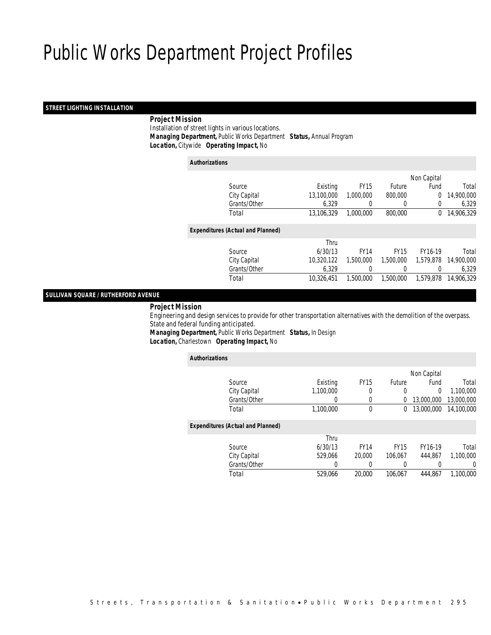#### *STREET LIGHTING INSTALLATION*

#### *Project Mission*

 Installation of street lights in various locations. *Managing Department,* Public Works Department *Status,* Annual Program *Location,* Citywide *Operating Impact,* No

*Authorizations*

|                                          |            |             |             | Non Capital    |            |
|------------------------------------------|------------|-------------|-------------|----------------|------------|
| Source                                   | Existing   | <b>FY15</b> | Future      | Fund           | Total      |
| City Capital                             | 13,100,000 | 1,000,000   | 800,000     | $\overline{0}$ | 14,900,000 |
| Grants/Other                             | 6,329      | 0           | 0           | 0              | 6,329      |
| Total                                    | 13,106,329 | 1,000,000   | 800,000     | $\Omega$       | 14,906,329 |
| <b>Expenditures (Actual and Planned)</b> |            |             |             |                |            |
|                                          | Thru       |             |             |                |            |
| Source                                   | 6/30/13    | <b>FY14</b> | <b>FY15</b> | FY16-19        | Total      |
| City Capital                             | 10,320,122 | 1.500.000   | 1,500,000   | 1.579.878      | 14,900,000 |
| Grants/Other                             | 6.329      |             | 0           |                | 6.329      |
| Total                                    | 10,326,451 | 1,500,000   | 1,500,000   | 1,579,878      | 14,906,329 |

#### *SULLIVAN SQUARE / RUTHERFORD AVENUE*

#### *Project Mission*

 Engineering and design services to provide for other transportation alternatives with the demolition of the overpass. State and federal funding anticipated.

*Managing Department,* Public Works Department *Status,* In Design *Location,* Charlestown *Operating Impact,* No

| <b>Authorizations</b>                    |           |             |               |             |            |
|------------------------------------------|-----------|-------------|---------------|-------------|------------|
|                                          |           |             |               | Non Capital |            |
| Source                                   | Existing  | <b>FY15</b> | <b>Future</b> | Fund        | Total      |
| City Capital                             | 1,100,000 | $\Omega$    | $\left($      | 0           | 1,100,000  |
| Grants/Other                             |           |             | 0             | 13,000,000  | 13,000,000 |
| Total                                    | 1,100,000 | 0           | $\mathbf{0}$  | 13,000,000  | 14,100,000 |
| <b>Expenditures (Actual and Planned)</b> |           |             |               |             |            |
|                                          | Thru      |             |               |             |            |
| Source                                   | 6/30/13   | <b>FY14</b> | <b>FY15</b>   | FY16-19     | Total      |
| City Capital                             | 529,066   | 20,000      | 106.067       | 444.867     | 1,100,000  |
| Grants/Other                             | 0         | 0           | $\left($      |             | 0          |
| Total                                    | 529.066   | 20,000      | 106.067       | 444.867     | 1.100.000  |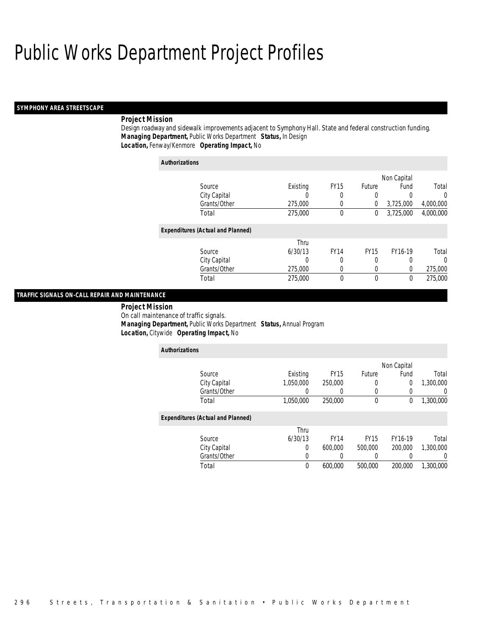#### *SYMPHONY AREA STREETSCAPE*

#### *Project Mission*

Design roadway and sidewalk improvements adjacent to Symphony Hall. State and federal construction funding. *Managing Department,* Public Works Department *Status,* In Design *Location,* Fenway/Kenmore *Operating Impact,* No

| <b>Authorizations</b> |                                          |          |             |             |             |           |
|-----------------------|------------------------------------------|----------|-------------|-------------|-------------|-----------|
|                       |                                          |          |             |             | Non Capital |           |
|                       | Source                                   | Existing | <b>FY15</b> | Future      | Fund        | Total     |
|                       | City Capital                             | 0        | 0           | 0           |             | 0         |
|                       | Grants/Other                             | 275,000  | 0           | 0           | 3,725,000   | 4,000,000 |
|                       | Total                                    | 275,000  | 0           | 0           | 3,725,000   | 4,000,000 |
|                       | <b>Expenditures (Actual and Planned)</b> |          |             |             |             |           |
|                       |                                          | Thru     |             |             |             |           |
|                       | Source                                   | 6/30/13  | <b>FY14</b> | <b>FY15</b> | FY16-19     | Total     |
|                       | City Capital                             | 0        | 0           | 0           | 0           | 0         |
|                       | Grants/Other                             | 275,000  |             | 0           |             | 275,000   |
|                       | Total                                    | 275,000  | 0           | $\theta$    | 0           | 275,000   |

#### *TRAFFIC SIGNALS ON-CALL REPAIR AND MAINTENANCE*

 *Project Mission* On call maintenance of traffic signals. *Managing Department,* Public Works Department *Status,* Annual Program *Location,* Citywide *Operating Impact,* No

| <b>Authorizations</b>                    |           |             |             |                |           |
|------------------------------------------|-----------|-------------|-------------|----------------|-----------|
|                                          |           |             |             | Non Capital    |           |
| Source                                   | Existing  | <b>FY15</b> | Future      | Fund           | Total     |
| City Capital                             | 1.050.000 | 250,000     | 0           | $\overline{0}$ | 1,300,000 |
| Grants/Other                             | 0         |             | 0           | 0              |           |
| Total                                    | 1,050,000 | 250,000     | 0           | 0              | 1,300,000 |
| <b>Expenditures (Actual and Planned)</b> |           |             |             |                |           |
|                                          | Thru      |             |             |                |           |
| Source                                   | 6/30/13   | <b>FY14</b> | <b>FY15</b> | FY16-19        | Total     |
| City Capital                             | 0         | 600,000     | 500,000     | 200,000        | 1,300,000 |
| Grants/Other                             | 0         |             | 0           | 0              |           |
| Total                                    | 0         | 600.000     | 500,000     | 200,000        | 1,300,000 |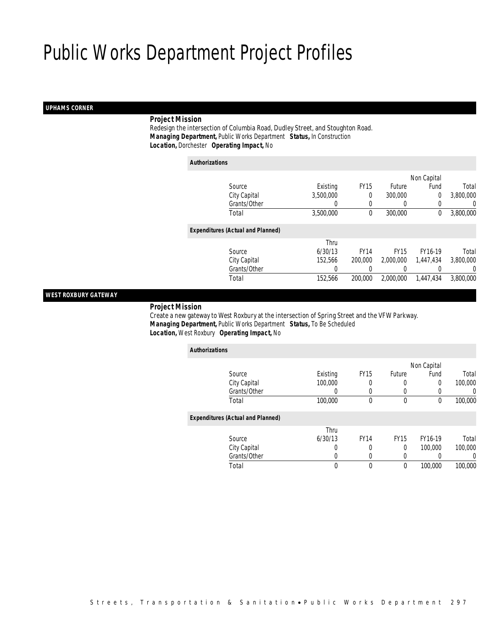#### *UPHAMS CORNER*

#### *Project Mission*

 Redesign the intersection of Columbia Road, Dudley Street, and Stoughton Road. *Managing Department,* Public Works Department *Status,* In Construction *Location,* Dorchester *Operating Impact,* No

| <b>Authorizations</b>                    |           |             |             |             |           |
|------------------------------------------|-----------|-------------|-------------|-------------|-----------|
|                                          |           |             |             | Non Capital |           |
| Source                                   | Existing  | <b>FY15</b> | Future      | Fund        | Total     |
| City Capital                             | 3,500,000 | 0           | 300,000     | 0           | 3,800,000 |
| Grants/Other                             |           |             | 0           | 0           | U         |
| Total                                    | 3,500,000 | 0           | 300,000     | 0           | 3,800,000 |
| <b>Expenditures (Actual and Planned)</b> |           |             |             |             |           |
|                                          | Thru      |             |             |             |           |
| Source                                   | 6/30/13   | <b>FY14</b> | <b>FY15</b> | FY16-19     | Total     |
| City Capital                             | 152.566   | 200,000     | 2,000,000   | 1.447.434   | 3.800.000 |
| Grants/Other                             | 0         |             | 0           |             | U         |
| Total                                    | 152,566   | 200,000     | 2.000.000   | 1,447,434   | 3,800,000 |

#### *WEST ROXBURY GATEWAY*

#### *Project Mission*

 Create a new gateway to West Roxbury at the intersection of Spring Street and the VFW Parkway. *Managing Department,* Public Works Department *Status,* To Be Scheduled *Location,* West Roxbury *Operating Impact,* No

| <b>Authorizations</b>                    |          |             |             |             |          |
|------------------------------------------|----------|-------------|-------------|-------------|----------|
|                                          |          |             |             | Non Capital |          |
| Source                                   | Existing | <b>FY15</b> | Future      | Fund        | Total    |
| City Capital                             | 100,000  | 0           | 0           | 0           | 100,000  |
| Grants/Other                             | 0        | 0           |             | 0           | 0        |
| Total                                    | 100,000  | $\theta$    | $\mathbf 0$ | $\mathbf 0$ | 100,000  |
| <b>Expenditures (Actual and Planned)</b> |          |             |             |             |          |
|                                          | Thru     |             |             |             |          |
| Source                                   | 6/30/13  | <b>FY14</b> | <b>FY15</b> | FY16-19     | Total    |
| City Capital                             | 0        | 0           | $\Omega$    | 100,000     | 100,000  |
| Grants/Other                             | 0        | 0           | 0           | 0           | $\Omega$ |
| Total                                    | 0        | $\theta$    | $\mathbf 0$ | 100,000     | 100,000  |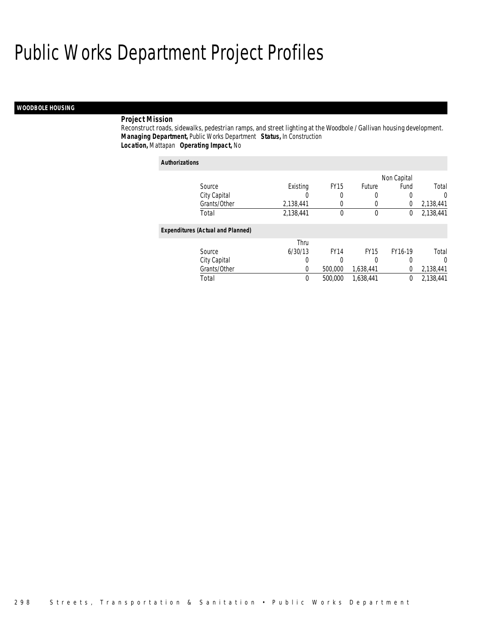#### *WOODBOLE HOUSING*

#### *Project Mission*

Reconstruct roads, sidewalks, pedestrian ramps, and street lighting at the Woodbole / Gallivan housing development. *Managing Department,* Public Works Department *Status,* In Construction *Location,* Mattapan *Operating Impact,* No

#### *Authorizations* Source **Existing** FY15 Future Non Capital Fund Total City Capital 0 0 0 0 0 Grants/Other 2,138,441 0 0 0 2,138,441 Total 2,138,441 0 0 0 2,138,441*Expenditures (Actual and Planned)* Source Thru 6/30/13 FY14 FY15 FY16-19 Total City Capital **0** 0 0 0 0 0 0 0 Grants/Other 0 500,000 1,638,441 0 2,138,441 Total 0 500,000 1,638,441 0 2,138,441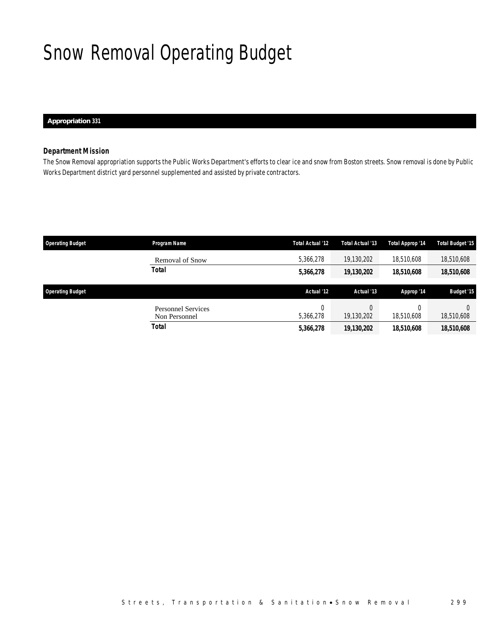# Snow Removal Operating Budget

#### *Appropriation 331*

#### *Department Mission*

The Snow Removal appropriation supports the Public Works Department's efforts to clear ice and snow from Boston streets. Snow removal is done by Public Works Department district yard personnel supplemented and assisted by private contractors.

| <b>Operating Budget</b> | Program Name                               | Total Actual '12 | Total Actual '13       | <b>Total Approp '14</b> | <b>Total Budget '15</b> |
|-------------------------|--------------------------------------------|------------------|------------------------|-------------------------|-------------------------|
|                         | Removal of Snow                            | 5,366,278        | 19,130,202             | 18,510,608              | 18,510,608              |
|                         | <b>Total</b>                               | 5,366,278        | 19,130,202             | 18,510,608              | 18,510,608              |
| <b>Operating Budget</b> |                                            | Actual '12       | Actual '13             | Approp '14              | <b>Budget '15</b>       |
|                         | <b>Personnel Services</b><br>Non Personnel | U<br>5,366,278   | $\Omega$<br>19,130,202 | 18,510,608              | 18,510,608              |
|                         |                                            |                  |                        |                         |                         |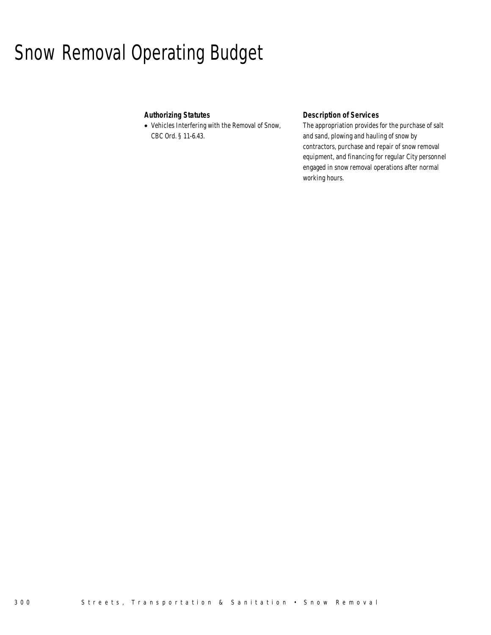### Snow Removal Operating Budget

### *Authorizing Statutes*

• Vehicles Interfering with the Removal of Snow, CBC Ord. § 11-6.43.

### *Description of Services*

The appropriation provides for the purchase of salt and sand, plowing and hauling of snow by contractors, purchase and repair of snow removal equipment, and financing for regular City personnel engaged in snow removal operations after normal working hours.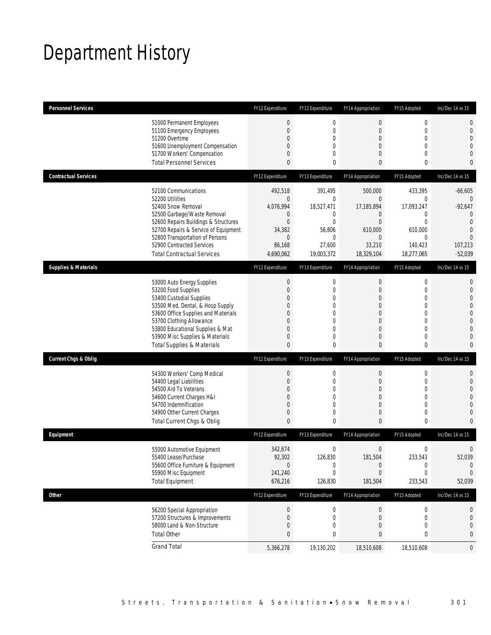### Department History

| <b>Personnel Services</b>       |                                                                                                                                                                                                                                                                                                      | FY12 Expenditure                                                                                                    | FY13 Expenditure                                                                           | FY14 Appropriation                                                                                                                        | FY15 Adopted                                                                                                                       | Inc/Dec 14 vs 15                                                                                                          |
|---------------------------------|------------------------------------------------------------------------------------------------------------------------------------------------------------------------------------------------------------------------------------------------------------------------------------------------------|---------------------------------------------------------------------------------------------------------------------|--------------------------------------------------------------------------------------------|-------------------------------------------------------------------------------------------------------------------------------------------|------------------------------------------------------------------------------------------------------------------------------------|---------------------------------------------------------------------------------------------------------------------------|
|                                 | 51000 Permanent Employees<br>51100 Emergency Employees<br>51200 Overtime<br>51600 Unemployment Compensation<br>51700 Workers' Compensation<br><b>Total Personnel Services</b>                                                                                                                        | $\boldsymbol{0}$<br>$\theta$<br>0<br>0<br>0<br>0                                                                    | $\boldsymbol{0}$<br>0<br>$\mathbf 0$<br>0<br>0<br>0                                        | $\bf 0$<br>$\overline{0}$<br>$\mathbf 0$<br>$\theta$<br>$\theta$<br>0                                                                     | $\boldsymbol{0}$<br>$\mathbf 0$<br>$\mathbf 0$<br>$\overline{0}$<br>$\overline{0}$<br>$\bf{0}$                                     | 0<br>0<br>$\overline{0}$<br>0<br>0<br>0                                                                                   |
| <b>Contractual Services</b>     |                                                                                                                                                                                                                                                                                                      | FY12 Expenditure                                                                                                    | FY13 Expenditure                                                                           | FY14 Appropriation                                                                                                                        | FY15 Adopted                                                                                                                       | Inc/Dec 14 vs 15                                                                                                          |
|                                 | 52100 Communications<br>52200 Utilities<br>52400 Snow Removal<br>52500 Garbage/Waste Removal<br>52600 Repairs Buildings & Structures<br>52700 Repairs & Service of Equipment<br>52800 Transportation of Persons<br>52900 Contracted Services<br><b>Total Contractual Services</b>                    | 492,518<br>$\mathbf{0}$<br>4,076,994<br>$\mathbf 0$<br>$\mathbf{0}$<br>34,382<br>$\mathbf 0$<br>86,168<br>4,690,062 | 391,495<br>$\boldsymbol{0}$<br>18,527,471<br>0<br>0<br>56,806<br>0<br>27,600<br>19,003,372 | 500,000<br>$\bf 0$<br>17,185,894<br>0<br>$\theta$<br>610,000<br>$\mathbf 0$<br>33,210<br>18,329,104                                       | 433,395<br>$\mathbf 0$<br>17,093,247<br>0<br>$\mathbf 0$<br>610,000<br>0<br>140,423<br>18,277,065                                  | $-66,605$<br>$\mathbf{0}$<br>$-92,647$<br>0<br>$\overline{0}$<br>$\overline{0}$<br>$\overline{0}$<br>107,213<br>$-52,039$ |
| <b>Supplies &amp; Materials</b> |                                                                                                                                                                                                                                                                                                      | FY12 Expenditure                                                                                                    | FY13 Expenditure                                                                           | FY14 Appropriation                                                                                                                        | FY15 Adopted                                                                                                                       | Inc/Dec 14 vs 15                                                                                                          |
|                                 | 53000 Auto Energy Supplies<br>53200 Food Supplies<br>53400 Custodial Supplies<br>53500 Med, Dental, & Hosp Supply<br>53600 Office Supplies and Materials<br>53700 Clothing Allowance<br>53800 Educational Supplies & Mat<br>53900 Misc Supplies & Materials<br><b>Total Supplies &amp; Materials</b> | $\boldsymbol{0}$<br>0<br>0<br>0<br>0<br>0<br>0<br>0<br>$\bf{0}$                                                     | 0<br>$\mathbf{0}$<br>0<br>$\mathbf 0$<br>0<br>0<br>$\mathbf{0}$<br>0<br>0                  | $\theta$<br>$\mathbf 0$<br>$\overline{0}$<br>$\boldsymbol{0}$<br>$\overline{0}$<br>$\theta$<br>$\overline{0}$<br>$\theta$<br>$\mathbf{0}$ | 0<br>$\mathbf 0$<br>$\overline{0}$<br>$\mathbf 0$<br>$\overline{0}$<br>$\mathbf 0$<br>$\overline{0}$<br>$\overline{0}$<br>$\bf{0}$ | 0<br>$\mathbf 0$<br>0<br>0<br>0<br>$\overline{0}$<br>0<br>0<br>0                                                          |
| <b>Current Chgs &amp; Oblig</b> |                                                                                                                                                                                                                                                                                                      | FY12 Expenditure                                                                                                    | FY13 Expenditure                                                                           | FY14 Appropriation                                                                                                                        | FY15 Adopted                                                                                                                       | Inc/Dec 14 vs 15                                                                                                          |
|                                 | 54300 Workers' Comp Medical<br>54400 Legal Liabilities<br>54500 Aid To Veterans<br>54600 Current Charges H&I<br>54700 Indemnification<br>54900 Other Current Charges<br>Total Current Chgs & Oblig                                                                                                   | $\boldsymbol{0}$<br>$\boldsymbol{0}$<br>0<br>0<br>0<br>$\mathbf 0$<br>0                                             | 0<br>$\boldsymbol{0}$<br>0<br>0<br>0<br>0<br>0                                             | $\theta$<br>$\mathbf 0$<br>$\theta$<br>$\mathbf 0$<br>$\overline{0}$<br>$\theta$<br>$\mathbf{0}$                                          | 0<br>$\mathbf 0$<br>$\overline{0}$<br>$\mathbf 0$<br>$\overline{0}$<br>$\mathbf 0$<br>$\mathbf{0}$                                 | 0<br>$\mathbf 0$<br>0<br>0<br>0<br>0<br>0                                                                                 |
| Equipment                       |                                                                                                                                                                                                                                                                                                      | FY12 Expenditure                                                                                                    | FY13 Expenditure                                                                           | FY14 Appropriation                                                                                                                        | FY15 Adopted                                                                                                                       | Inc/Dec 14 vs 15                                                                                                          |
|                                 | 55000 Automotive Equipment<br>55400 Lease/Purchase<br>55600 Office Furniture & Equipment<br>55900 Misc Equipment<br><b>Total Equipment</b>                                                                                                                                                           | 342,674<br>92,302<br>$\mathbf 0$<br>241,240<br>676,216                                                              | 0<br>126,830<br>$\boldsymbol{0}$<br>0<br>126,830                                           | $\mathbf 0$<br>181,504<br>$\boldsymbol{0}$<br>$\mathbf 0$<br>181,504                                                                      | 0<br>233,543<br>0<br>0<br>233,543                                                                                                  | $\mathbf 0$<br>52,039<br>$\theta$<br>$\mathbf 0$<br>52,039                                                                |
| <b>Other</b>                    |                                                                                                                                                                                                                                                                                                      | FY12 Expenditure                                                                                                    | FY13 Expenditure                                                                           | FY14 Appropriation                                                                                                                        | FY15 Adopted                                                                                                                       | Inc/Dec 14 vs 15                                                                                                          |
|                                 | 56200 Special Appropriation<br>57200 Structures & Improvements<br>58000 Land & Non-Structure<br><b>Total Other</b>                                                                                                                                                                                   | $\pmb{0}$<br>0<br>0<br>0                                                                                            | 0<br>0<br>0<br>0                                                                           | $\boldsymbol{0}$<br>$\theta$<br>$\mathbf 0$<br>0                                                                                          | 0<br>0<br>$\mathbf 0$<br>0                                                                                                         | 0<br>0<br>0<br>0                                                                                                          |
|                                 | <b>Grand Total</b>                                                                                                                                                                                                                                                                                   | 5,366,278                                                                                                           | 19,130,202                                                                                 | 18,510,608                                                                                                                                | 18,510,608                                                                                                                         | $\overline{0}$                                                                                                            |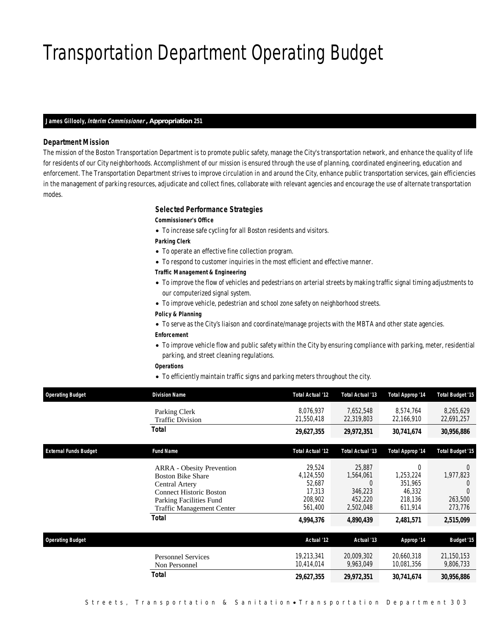# Transportation Department Operating Budget

#### *James Gillooly, Interim Commissioner , Appropriation 251*

#### *Department Mission*

The mission of the Boston Transportation Department is to promote public safety, manage the City's transportation network, and enhance the quality of life for residents of our City neighborhoods. Accomplishment of our mission is ensured through the use of planning, coordinated engineering, education and enforcement. The Transportation Department strives to improve circulation in and around the City, enhance public transportation services, gain efficiencies in the management of parking resources, adjudicate and collect fines, collaborate with relevant agencies and encourage the use of alternate transportation modes.

#### *Selected Performance Strategies*

#### *Commissioner's Office*

• To increase safe cycling for all Boston residents and visitors.

#### *Parking Clerk*

- To operate an effective fine collection program.
- To respond to customer inquiries in the most efficient and effective manner.

#### *Traffic Management & Engineering*

- To improve the flow of vehicles and pedestrians on arterial streets by making traffic signal timing adjustments to our computerized signal system.
- To improve vehicle, pedestrian and school zone safety on neighborhood streets.

#### *Policy & Planning*

• To serve as the City's liaison and coordinate/manage projects with the MBTA and other state agencies.

#### *Enforcement*

• To improve vehicle flow and public safety within the City by ensuring compliance with parking, meter, residential parking, and street cleaning regulations.

#### *Operations*

• To efficiently maintain traffic signs and parking meters throughout the city.

| <b>Operating Budget</b>      | <b>Division Name</b>                                                                                                                                                                                   | <b>Total Actual '12</b>                                                    | <b>Total Actual '13</b>                                                         | Total Approp '14                                                       | <b>Total Budget '15</b>                                     |
|------------------------------|--------------------------------------------------------------------------------------------------------------------------------------------------------------------------------------------------------|----------------------------------------------------------------------------|---------------------------------------------------------------------------------|------------------------------------------------------------------------|-------------------------------------------------------------|
|                              | Parking Clerk<br><b>Traffic Division</b>                                                                                                                                                               | 8,076,937<br>21,550,418                                                    | 7,652,548<br>22,319,803                                                         | 8,574,764<br>22,166,910                                                | 8,265,629<br>22,691,257                                     |
|                              | Total                                                                                                                                                                                                  | 29,627,355                                                                 | 29,972,351                                                                      | 30,741,674                                                             | 30,956,886                                                  |
| <b>External Funds Budget</b> | <b>Fund Name</b>                                                                                                                                                                                       | <b>Total Actual '12</b>                                                    | Total Actual '13                                                                | Total Approp '14                                                       | <b>Total Budget '15</b>                                     |
|                              | <b>ARRA</b> - Obesity Prevention<br><b>Boston Bike Share</b><br><b>Central Artery</b><br><b>Connect Historic Boston</b><br>Parking Facilities Fund<br><b>Traffic Management Center</b><br><b>Total</b> | 29,524<br>4,124,550<br>52,687<br>17,313<br>208,902<br>561,400<br>4,994,376 | 25,887<br>1,564,061<br>$\theta$<br>346,223<br>452,220<br>2,502,048<br>4,890,439 | 0<br>1,253,224<br>351,965<br>46,332<br>218,136<br>611,914<br>2,481,571 | 0<br>1,977,823<br>$\cup$<br>263,500<br>273,776<br>2,515,099 |
| <b>Operating Budget</b>      |                                                                                                                                                                                                        | Actual '12                                                                 | Actual '13                                                                      | Approp '14                                                             | <b>Budget '15</b>                                           |
|                              | <b>Personnel Services</b><br>Non Personnel                                                                                                                                                             | 19.213.341<br>10,414,014                                                   | 20,009,302<br>9,963,049                                                         | 20.660.318<br>10,081,356                                               | 21,150,153<br>9,806,733                                     |
|                              | Total                                                                                                                                                                                                  | 29,627,355                                                                 | 29,972,351                                                                      | 30,741,674                                                             | 30,956,886                                                  |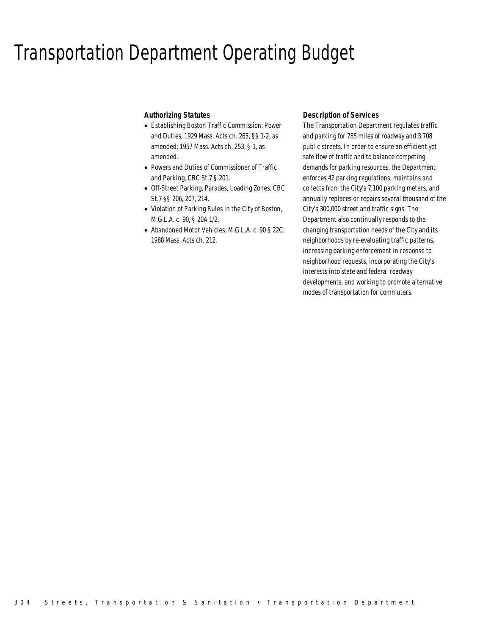### Transportation Department Operating Budget

#### *Authorizing Statutes*

- Establishing Boston Traffic Commission: Power and Duties, 1929 Mass. Acts ch. 263, §§ 1-2, as amended; 1957 Mass. Acts ch. 253, § 1, as amended.
- Powers and Duties of Commissioner of Traffic and Parking, CBC St.7 § 201.
- Off-Street Parking, Parades, Loading Zones, CBC St.7 §§ 206, 207, 214.
- Violation of Parking Rules in the City of Boston, M.G.L.A. c. 90, § 20A 1/2.
- Abandoned Motor Vehicles, M.G.L.A. c. 90 § 22C; 1988 Mass. Acts ch. 212.

#### *Description of Services*

The Transportation Department regulates traffic and parking for 785 miles of roadway and 3,708 public streets. In order to ensure an efficient yet safe flow of traffic and to balance competing demands for parking resources, the Department enforces 42 parking regulations, maintains and collects from the City's 7,100 parking meters, and annually replaces or repairs several thousand of the City's 300,000 street and traffic signs. The Department also continually responds to the changing transportation needs of the City and its neighborhoods by re-evaluating traffic patterns, increasing parking enforcement in response to neighborhood requests, incorporating the City's interests into state and federal roadway developments, and working to promote alternative modes of transportation for commuters.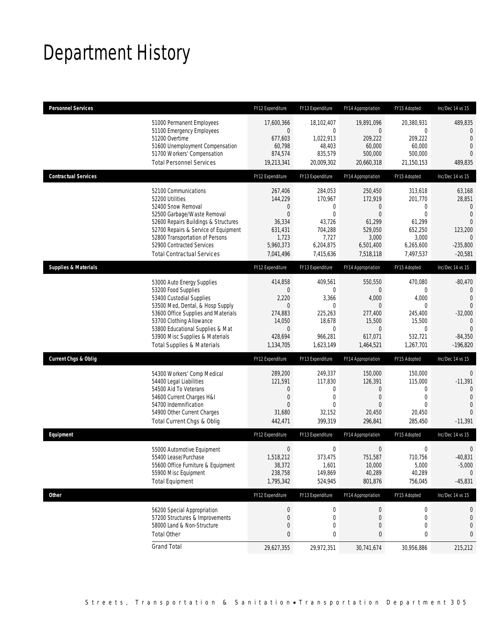### Department History

| <b>Personnel Services</b>       |                                                                                                                                                                                                                                                                                                      | FY12 Expenditure                                                                                           | FY13 Expenditure                                                                                              | FY14 Appropriation                                                                                                  | FY15 Adopted                                                                                      | Inc/Dec 14 vs 15                                                                                                       |
|---------------------------------|------------------------------------------------------------------------------------------------------------------------------------------------------------------------------------------------------------------------------------------------------------------------------------------------------|------------------------------------------------------------------------------------------------------------|---------------------------------------------------------------------------------------------------------------|---------------------------------------------------------------------------------------------------------------------|---------------------------------------------------------------------------------------------------|------------------------------------------------------------------------------------------------------------------------|
|                                 | 51000 Permanent Employees<br>51100 Emergency Employees<br>51200 Overtime<br>51600 Unemployment Compensation<br>51700 Workers' Compensation<br><b>Total Personnel Services</b>                                                                                                                        | 17,600,366<br>0<br>677,603<br>60,798<br>874,574<br>19,213,341                                              | 18,102,407<br>$\mathbf 0$<br>1,022,913<br>48,403<br>835,579<br>20,009,302                                     | 19,891,096<br>$\overline{0}$<br>209,222<br>60,000<br>500,000<br>20,660,318                                          | 20,380,931<br>0<br>209,222<br>60,000<br>500,000<br>21,150,153                                     | 489,835<br>$\mathbf{0}$<br>$\mathbf{0}$<br>$\overline{0}$<br>$\Omega$<br>489,835                                       |
| <b>Contractual Services</b>     |                                                                                                                                                                                                                                                                                                      | FY12 Expenditure                                                                                           | FY13 Expenditure                                                                                              | FY14 Appropriation                                                                                                  | FY15 Adopted                                                                                      | Inc/Dec 14 vs 15                                                                                                       |
|                                 | 52100 Communications<br>52200 Utilities<br>52400 Snow Removal<br>52500 Garbage/Waste Removal<br>52600 Repairs Buildings & Structures<br>52700 Repairs & Service of Equipment<br>52800 Transportation of Persons<br>52900 Contracted Services<br><b>Total Contractual Services</b>                    | 267,406<br>144,229<br>0<br>$\overline{0}$<br>36,334<br>631,431<br>1,723<br>5,960,373<br>7,041,496          | 284,053<br>170,967<br>0<br>$\overline{0}$<br>43,726<br>704,288<br>7,727<br>6,204,875<br>7,415,636             | 250,450<br>172,919<br>$\theta$<br>$\overline{0}$<br>61,299<br>529,050<br>3,000<br>6,501,400<br>7,518,118            | 313,618<br>201,770<br>0<br>$\overline{0}$<br>61,299<br>652,250<br>3,000<br>6,265,600<br>7,497,537 | 63,168<br>28,851<br>$\mathbf{0}$<br>$\mathbf{0}$<br>$\theta$<br>123,200<br>$\Omega$<br>$-235,800$<br>$-20,581$         |
| <b>Supplies &amp; Materials</b> |                                                                                                                                                                                                                                                                                                      | FY12 Expenditure                                                                                           | FY13 Expenditure                                                                                              | FY14 Appropriation                                                                                                  | FY15 Adopted                                                                                      | Inc/Dec 14 vs 15                                                                                                       |
|                                 | 53000 Auto Energy Supplies<br>53200 Food Supplies<br>53400 Custodial Supplies<br>53500 Med, Dental, & Hosp Supply<br>53600 Office Supplies and Materials<br>53700 Clothing Allowance<br>53800 Educational Supplies & Mat<br>53900 Misc Supplies & Materials<br><b>Total Supplies &amp; Materials</b> | 414,858<br>$\mathbf 0$<br>2,220<br>$\mathbf 0$<br>274,883<br>14,050<br>$\mathbf 0$<br>428,694<br>1,134,705 | 409,561<br>$\mathbf{0}$<br>3,366<br>$\mathbf{0}$<br>225,263<br>18,678<br>$\mathbf{0}$<br>966,281<br>1,623,149 | 550,550<br>$\overline{0}$<br>4,000<br>$\overline{0}$<br>277,400<br>15,500<br>$\overline{0}$<br>617,071<br>1,464,521 | 470,080<br>0<br>4,000<br>$\mathbf 0$<br>245,400<br>15,500<br>0<br>532,721<br>1,267,701            | $-80,470$<br>$\mathbf 0$<br>$\overline{0}$<br>$\Omega$<br>$-32,000$<br>$\Omega$<br>$\Omega$<br>$-84,350$<br>$-196,820$ |
| <b>Current Chgs &amp; Oblig</b> |                                                                                                                                                                                                                                                                                                      | FY12 Expenditure                                                                                           | FY13 Expenditure                                                                                              | FY14 Appropriation                                                                                                  | FY15 Adopted                                                                                      | Inc/Dec 14 vs 15                                                                                                       |
|                                 | 54300 Workers' Comp Medical<br>54400 Legal Liabilities<br>54500 Aid To Veterans<br>54600 Current Charges H&I<br>54700 Indemnification<br>54900 Other Current Charges<br>Total Current Chgs & Oblig                                                                                                   | 289,200<br>121,591<br>0<br>0<br>$\Omega$<br>31,680<br>442,471                                              | 249,337<br>117,830<br>0<br>0<br>$\Omega$<br>32,152<br>399,319                                                 | 150,000<br>126,391<br>$\theta$<br>$\theta$<br>$\Omega$<br>20,450<br>296,841                                         | 150,000<br>115,000<br>0<br>$\mathbf 0$<br>$\Omega$<br>20,450<br>285,450                           | $\overline{0}$<br>$-11,391$<br>$\mathbf{0}$<br>$\Omega$<br>$\mathbf{0}$<br>$\Omega$<br>$-11,391$                       |
| Equipment                       |                                                                                                                                                                                                                                                                                                      | FY12 Expenditure                                                                                           | FY13 Expenditure                                                                                              | FY14 Appropriation                                                                                                  | FY15 Adopted                                                                                      | Inc/Dec 14 vs 15                                                                                                       |
|                                 | 55000 Automotive Equipment<br>55400 Lease/Purchase<br>55600 Office Furniture & Equipment<br>55900 Misc Equipment<br><b>Total Equipment</b>                                                                                                                                                           | $\boldsymbol{0}$<br>1,518,212<br>38,372<br>238,758<br>1,795,342                                            | $\boldsymbol{0}$<br>373,475<br>1,601<br>149,869<br>524,945                                                    | $\boldsymbol{0}$<br>751,587<br>10,000<br>40,289<br>801,876                                                          | $\boldsymbol{0}$<br>710,756<br>5,000<br>40,289<br>756,045                                         | $\mathbf 0$<br>$-40,831$<br>$-5,000$<br>$\Omega$<br>$-45,831$                                                          |
| Other                           |                                                                                                                                                                                                                                                                                                      | FY12 Expenditure                                                                                           | FY13 Expenditure                                                                                              | FY14 Appropriation                                                                                                  | FY15 Adopted                                                                                      | Inc/Dec 14 vs 15                                                                                                       |
|                                 | 56200 Special Appropriation<br>57200 Structures & Improvements<br>58000 Land & Non-Structure<br><b>Total Other</b>                                                                                                                                                                                   | $\bf{0}$<br>0<br>0<br>0                                                                                    | $\boldsymbol{0}$<br>$\mathbf 0$<br>0<br>0                                                                     | $\boldsymbol{0}$<br>$\theta$<br>$\mathbf 0$<br>0                                                                    | 0<br>0<br>$\mathbf 0$<br>0                                                                        | 0<br>0<br>0<br>0                                                                                                       |
|                                 | <b>Grand Total</b>                                                                                                                                                                                                                                                                                   | 29,627,355                                                                                                 | 29,972,351                                                                                                    | 30,741,674                                                                                                          | 30,956,886                                                                                        | 215,212                                                                                                                |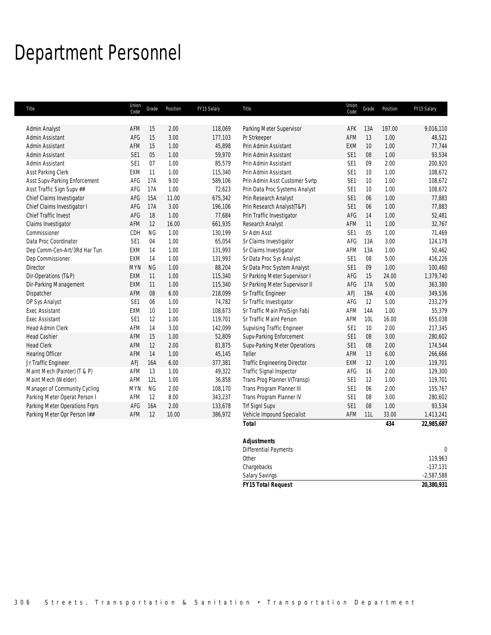### Department Personnel

| Title                          | Union<br>Code   | Grade     | Position | FY15 Salary | Title                               | Union<br>Code   | Grade | Position | FY15 Salary  |
|--------------------------------|-----------------|-----------|----------|-------------|-------------------------------------|-----------------|-------|----------|--------------|
| Admin Analyst                  | AFM             | 15        | 2.00     | 118,069     | Parking Meter Supervisor            | AFK             | 13A   | 197.00   | 9,016,110    |
| Admin Assistant                | AFG             | 15        | 3.00     | 177,103     | Pr Strkeeper                        | AFM             | 13    | 1.00     | 48,521       |
| Admin Assistant                | AFM             | 15        | 1.00     | 45,898      | Prin Admin Assistant                | EXM             | 10    | 1.00     | 77,744       |
| Admin Assistant                | SE1             | 05        | 1.00     | 59,970      | Prin Admin Assistant                | SE1             | 08    | 1.00     | 93,534       |
| Admin Assistant                | SE1             | 07        | 1.00     | 85,579      | Prin Admin Assistant                | SE <sub>1</sub> | 09    | 2.00     | 200,920      |
| Asst Parking Clerk             | EXM             | 11        | 1.00     | 115,340     | Prin Admin Assistant                | SE <sub>1</sub> | 10    | 1.00     | 108,672      |
| Asst Supv-Parking Enforcement  | AFG             | 17A       | 9.00     | 589,106     | Prin Admin Asst Customer Svrtp      | SE1             | 10    | 1.00     | 108,672      |
| Asst Traffic Sign Supv ##      | AFG             | 17A       | 1.00     | 72,623      | Prin Data Proc Systems Analyst      | SE1             | 10    | 1.00     | 108,672      |
| Chief Claims Investigator      | AFG             | 15A       | 11.00    | 675,342     | Prin Research Analyst               | SE1             | 06    | 1.00     | 77,883       |
| Chief Claims Investigator I    | AFG             | 17A       | 3.00     | 196,106     | Prin Research Analyst(T&P)          | SE1             | 06    | 1.00     | 77,883       |
| Chief Traffic Invest           | AFG             | 18        | 1.00     | 77,684      | Prin Traffic Investigator           | AFG             | 14    | 1.00     | 52,481       |
| Claims Investigator            | AFM             | 12        | 16.00    | 661,935     | Research Analyst                    | AFM             | 11    | 1.00     | 32,767       |
| Commissioner                   | CDH             | <b>NG</b> | 1.00     | 130,199     | Sr Adm Asst                         | SE1             | 05    | 1.00     | 71,469       |
| Data Proc Coordinator          | SE <sub>1</sub> | 04        | 1.00     | 65,054      | Sr Claims Investigator              | AFG             | 13A   | 3.00     | 124,178      |
| Dep Comm-Cen-Art/3Rd Har Tun   | EXM             | 14        | 1.00     | 131,993     | Sr Claims Investigator              | AFM             | 13A   | 1.00     | 50,462       |
| Dep Commissioner               | <b>EXM</b>      | 14        | 1.00     | 131,993     | Sr Data Proc Sys Analyst            | SE1             | 08    | 5.00     | 416,226      |
| <b>Director</b>                | <b>MYN</b>      | <b>NG</b> | 1.00     | 88,204      | Sr Data Proc System Analyst         | SE <sub>1</sub> | 09    | 1.00     | 100,460      |
| Dir-Operations (T&P)           | EXM             | 11        | 1.00     | 115,340     | Sr Parking Meter Supervisor I       | AFG             | 15    | 24.00    | 1,379,740    |
| Dir-Parking Management         | <b>EXM</b>      | 11        | 1.00     | 115,340     | Sr Parking Meter Supervisor II      | AFG             | 17A   | 5.00     | 363,380      |
| Dispatcher                     | AFM             | 08        | 6.00     | 218,099     | Sr Traffic Engineer                 | AFJ             | 19A   | 4.00     | 349,536      |
| DP Sys Analyst                 | SE1             | 06        | 1.00     | 74,782      | Sr Traffic Investigator             | AFG             | 12    | 5.00     | 233,279      |
| <b>Exec Assistant</b>          | <b>EXM</b>      | 10        | 1.00     | 108,673     | Sr Traffic Main Prs(Sign Fab)       | AFM             | 14A   | 1.00     | 55,379       |
| <b>Exec Assistant</b>          | SE <sub>1</sub> | 12        | 1.00     | 119,701     | Sr Traffic Maint Person             | AFM             | 10L   | 16.00    | 655,038      |
| Head Admin Clerk               | AFM             | 14        | 3.00     | 142,099     | Supvising Traffic Engineer          | SE1             | 10    | 2.00     | 217,345      |
| <b>Head Cashier</b>            | AFM             | 15        | 1.00     | 52,809      | Supv-Parking Enforcement            | SE1             | 08    | 3.00     | 280,602      |
| <b>Head Clerk</b>              | AFM             | 12        | 2.00     | 81,875      | Supv-Parking Meter Operations       | SE1             | 08    | 2.00     | 174,544      |
| <b>Hearing Officer</b>         | AFM             | 14        | 1.00     | 45,145      | Teller                              | AFM             | 13    | 6.00     | 266,666      |
| Jr Traffic Engineer            | AFJ             | 16A       | 6.00     | 377,381     | <b>Traffic Engineering Director</b> | EXM             | 12    | 1.00     | 119,701      |
| Maint Mech (Painter) (T & P)   | AFM             | 13        | 1.00     | 49,322      | <b>Traffic Signal Inspector</b>     | AFG             | 16    | 2.00     | 129,300      |
| Maint Mech (Welder)            | AFM             | 12L       | 1.00     | 36,858      | Trans Prog Planner V(Transp)        | SE <sub>1</sub> | 12    | 1.00     | 119,701      |
| Manager of Community Cycling   | <b>MYN</b>      | NG        | 2.00     | 108,170     | Trans Program Planner III           | SE <sub>1</sub> | 06    | 2.00     | 155,767      |
| Parking Meter Operat Person I  | AFM             | 12        | 8.00     | 343,237     | Trans Program Planner IV            | SE <sub>1</sub> | 08    | 3.00     | 280,602      |
| Parking Meter Operations Frprs | AFG             | 16A       | 2.00     | 133,678     | <b>Trf SignI Supv</b>               | SE1             | 08    | 1.00     | 93,534       |
| Parking Meter Opr Person I##   | AFM             | 12        | 10.00    | 386,972     | Vehicle Impound Specialist          | AFM             | 11L   | 33.00    | 1,413,241    |
|                                |                 |           |          |             | <b>Total</b>                        |                 |       | 434      | 22,985,687   |
|                                |                 |           |          |             | <b>Adjustments</b>                  |                 |       |          |              |
|                                |                 |           |          |             | <b>Differential Payments</b>        |                 |       |          | $\mathbf{0}$ |

| <b>FY15 Total Request</b> | 20,380,931   |
|---------------------------|--------------|
| <b>Salary Savings</b>     | $-2,587,588$ |
| Chargebacks               | $-137.131$   |
| Other                     | 119.963      |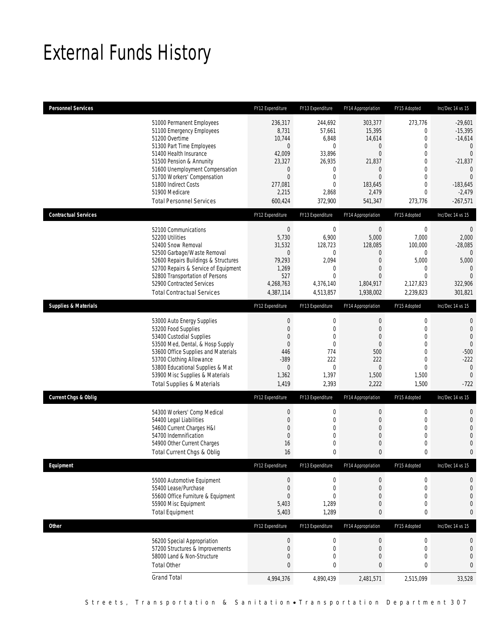### External Funds History

| <b>Personnel Services</b>       |                                                                                                                                                                                                                                                                                                            | FY12 Expenditure                                                                                                                  | FY13 Expenditure                                                                                                       | FY14 Appropriation                                                                                                                     | FY15 Adopted                                                                                                                                    | Inc/Dec 14 vs 15                                                                                                                                             |
|---------------------------------|------------------------------------------------------------------------------------------------------------------------------------------------------------------------------------------------------------------------------------------------------------------------------------------------------------|-----------------------------------------------------------------------------------------------------------------------------------|------------------------------------------------------------------------------------------------------------------------|----------------------------------------------------------------------------------------------------------------------------------------|-------------------------------------------------------------------------------------------------------------------------------------------------|--------------------------------------------------------------------------------------------------------------------------------------------------------------|
|                                 | 51000 Permanent Employees<br>51100 Emergency Employees<br>51200 Overtime<br>51300 Part Time Employees<br>51400 Health Insurance<br>51500 Pension & Annunity<br>51600 Unemployment Compensation<br>51700 Workers' Compensation<br>51800 Indirect Costs<br>51900 Medicare<br><b>Total Personnel Services</b> | 236,317<br>8,731<br>10,744<br>0<br>42,009<br>23,327<br>$\boldsymbol{0}$<br>$\boldsymbol{0}$<br>277,081<br>2,215<br>600,424        | 244,692<br>57,661<br>6,848<br>$\mathbf{0}$<br>33,896<br>26,935<br>0<br>$\mathbf 0$<br>$\mathbf{0}$<br>2,868<br>372,900 | 303,377<br>15,395<br>14,614<br>$\overline{0}$<br>$\overline{0}$<br>21,837<br>$\theta$<br>$\overline{0}$<br>183,645<br>2,479<br>541,347 | 273,776<br>0<br>$\mathbf 0$<br>$\mathbf{0}$<br>$\Omega$<br>$\mathbf 0$<br>$\mathbf 0$<br>$\mathbf 0$<br>$\mathbf{0}$<br>$\mathbf{0}$<br>273,776 | $-29,601$<br>$-15,395$<br>$-14,614$<br>$\mathbf{0}$<br>$\overline{0}$<br>$-21,837$<br>$\mathbf{0}$<br>$\overline{0}$<br>$-183,645$<br>$-2,479$<br>$-267,571$ |
| <b>Contractual Services</b>     |                                                                                                                                                                                                                                                                                                            | FY12 Expenditure                                                                                                                  | FY13 Expenditure                                                                                                       | FY14 Appropriation                                                                                                                     | FY15 Adopted                                                                                                                                    | Inc/Dec 14 vs 15                                                                                                                                             |
|                                 | 52100 Communications<br>52200 Utilities<br>52400 Snow Removal<br>52500 Garbage/Waste Removal<br>52600 Repairs Buildings & Structures<br>52700 Repairs & Service of Equipment<br>52800 Transportation of Persons<br>52900 Contracted Services<br><b>Total Contractual Services</b>                          | $\boldsymbol{0}$<br>5,730<br>31,532<br>$\boldsymbol{0}$<br>79,293<br>1,269<br>527<br>4,268,763<br>4,387,114                       | $\mathbf 0$<br>6,900<br>128,723<br>$\mathbf{0}$<br>2,094<br>0<br>$\mathbf{0}$<br>4,376,140<br>4,513,857                | $\bf 0$<br>5,000<br>128,085<br>$\theta$<br>$\theta$<br>$\mathbf 0$<br>$\mathbf{0}$<br>1,804,917<br>1,938,002                           | $\boldsymbol{0}$<br>7,000<br>100,000<br>0<br>5,000<br>0<br>$\overline{0}$<br>2,127,823<br>2,239,823                                             | $\mathbf 0$<br>2,000<br>$-28,085$<br>$\theta$<br>5,000<br>$\mathbf{0}$<br>$\overline{0}$<br>322,906<br>301,821                                               |
| <b>Supplies &amp; Materials</b> |                                                                                                                                                                                                                                                                                                            | FY12 Expenditure                                                                                                                  | FY13 Expenditure                                                                                                       | FY14 Appropriation                                                                                                                     | FY15 Adopted                                                                                                                                    | Inc/Dec 14 vs 15                                                                                                                                             |
|                                 | 53000 Auto Energy Supplies<br>53200 Food Supplies<br>53400 Custodial Supplies<br>53500 Med, Dental, & Hosp Supply<br>53600 Office Supplies and Materials<br>53700 Clothing Allowance<br>53800 Educational Supplies & Mat<br>53900 Misc Supplies & Materials<br><b>Total Supplies &amp; Materials</b>       | $\boldsymbol{0}$<br>$\boldsymbol{0}$<br>$\overline{0}$<br>$\boldsymbol{0}$<br>446<br>$-389$<br>$\boldsymbol{0}$<br>1,362<br>1,419 | $\mathbf 0$<br>$\mathbf 0$<br>$\mathbf{0}$<br>$\mathbf 0$<br>774<br>222<br>$\mathbf 0$<br>1,397<br>2,393               | $\boldsymbol{0}$<br>$\overline{0}$<br>$\theta$<br>$\mathbf 0$<br>500<br>222<br>$\theta$<br>1,500<br>2,222                              | $\boldsymbol{0}$<br>$\mathbf 0$<br>$\mathbf{0}$<br>$\mathbf 0$<br>$\mathbf{0}$<br>$\mathbf 0$<br>$\overline{0}$<br>1,500<br>1,500               | $\mathbf 0$<br>$\mathbf{0}$<br>$\overline{0}$<br>$\overline{0}$<br>$-500$<br>$-222$<br>$\mathbf 0$<br>$\overline{0}$<br>$-722$                               |
| <b>Current Chgs &amp; Oblig</b> |                                                                                                                                                                                                                                                                                                            | FY12 Expenditure                                                                                                                  | FY13 Expenditure                                                                                                       | FY14 Appropriation                                                                                                                     | FY15 Adopted                                                                                                                                    | Inc/Dec 14 vs 15                                                                                                                                             |
|                                 | 54300 Workers' Comp Medical<br>54400 Legal Liabilities<br>54600 Current Charges H&I<br>54700 Indemnification<br>54900 Other Current Charges<br>Total Current Chgs & Oblig                                                                                                                                  | $\boldsymbol{0}$<br>$\boldsymbol{0}$<br>$\overline{0}$<br>$\boldsymbol{0}$<br>16<br>16                                            | $\mathbf 0$<br>$\mathbf 0$<br>$\mathbf{0}$<br>$\mathbf 0$<br>0<br>$\bf{0}$                                             | $\boldsymbol{0}$<br>$\mathbf 0$<br>$\theta$<br>$\mathbf 0$<br>$\theta$<br>$\mathbf{0}$                                                 | $\boldsymbol{0}$<br>$\mathbf 0$<br>$\mathbf{0}$<br>$\mathbf 0$<br>$\mathbf 0$<br>$\mathbf 0$                                                    | $\mathbf 0$<br>$\mathbf{0}$<br>$\overline{0}$<br>$\overline{0}$<br>0<br>$\bf{0}$                                                                             |
| Equipment                       |                                                                                                                                                                                                                                                                                                            | FY12 Expenditure                                                                                                                  | FY13 Expenditure                                                                                                       | FY14 Appropriation                                                                                                                     | FY15 Adopted                                                                                                                                    | Inc/Dec 14 vs 15                                                                                                                                             |
|                                 | 55000 Automotive Equipment<br>55400 Lease/Purchase<br>55600 Office Furniture & Equipment<br>55900 Misc Equipment<br><b>Total Equipment</b>                                                                                                                                                                 | $\boldsymbol{0}$<br>$\boldsymbol{0}$<br>$\boldsymbol{0}$<br>5,403<br>5,403                                                        | $\boldsymbol{0}$<br>$\mathbf 0$<br>$\mathbf{0}$<br>1,289<br>1,289                                                      | $\boldsymbol{0}$<br>$\boldsymbol{0}$<br>$\theta$<br>$\theta$<br>0                                                                      | 0<br>$\boldsymbol{0}$<br>$\mathbf{0}$<br>0<br>$\bf{0}$                                                                                          | 0<br>$\mathbf{0}$<br>0<br>$\mathbf{0}$<br>$\bf{0}$                                                                                                           |
| <b>Other</b>                    |                                                                                                                                                                                                                                                                                                            | FY12 Expenditure                                                                                                                  | FY13 Expenditure                                                                                                       | FY14 Appropriation                                                                                                                     | FY15 Adopted                                                                                                                                    | Inc/Dec 14 vs 15                                                                                                                                             |
|                                 | 56200 Special Appropriation<br>57200 Structures & Improvements<br>58000 Land & Non-Structure<br><b>Total Other</b>                                                                                                                                                                                         | $\boldsymbol{0}$<br>$\boldsymbol{0}$<br>$\mathbf 0$<br>$\bf{0}$                                                                   | $\boldsymbol{0}$<br>$\mathbf 0$<br>0<br>0                                                                              | $\boldsymbol{0}$<br>$\mathbf 0$<br>$\theta$<br>$\pmb{0}$                                                                               | $\boldsymbol{0}$<br>$\mathbf 0$<br>0<br>$\mathbf 0$                                                                                             | 0<br>0<br>$\mathbf 0$<br>$\bf{0}$                                                                                                                            |
|                                 | <b>Grand Total</b>                                                                                                                                                                                                                                                                                         | 4,994,376                                                                                                                         | 4,890,439                                                                                                              | 2,481,571                                                                                                                              | 2,515,099                                                                                                                                       | 33,528                                                                                                                                                       |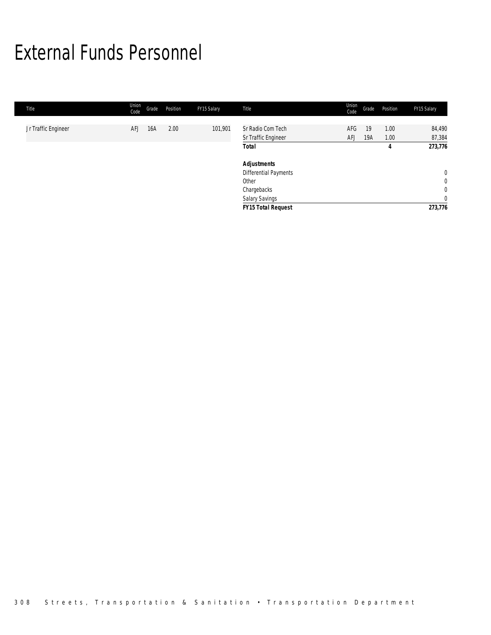### External Funds Personnel

| Title               | Union<br>Code | Grade | Position | FY15 Salary | Title                                    | Union<br>Code | Grade     | Position     | FY15 Salary      |
|---------------------|---------------|-------|----------|-------------|------------------------------------------|---------------|-----------|--------------|------------------|
| Jr Traffic Engineer | AFJ           | 16A   | 2.00     | 101,901     | Sr Radio Com Tech<br>Sr Traffic Engineer | AFG<br>AFJ    | 19<br>19A | 1.00<br>1.00 | 84,490<br>87,384 |
|                     |               |       |          |             | Total                                    |               |           | 4            | 273,776          |
|                     |               |       |          |             | <b>Adjustments</b>                       |               |           |              |                  |
|                     |               |       |          |             | <b>Differential Payments</b>             |               |           |              | $\mathbf{0}$     |
|                     |               |       |          |             | Other                                    |               |           |              | $\mathbf 0$      |
|                     |               |       |          |             | Chargebacks                              |               |           |              | $\mathbf 0$      |
|                     |               |       |          |             | Salary Savings                           |               |           |              | $\mathbf 0$      |
|                     |               |       |          |             | <b>FY15 Total Request</b>                |               |           |              | 273,776          |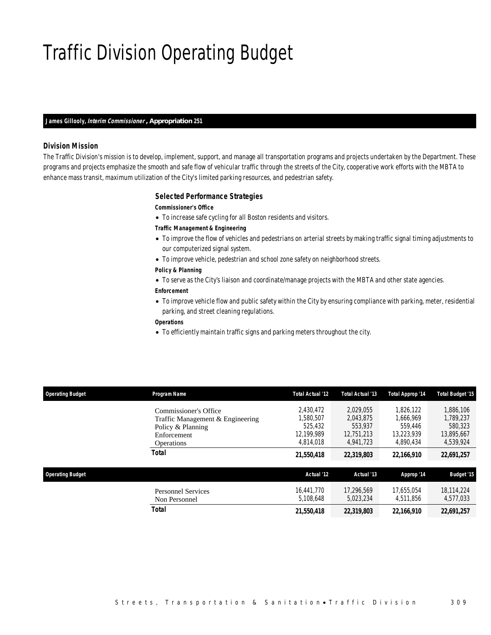### Traffic Division Operating Budget

#### *James Gillooly, Interim Commissioner , Appropriation 251*

#### *Division Mission*

The Traffic Division's mission is to develop, implement, support, and manage all transportation programs and projects undertaken by the Department. These programs and projects emphasize the smooth and safe flow of vehicular traffic through the streets of the City, cooperative work efforts with the MBTA to enhance mass transit, maximum utilization of the City's limited parking resources, and pedestrian safety.

#### *Selected Performance Strategies*

#### *Commissioner's Office*

• To increase safe cycling for all Boston residents and visitors.

#### *Traffic Management & Engineering*

- To improve the flow of vehicles and pedestrians on arterial streets by making traffic signal timing adjustments to our computerized signal system.
- To improve vehicle, pedestrian and school zone safety on neighborhood streets.

#### *Policy & Planning*

- To serve as the City's liaison and coordinate/manage projects with the MBTA and other state agencies. *Enforcement*
- To improve vehicle flow and public safety within the City by ensuring compliance with parking, meter, residential parking, and street cleaning regulations.

#### *Operations*

• To efficiently maintain traffic signs and parking meters throughout the city.

| <b>Operating Budget</b> | Program Name                     | <b>Total Actual '12</b> | Total Actual '13 | <b>Total Approp '14</b> | <b>Total Budget '15</b> |
|-------------------------|----------------------------------|-------------------------|------------------|-------------------------|-------------------------|
|                         | Commissioner's Office            | 2.430.472               | 2.029.055        | 1.826.122               | 1,886,106               |
|                         | Traffic Management & Engineering | 1,580,507               | 2.043.875        | 1.666.969               | 1.789.237               |
|                         | Policy & Planning                | 525.432                 | 553.937          | 559.446                 | 580.323                 |
|                         | Enforcement                      | 12.199.989              | 12.751.213       | 13.223.939              | 13.895.667              |
|                         | Operations                       | 4.814.018               | 4.941.723        | 4.890.434               | 4,539,924               |
|                         | Total                            | 21,550,418              | 22,319,803       | 22.166.910              | 22,691,257              |
| <b>Operating Budget</b> |                                  | Actual '12              | Actual '13       | Approp '14              | <b>Budget '15</b>       |
|                         | <b>Personnel Services</b>        | 16.441.770              | 17.296.569       | 17.655.054              | 18.114.224              |
|                         | Non Personnel                    | 5,108,648               | 5,023,234        | 4.511.856               | 4,577,033               |
|                         | Total                            | 21,550,418              | 22,319,803       | 22.166.910              | 22.691.257              |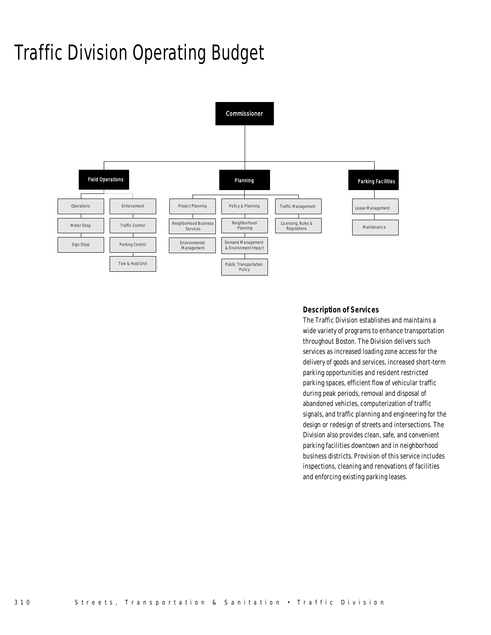### Traffic Division Operating Budget



#### *Description of Services*

The Traffic Division establishes and maintains a wide variety of programs to enhance transportation throughout Boston. The Division delivers such services as increased loading zone access for the delivery of goods and services, increased short-term parking opportunities and resident restricted parking spaces, efficient flow of vehicular traffic during peak periods, removal and disposal of abandoned vehicles, computerization of traffic signals, and traffic planning and engineering for the design or redesign of streets and intersections. The Division also provides clean, safe, and convenient parking facilities downtown and in neighborhood business districts. Provision of this service includes inspections, cleaning and renovations of facilities and enforcing existing parking leases.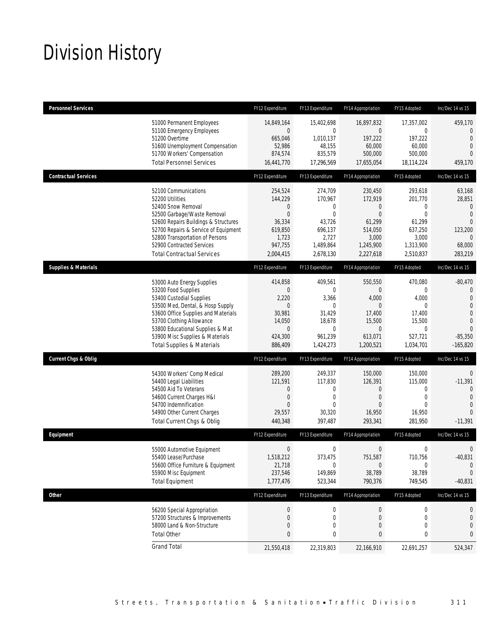### Division History

| <b>Personnel Services</b>                                                                                                                                                                                                                                                                            |                                      | FY12 Expenditure                                                                                             | FY13 Expenditure                                                                                             | FY14 Appropriation                                                                                                   | FY15 Adopted                                                                                    | Inc/Dec 14 vs 15                                                                                                                   |
|------------------------------------------------------------------------------------------------------------------------------------------------------------------------------------------------------------------------------------------------------------------------------------------------------|--------------------------------------|--------------------------------------------------------------------------------------------------------------|--------------------------------------------------------------------------------------------------------------|----------------------------------------------------------------------------------------------------------------------|-------------------------------------------------------------------------------------------------|------------------------------------------------------------------------------------------------------------------------------------|
| 51000 Permanent Employees<br>51100 Emergency Employees<br>51200 Overtime<br>51600 Unemployment Compensation<br>51700 Workers' Compensation<br><b>Total Personnel Services</b>                                                                                                                        |                                      | 14,849,164<br>0<br>665,046<br>52,986<br>874,574<br>16,441,770                                                | 15,402,698<br>$\mathbf 0$<br>1,010,137<br>48,155<br>835,579<br>17,296,569                                    | 16,897,832<br>$\overline{0}$<br>197,222<br>60,000<br>500,000<br>17,655,054                                           | 17,357,002<br>0<br>197,222<br>60,000<br>500,000<br>18,114,224                                   | 459,170<br>$\mathbf{0}$<br>$\mathbf{0}$<br>$\overline{0}$<br>$\Omega$<br>459,170                                                   |
| <b>Contractual Services</b>                                                                                                                                                                                                                                                                          |                                      | FY12 Expenditure                                                                                             | FY13 Expenditure                                                                                             | FY14 Appropriation                                                                                                   | FY15 Adopted                                                                                    | Inc/Dec 14 vs 15                                                                                                                   |
| 52100 Communications<br>52200 Utilities<br>52400 Snow Removal<br>52500 Garbage/Waste Removal<br>52600 Repairs Buildings & Structures<br>52800 Transportation of Persons<br>52900 Contracted Services<br><b>Total Contractual Services</b>                                                            | 52700 Repairs & Service of Equipment | 254,524<br>144,229<br>0<br>$\overline{0}$<br>36,334<br>619,850<br>1,723<br>947,755<br>2,004,415              | 274,709<br>170,967<br>0<br>$\overline{0}$<br>43,726<br>696,137<br>2,727<br>1,489,864<br>2,678,130            | 230,450<br>172,919<br>$\theta$<br>$\overline{0}$<br>61,299<br>514,050<br>3,000<br>1,245,900<br>2,227,618             | 293,618<br>201,770<br>0<br>$\mathbf{0}$<br>61,299<br>637,250<br>3,000<br>1,313,900<br>2,510,837 | 63,168<br>28,851<br>$\mathbf{0}$<br>$\mathbf{0}$<br>0<br>123,200<br>$\Omega$<br>68,000<br>283,219                                  |
| <b>Supplies &amp; Materials</b>                                                                                                                                                                                                                                                                      |                                      | FY12 Expenditure                                                                                             | FY13 Expenditure                                                                                             | FY14 Appropriation                                                                                                   | FY15 Adopted                                                                                    | Inc/Dec 14 vs 15                                                                                                                   |
| 53000 Auto Energy Supplies<br>53200 Food Supplies<br>53400 Custodial Supplies<br>53500 Med, Dental, & Hosp Supply<br>53600 Office Supplies and Materials<br>53700 Clothing Allowance<br>53800 Educational Supplies & Mat<br>53900 Misc Supplies & Materials<br><b>Total Supplies &amp; Materials</b> |                                      | 414,858<br>$\mathbf 0$<br>2,220<br>$\mathbf 0$<br>30,981<br>14,050<br>$\boldsymbol{0}$<br>424,300<br>886,409 | 409,561<br>$\mathbf{0}$<br>3,366<br>$\mathbf{0}$<br>31,429<br>18,678<br>$\mathbf{0}$<br>961,239<br>1,424,273 | 550,550<br>$\overline{0}$<br>4,000<br>$\overline{0}$<br>17,400<br>15,500<br>$\boldsymbol{0}$<br>613,071<br>1,200,521 | 470,080<br>0<br>4,000<br>$\mathbf 0$<br>17,400<br>15,500<br>0<br>527,721<br>1,034,701           | $-80,470$<br>$\mathbf 0$<br>$\overline{0}$<br>$\overline{0}$<br>$\mathbf 0$<br>$\mathbf{0}$<br>$\Omega$<br>$-85,350$<br>$-165,820$ |
| <b>Current Chgs &amp; Oblig</b>                                                                                                                                                                                                                                                                      |                                      | FY12 Expenditure                                                                                             | FY13 Expenditure                                                                                             | FY14 Appropriation                                                                                                   | FY15 Adopted                                                                                    | Inc/Dec 14 vs 15                                                                                                                   |
| 54300 Workers' Comp Medical<br>54400 Legal Liabilities<br>54500 Aid To Veterans<br>54600 Current Charges H&I<br>54700 Indemnification<br>54900 Other Current Charges<br>Total Current Chgs & Oblig                                                                                                   |                                      | 289,200<br>121,591<br>0<br>$\mathbf 0$<br>$\Omega$<br>29,557<br>440,348                                      | 249,337<br>117,830<br>0<br>0<br>$\theta$<br>30,320<br>397,487                                                | 150,000<br>126,391<br>$\theta$<br>$\theta$<br>$\Omega$<br>16,950<br>293,341                                          | 150,000<br>115,000<br>0<br>$\mathbf 0$<br>$\Omega$<br>16,950<br>281,950                         | $\overline{0}$<br>$-11,391$<br>$\mathbf{0}$<br>$\Omega$<br>$\mathbf{0}$<br>$\Omega$<br>$-11,391$                                   |
| Equipment                                                                                                                                                                                                                                                                                            |                                      | FY12 Expenditure                                                                                             | FY13 Expenditure                                                                                             | FY14 Appropriation                                                                                                   | FY15 Adopted                                                                                    | Inc/Dec 14 vs 15                                                                                                                   |
| 55000 Automotive Equipment<br>55400 Lease/Purchase<br>55600 Office Furniture & Equipment<br>55900 Misc Equipment<br><b>Total Equipment</b>                                                                                                                                                           |                                      | $\boldsymbol{0}$<br>1,518,212<br>21,718<br>237,546<br>1,777,476                                              | $\boldsymbol{0}$<br>373,475<br>$\mathbf 0$<br>149,869<br>523,344                                             | $\boldsymbol{0}$<br>751,587<br>$\boldsymbol{0}$<br>38,789<br>790,376                                                 | $\boldsymbol{0}$<br>710,756<br>0<br>38,789<br>749,545                                           | $\mathbf 0$<br>$-40,831$<br>$\mathbf 0$<br>0<br>$-40,831$                                                                          |
| <b>Other</b>                                                                                                                                                                                                                                                                                         |                                      | FY12 Expenditure                                                                                             | FY13 Expenditure                                                                                             | FY14 Appropriation                                                                                                   | FY15 Adopted                                                                                    | Inc/Dec 14 vs 15                                                                                                                   |
| 56200 Special Appropriation<br>57200 Structures & Improvements<br>58000 Land & Non-Structure<br><b>Total Other</b>                                                                                                                                                                                   |                                      | $\bf{0}$<br>0<br>0<br>0                                                                                      | $\boldsymbol{0}$<br>$\mathbf 0$<br>0<br>0                                                                    | $\boldsymbol{0}$<br>$\theta$<br>$\mathbf 0$<br>0                                                                     | 0<br>0<br>$\mathbf 0$<br>0                                                                      | 0<br>0<br>0<br>0                                                                                                                   |
| <b>Grand Total</b>                                                                                                                                                                                                                                                                                   |                                      | 21,550,418                                                                                                   | 22,319,803                                                                                                   | 22,166,910                                                                                                           | 22,691,257                                                                                      | 524,347                                                                                                                            |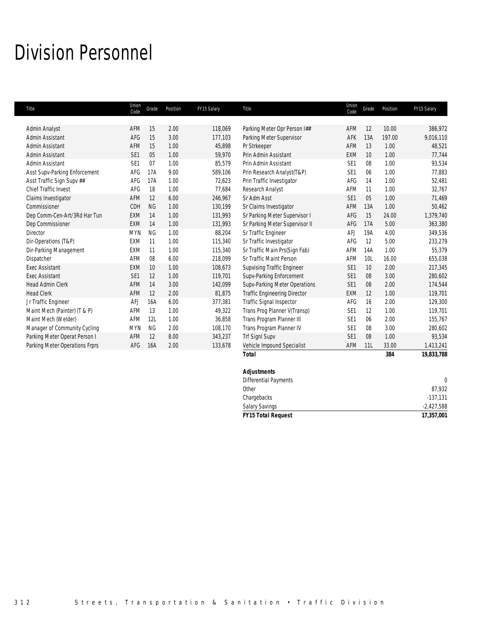### Division Personnel

| Title                          | Union<br>Code   | Grade     | Position | FY15 Salary | Title                               | Union<br>Code   | Grade      | Position | FY15 Salary |
|--------------------------------|-----------------|-----------|----------|-------------|-------------------------------------|-----------------|------------|----------|-------------|
|                                |                 |           |          |             |                                     |                 |            |          |             |
| Admin Analyst                  | AFM             | 15        | 2.00     | 118,069     | Parking Meter Opr Person I##        | AFM             | 12         | 10.00    | 386,972     |
| Admin Assistant                | AFG             | 15        | 3.00     | 177,103     | Parking Meter Supervisor            | AFK             | 13A        | 197.00   | 9,016,110   |
| Admin Assistant                | AFM             | 15        | 1.00     | 45.898      | Pr Strkeeper                        | <b>AFM</b>      | 13         | 1.00     | 48,521      |
| Admin Assistant                | SE <sub>1</sub> | 05        | 1.00     | 59.970      | Prin Admin Assistant                | <b>EXM</b>      | 10         | 1.00     | 77.744      |
| Admin Assistant                | SE <sub>1</sub> | 07        | 1.00     | 85,579      | Prin Admin Assistant                | SE <sub>1</sub> | 08         | 1.00     | 93,534      |
| Asst Supv-Parking Enforcement  | AFG             | 17A       | 9.00     | 589,106     | Prin Research Analyst(T&P)          | SE <sub>1</sub> | 06         | 1.00     | 77,883      |
| Asst Traffic Sign Supv ##      | AFG             | 17A       | 1.00     | 72.623      | Prin Traffic Investigator           | AFG             | 14         | 1.00     | 52,481      |
| <b>Chief Traffic Invest</b>    | AFG             | 18        | 1.00     | 77.684      | Research Analyst                    | <b>AFM</b>      | 11         | 1.00     | 32,767      |
| Claims Investigator            | <b>AFM</b>      | 12        | 6.00     | 246,967     | Sr Adm Asst                         | SE <sub>1</sub> | 05         | 1.00     | 71,469      |
| Commissioner                   | CDH             | <b>NG</b> | 1.00     | 130,199     | Sr Claims Investigator              | <b>AFM</b>      | 13A        | 1.00     | 50,462      |
| Dep Comm-Cen-Art/3Rd Har Tun   | <b>EXM</b>      | 14        | 1.00     | 131,993     | Sr Parking Meter Supervisor I       | AFG             | 15         | 24.00    | 1,379,740   |
| Dep Commissioner               | <b>EXM</b>      | 14        | 1.00     | 131,993     | Sr Parking Meter Supervisor II      | AFG             | 17A        | 5.00     | 363,380     |
| Director                       | <b>MYN</b>      | <b>NG</b> | 1.00     | 88,204      | Sr Traffic Engineer                 | AFJ             | 19A        | 4.00     | 349,536     |
| Dir-Operations (T&P)           | <b>EXM</b>      | 11        | 1.00     | 115,340     | Sr Traffic Investigator             | AFG             | 12         | 5.00     | 233,279     |
| Dir-Parking Management         | <b>EXM</b>      | 11        | 1.00     | 115,340     | Sr Traffic Main Prs(Sign Fab)       | <b>AFM</b>      | 14A        | 1.00     | 55.379      |
| Dispatcher                     | AFM             | 08        | 6.00     | 218,099     | Sr Traffic Maint Person             | <b>AFM</b>      | <b>10L</b> | 16.00    | 655,038     |
| <b>Fxec Assistant</b>          | <b>EXM</b>      | 10        | 1.00     | 108,673     | <b>Supvising Traffic Engineer</b>   | SE <sub>1</sub> | 10         | 2.00     | 217,345     |
| <b>Exec Assistant</b>          | SE <sub>1</sub> | 12        | 1.00     | 119,701     | Supv-Parking Enforcement            | SE <sub>1</sub> | 08         | 3.00     | 280,602     |
| <b>Head Admin Clerk</b>        | AFM             | 14        | 3.00     | 142,099     | Supv-Parking Meter Operations       | SE <sub>1</sub> | 08         | 2.00     | 174,544     |
| <b>Head Clerk</b>              | <b>AFM</b>      | 12        | 2.00     | 81,875      | <b>Traffic Engineering Director</b> | EXM             | 12         | 1.00     | 119,701     |
| Jr Traffic Engineer            | AFJ             | 16A       | 6.00     | 377,381     | Traffic Signal Inspector            | AFG             | 16         | 2.00     | 129,300     |
| Maint Mech (Painter) (T & P)   | AFM             | 13        | 1.00     | 49,322      | Trans Prog Planner V(Transp)        | SE <sub>1</sub> | 12         | 1.00     | 119,701     |
| Maint Mech (Welder)            | <b>AFM</b>      | 12L       | 1.00     | 36,858      | Trans Program Planner III           | SE <sub>1</sub> | 06         | 2.00     | 155,767     |
| Manager of Community Cycling   | <b>MYN</b>      | ΝG        | 2.00     | 108,170     | Trans Program Planner IV            | SE <sub>1</sub> | 08         | 3.00     | 280,602     |
| Parking Meter Operat Person I  | AFM             | 12        | 8.00     | 343,237     | <b>Trf SignI Supv</b>               | SE <sub>1</sub> | 08         | 1.00     | 93,534      |
| Parking Meter Operations Frprs | AFG             | 16A       | 2.00     | 133,678     | Vehicle Impound Specialist          | AFM             | 11L        | 33.00    | 1,413,241   |
|                                |                 |           |          |             | <b>Total</b>                        |                 |            | 384      | 19,833,788  |
|                                |                 |           |          |             |                                     |                 |            |          |             |

| <b>FY15 Total Request</b>    | 17,357,001   |
|------------------------------|--------------|
| <b>Salary Savings</b>        | $-2,427,588$ |
| Chargebacks                  | $-137,131$   |
| Other                        | 87,932       |
| <b>Differential Payments</b> |              |
| <b>Adjustments</b>           |              |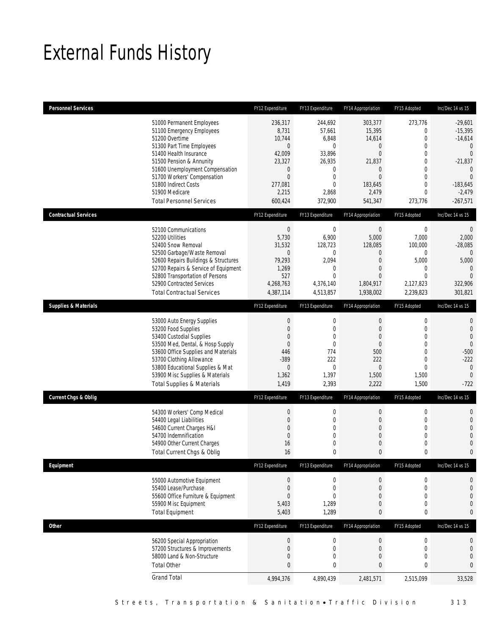## External Funds History

| <b>Personnel Services</b>       |                                                                                                                                                                                                                                                                                                            | FY12 Expenditure                                                                                                                     | FY13 Expenditure                                                                                                        | FY14 Appropriation                                                                                                                  | FY15 Adopted                                                                                                                                                         | Inc/Dec 14 vs 15                                                                                                                                             |
|---------------------------------|------------------------------------------------------------------------------------------------------------------------------------------------------------------------------------------------------------------------------------------------------------------------------------------------------------|--------------------------------------------------------------------------------------------------------------------------------------|-------------------------------------------------------------------------------------------------------------------------|-------------------------------------------------------------------------------------------------------------------------------------|----------------------------------------------------------------------------------------------------------------------------------------------------------------------|--------------------------------------------------------------------------------------------------------------------------------------------------------------|
|                                 | 51000 Permanent Employees<br>51100 Emergency Employees<br>51200 Overtime<br>51300 Part Time Employees<br>51400 Health Insurance<br>51500 Pension & Annunity<br>51600 Unemployment Compensation<br>51700 Workers' Compensation<br>51800 Indirect Costs<br>51900 Medicare<br><b>Total Personnel Services</b> | 236,317<br>8,731<br>10,744<br>$\boldsymbol{0}$<br>42,009<br>23,327<br>$\mathbf 0$<br>$\boldsymbol{0}$<br>277,081<br>2,215<br>600,424 | 244,692<br>57,661<br>6,848<br>$\mathbf 0$<br>33,896<br>26,935<br>0<br>$\mathbf 0$<br>$\overline{0}$<br>2,868<br>372,900 | 303,377<br>15,395<br>14,614<br>$\mathbf 0$<br>$\mathbf{0}$<br>21,837<br>$\mathbf{0}$<br>$\mathbf{0}$<br>183.645<br>2,479<br>541,347 | 273,776<br>$\boldsymbol{0}$<br>$\mathbf 0$<br>$\mathbf{0}$<br>$\mathbf{0}$<br>$\mathbf 0$<br>$\mathbf 0$<br>$\mathbf 0$<br>$\overline{0}$<br>$\mathbf{0}$<br>273,776 | $-29,601$<br>$-15,395$<br>$-14,614$<br>$\mathbf{0}$<br>$\overline{0}$<br>$-21,837$<br>$\mathbf{0}$<br>$\overline{0}$<br>$-183,645$<br>$-2,479$<br>$-267,571$ |
| <b>Contractual Services</b>     |                                                                                                                                                                                                                                                                                                            | FY12 Expenditure                                                                                                                     | FY13 Expenditure                                                                                                        | FY14 Appropriation                                                                                                                  | FY15 Adopted                                                                                                                                                         | Inc/Dec 14 vs 15                                                                                                                                             |
|                                 | 52100 Communications<br>52200 Utilities<br>52400 Snow Removal<br>52500 Garbage/Waste Removal<br>52600 Repairs Buildings & Structures<br>52700 Repairs & Service of Equipment<br>52800 Transportation of Persons<br>52900 Contracted Services<br><b>Total Contractual Services</b>                          | $\boldsymbol{0}$<br>5,730<br>31,532<br>$\boldsymbol{0}$<br>79,293<br>1,269<br>527<br>4,268,763<br>4,387,114                          | $\mathbf 0$<br>6,900<br>128,723<br>0<br>2,094<br>0<br>$\mathbf{0}$<br>4,376,140<br>4,513,857                            | $\boldsymbol{0}$<br>5,000<br>128,085<br>0<br>$\mathbf{0}$<br>$\mathbf 0$<br>$\mathbf{0}$<br>1,804,917<br>1,938,002                  | $\boldsymbol{0}$<br>7,000<br>100,000<br>$\mathbf 0$<br>5,000<br>$\mathbf 0$<br>$\overline{0}$<br>2,127,823<br>2,239,823                                              | $\theta$<br>2,000<br>$-28,085$<br>$\mathbf{0}$<br>5,000<br>$\Omega$<br>$\overline{0}$<br>322,906<br>301,821                                                  |
| <b>Supplies &amp; Materials</b> |                                                                                                                                                                                                                                                                                                            | FY12 Expenditure                                                                                                                     | FY13 Expenditure                                                                                                        | FY14 Appropriation                                                                                                                  | FY15 Adopted                                                                                                                                                         | Inc/Dec 14 vs 15                                                                                                                                             |
|                                 | 53000 Auto Energy Supplies<br>53200 Food Supplies<br>53400 Custodial Supplies<br>53500 Med, Dental, & Hosp Supply<br>53600 Office Supplies and Materials<br>53700 Clothing Allowance<br>53800 Educational Supplies & Mat<br>53900 Misc Supplies & Materials<br><b>Total Supplies &amp; Materials</b>       | $\boldsymbol{0}$<br>$\boldsymbol{0}$<br>0<br>$\overline{0}$<br>446<br>$-389$<br>$\boldsymbol{0}$<br>1,362<br>1,419                   | 0<br>$\mathbf 0$<br>$\mathbf{0}$<br>$\mathbf{0}$<br>774<br>222<br>$\mathbf{0}$<br>1,397<br>2,393                        | $\boldsymbol{0}$<br>$\mathbf{0}$<br>$\mathbf{0}$<br>$\mathbf{0}$<br>500<br>222<br>$\mathbf{0}$<br>1,500<br>2,222                    | $\boldsymbol{0}$<br>$\mathbf 0$<br>$\mathbf{0}$<br>$\mathbf{0}$<br>$\overline{0}$<br>$\mathbf 0$<br>$\mathbf{0}$<br>1,500<br>1,500                                   | $\mathbf 0$<br>$\mathbf{0}$<br>$\mathbf{0}$<br>$\mathbf{0}$<br>$-500$<br>$-222$<br>$\mathbf 0$<br>$\overline{0}$<br>$-722$                                   |
| <b>Current Chgs &amp; Oblig</b> |                                                                                                                                                                                                                                                                                                            | FY12 Expenditure                                                                                                                     | FY13 Expenditure                                                                                                        | FY14 Appropriation                                                                                                                  | FY15 Adopted                                                                                                                                                         | Inc/Dec 14 vs 15                                                                                                                                             |
|                                 | 54300 Workers' Comp Medical<br>54400 Legal Liabilities<br>54600 Current Charges H&I<br>54700 Indemnification<br>54900 Other Current Charges<br>Total Current Chgs & Oblig                                                                                                                                  | $\boldsymbol{0}$<br>$\boldsymbol{0}$<br>$\overline{0}$<br>$\boldsymbol{0}$<br>16<br>16                                               | $\boldsymbol{0}$<br>$\mathbf 0$<br>$\mathbf{0}$<br>0<br>0<br>0                                                          | $\boldsymbol{0}$<br>$\boldsymbol{0}$<br>$\overline{0}$<br>$\mathbf{0}$<br>$\mathbf{0}$<br>0                                         | $\boldsymbol{0}$<br>$\mathbf 0$<br>$\mathbf{0}$<br>$\mathbf 0$<br>$\mathbf 0$<br>$\mathbf{0}$                                                                        | 0<br>$\mathbf{0}$<br>$\overline{0}$<br>$\overline{0}$<br>$\boldsymbol{0}$<br>$\bf{0}$                                                                        |
| Equipment                       |                                                                                                                                                                                                                                                                                                            | FY12 Expenditure                                                                                                                     | FY13 Expenditure                                                                                                        | FY14 Appropriation                                                                                                                  | FY15 Adopted                                                                                                                                                         | Inc/Dec 14 vs 15                                                                                                                                             |
|                                 | 55000 Automotive Equipment<br>55400 Lease/Purchase<br>55600 Office Furniture & Equipment<br>55900 Misc Equipment<br><b>Total Equipment</b>                                                                                                                                                                 | $\boldsymbol{0}$<br>$\boldsymbol{0}$<br>$\boldsymbol{0}$<br>5,403<br>5,403                                                           | 0<br>$\mathbf 0$<br>0<br>1,289<br>1,289                                                                                 | $\boldsymbol{0}$<br>$\boldsymbol{0}$<br>$\overline{0}$<br>0<br>0                                                                    | $\boldsymbol{0}$<br>$\mathbf 0$<br>$\mathbf 0$<br>$\mathbf 0$<br>0                                                                                                   | $\mathbf 0$<br>$\mathbf{0}$<br>$\mathbf 0$<br>$\mathbf 0$<br>0                                                                                               |
| Other                           |                                                                                                                                                                                                                                                                                                            | FY12 Expenditure                                                                                                                     | FY13 Expenditure                                                                                                        | FY14 Appropriation                                                                                                                  | FY15 Adopted                                                                                                                                                         | Inc/Dec 14 vs 15                                                                                                                                             |
|                                 | 56200 Special Appropriation<br>57200 Structures & Improvements<br>58000 Land & Non-Structure<br><b>Total Other</b>                                                                                                                                                                                         | $\boldsymbol{0}$<br>$\boldsymbol{0}$<br>$\boldsymbol{0}$<br>$\mathbf{0}$                                                             | $\boldsymbol{0}$<br>$\mathbf 0$<br>0<br>0                                                                               | $\boldsymbol{0}$<br>$\boldsymbol{0}$<br>0<br>$\bf{0}$                                                                               | $\boldsymbol{0}$<br>$\mathbf 0$<br>$\mathbf 0$<br>$\bf{0}$                                                                                                           | 0<br>$\mathbf 0$<br>$\mathbf 0$<br>0                                                                                                                         |
|                                 | <b>Grand Total</b>                                                                                                                                                                                                                                                                                         | 4,994,376                                                                                                                            | 4,890,439                                                                                                               | 2,481,571                                                                                                                           | 2,515,099                                                                                                                                                            | 33,528                                                                                                                                                       |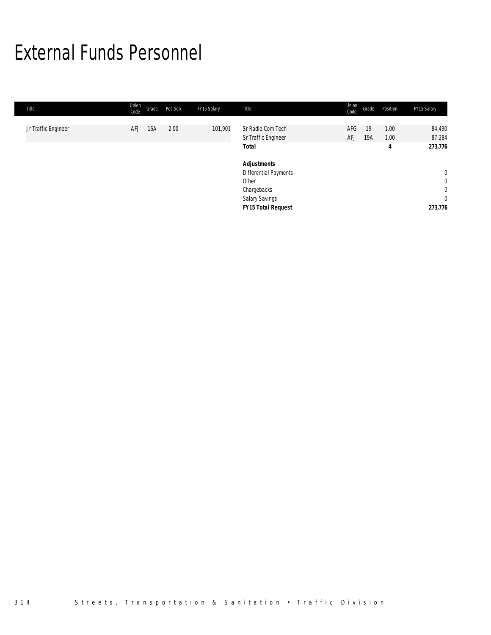## External Funds Personnel

| Title               | Union<br>Code | Grade | Position | FY15 Salary | Title                                    | Union<br>Code     | Grade     | Position     | FY15 Salary      |
|---------------------|---------------|-------|----------|-------------|------------------------------------------|-------------------|-----------|--------------|------------------|
| Jr Traffic Engineer | AFJ           | 16A   | 2.00     | 101,901     | Sr Radio Com Tech<br>Sr Traffic Engineer | AFG<br><b>AFJ</b> | 19<br>19A | 1.00<br>1.00 | 84,490<br>87,384 |
|                     |               |       |          |             | Total                                    |                   |           | 4            | 273,776          |
|                     |               |       |          |             | <b>Adjustments</b>                       |                   |           |              |                  |
|                     |               |       |          |             | <b>Differential Payments</b>             |                   |           |              | $\mathbf{0}$     |
|                     |               |       |          |             | Other                                    |                   |           |              | $\mathbf{0}$     |
|                     |               |       |          |             | Chargebacks                              |                   |           |              | $\overline{0}$   |
|                     |               |       |          |             | Salary Savings                           |                   |           |              | $\mathbf{0}$     |
|                     |               |       |          |             | <b>FY15 Total Request</b>                |                   |           |              | 273,776          |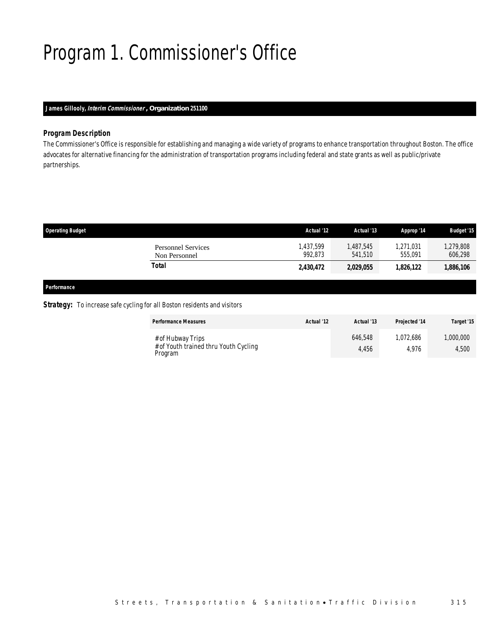## Program 1. Commissioner's Office

## *James Gillooly, Interim Commissioner , Organization 251100*

### *Program Description*

The Commissioner's Office is responsible for establishing and managing a wide variety of programs to enhance transportation throughout Boston. The office advocates for alternative financing for the administration of transportation programs including federal and state grants as well as public/private partnerships.

| <b>Operating Budget</b>                    | Actual '12          | Actual '13           | Approp '14           | <b>Budget '15</b>    |
|--------------------------------------------|---------------------|----------------------|----------------------|----------------------|
| <b>Personnel Services</b><br>Non Personnel | .437.599<br>992.873 | 1,487,545<br>541,510 | 1.271.031<br>555,091 | 1,279,808<br>606,298 |
| Total                                      | 2,430,472           | 2,029,055            | 1,826,122            | 1,886,106            |
|                                            |                     |                      |                      |                      |

*Performance* 

### **Strategy:** To increase safe cycling for all Boston residents and visitors

| <b>Performance Measures</b>                                           | Actual '12 | Actual '13       | Projected '14      | Target '15        |
|-----------------------------------------------------------------------|------------|------------------|--------------------|-------------------|
| # of Hubway Trips<br># of Youth trained thru Youth Cycling<br>Program |            | 646.548<br>4.456 | 1.072.686<br>4.976 | 000,000,<br>4,500 |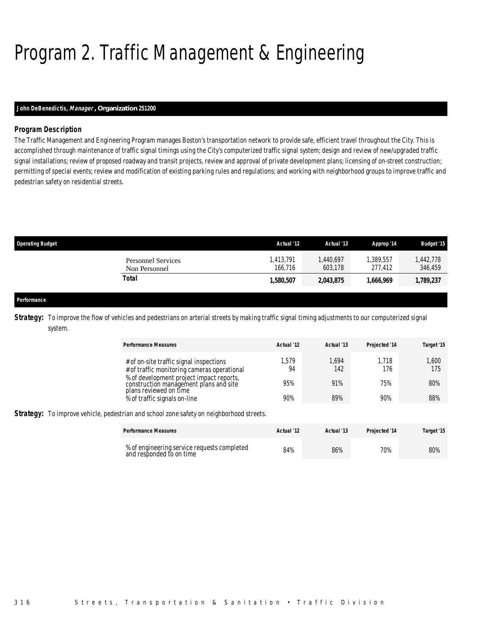# Program 2. Traffic Management & Engineering

### *John DeBenedictis, Manager , Organization 251200*

## *Program Description*

The Traffic Management and Engineering Program manages Boston's transportation network to provide safe, efficient travel throughout the City. This is accomplished through maintenance of traffic signal timings using the City's computerized traffic signal system; design and review of new/upgraded traffic signal installations; review of proposed roadway and transit projects, review and approval of private development plans; licensing of on-street construction; permitting of special events; review and modification of existing parking rules and regulations; and working with neighborhood groups to improve traffic and pedestrian safety on residential streets.

| <b>Operating Budget</b>             | Actual '12          | Actual '13           | Approp '14           | <b>Budget '15</b>   |
|-------------------------------------|---------------------|----------------------|----------------------|---------------------|
| Personnel Services<br>Non Personnel | .413.791<br>166.716 | 1,440,697<br>603.178 | 1.389.557<br>277.412 | ,442,778<br>346,459 |
| Total                               | 1,580,507           | 2,043,875            | 1,666,969            | 1,789,237           |
|                                     |                     |                      |                      |                     |

#### *Performance*

Strategy: To improve the flow of vehicles and pedestrians on arterial streets by making traffic signal timing adjustments to our computerized signal system.

| <b>Performance Measures</b>                                                                                   | Actual '12  | Actual '13  | Projected '14 | Target '15   |
|---------------------------------------------------------------------------------------------------------------|-------------|-------------|---------------|--------------|
| # of on-site traffic signal inspections<br># of traffic monitoring cameras operational                        | 1.579<br>94 | .694<br>142 | 1.718<br>176  | 1,600<br>175 |
| % of development project impact reports,<br>construction management plans and site<br>plans reviewed on fime. | 95%         | 91%         | 75%           | 80%          |
| % of traffic signals on-line                                                                                  | 90%         | 89%         | 90%           | 88%          |

**Strategy:** To improve vehicle, pedestrian and school zone safety on neighborhood streets.

| <b>Performance Measures</b>                                             | Actual '12 | Actual '13 | <b>Projected '14</b> | Target '15 |
|-------------------------------------------------------------------------|------------|------------|----------------------|------------|
| % of engineering service requests completed<br>and responded to on time | 84%        | 86%        | 70%                  | 80%        |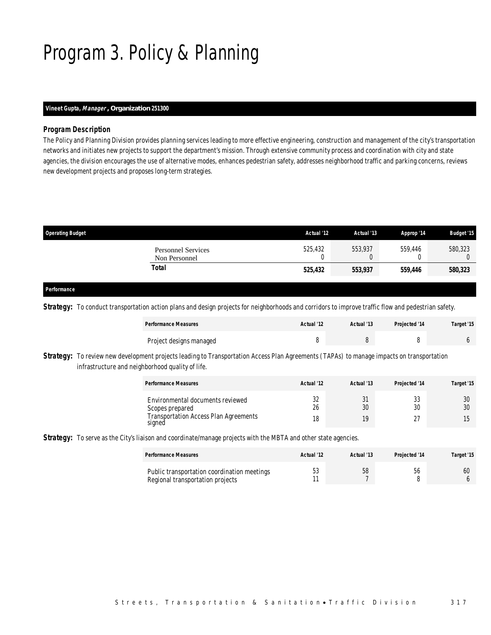## Program 3. Policy & Planning

### *Vineet Gupta, Manager , Organization 251300*

### *Program Description*

The Policy and Planning Division provides planning services leading to more effective engineering, construction and management of the city's transportation networks and initiates new projects to support the department's mission. Through extensive community process and coordination with city and state agencies, the division encourages the use of alternative modes, enhances pedestrian safety, addresses neighborhood traffic and parking concerns, reviews new development projects and proposes long-term strategies.

| <b>Operating Budget</b>                    | Actual '12 | Actual '13   | Approp '14 | <b>Budget '15</b> |
|--------------------------------------------|------------|--------------|------------|-------------------|
| <b>Personnel Services</b><br>Non Personnel | 525,432    | 553,937<br>U | 559.446    | 580,323           |
| <b>Total</b>                               | 525,432    | 553,937      | 559,446    | 580,323           |
|                                            |            |              |            |                   |

## *Performance*

**Strategy:** To conduct transportation action plans and design projects for neighborhoods and corridors to improve traffic flow and pedestrian safety.

| <b>Performance Measures</b> | Actual '12 | Actual '13 | Projected '14 | Target '15 |
|-----------------------------|------------|------------|---------------|------------|
| Project designs managed     |            |            |               |            |

*Strategy:* To review new development projects leading to Transportation Access Plan Agreements (TAPAs) to manage impacts on transportation infrastructure and neighborhood quality of life.

| <b>Performance Measures</b>                            | Actual '12 | Actual '13 | Projected '14 | Target '15 |
|--------------------------------------------------------|------------|------------|---------------|------------|
| Environmental documents reviewed<br>Scopes prepared    | JZ<br>26   | 31<br>30   | JJ<br>30      | 30<br>30   |
| <b>Transportation Access Plan Agreements</b><br>signed | 18         | 10         | $\sim$        | 15         |

**Strategy:** To serve as the City's liaison and coordinate/manage projects with the MBTA and other state agencies.

| <b>Performance Measures</b>                                                     | Actual '12 | Actual '13 | <b>Projected '14</b> | Target '15 |
|---------------------------------------------------------------------------------|------------|------------|----------------------|------------|
| Public transportation coordination meetings<br>Regional transportation projects | ັບ         | 58         | 56                   |            |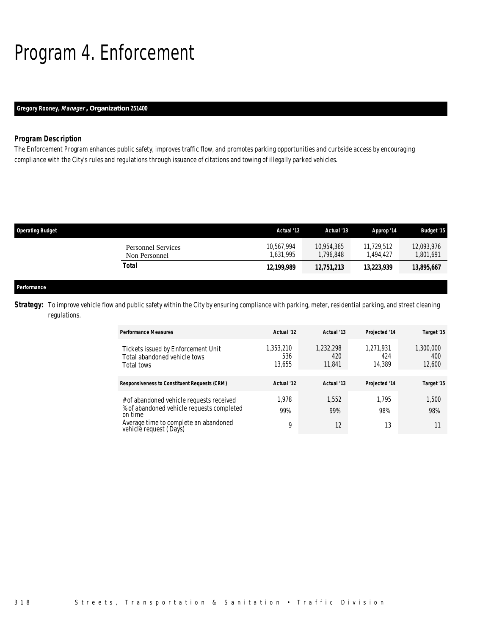## Program 4. Enforcement

## *Gregory Rooney, Manager , Organization 251400*

## *Program Description*

The Enforcement Program enhances public safety, improves traffic flow, and promotes parking opportunities and curbside access by encouraging compliance with the City's rules and regulations through issuance of citations and towing of illegally parked vehicles.

| <b>Operating Budget</b>                    | Actual '12              | Actual '13              | Approp '14              | <b>Budget '15</b>      |
|--------------------------------------------|-------------------------|-------------------------|-------------------------|------------------------|
| <b>Personnel Services</b><br>Non Personnel | 10,567,994<br>1.631.995 | 10,954,365<br>1.796.848 | 11.729.512<br>1.494.427 | 12.093.976<br>,801,691 |
| <b>Total</b>                               | 12,199,989              | 12,751,213              | 13,223,939              | 13,895,667             |
|                                            |                         |                         |                         |                        |
| Performance                                |                         |                         |                         |                        |

**Strategy:** To improve vehicle flow and public safety within the City by ensuring compliance with parking, meter, residential parking, and street cleaning regulations.

| <b>Performance Measures</b>                                                                                                                                         | Actual '12                | Actual '13                 | Projected '14              | Target '15                |
|---------------------------------------------------------------------------------------------------------------------------------------------------------------------|---------------------------|----------------------------|----------------------------|---------------------------|
| Tickets issued by Enforcement Unit<br>Total abandoned vehicle tows<br>Total tows                                                                                    | ,353,210<br>536<br>13.655 | 1,232,298<br>420<br>11,841 | 1,271,931<br>424<br>14.389 | ,300,000<br>400<br>12,600 |
| <b>Responsiveness to Constituent Requests (CRM)</b>                                                                                                                 | Actual '12                | Actual '13                 | Projected '14              | Target '15                |
| # of abandoned vehicle requests received<br>% of abandoned vehicle requests completed<br>on time<br>Average time to complete an abandoned<br>vehicle request (Days) | 1.978<br>99%<br>Q         | 1.552<br>99%<br>12         | 1.795<br>98%<br>13         | 1,500<br>98%              |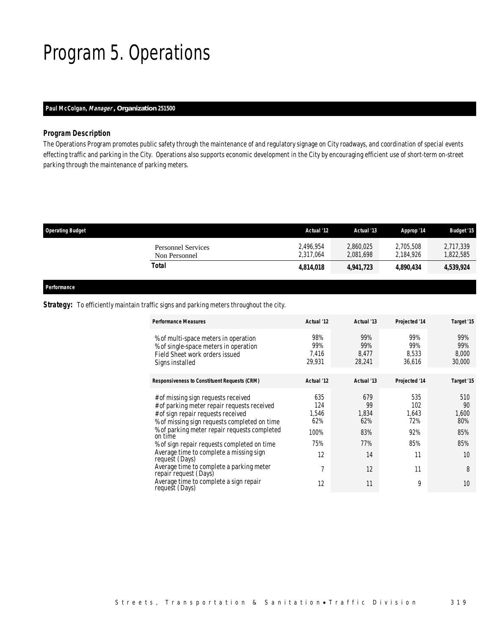## Program 5. Operations

## *Paul McColgan, Manager , Organization 251500*

### *Program Description*

The Operations Program promotes public safety through the maintenance of and regulatory signage on City roadways, and coordination of special events effecting traffic and parking in the City. Operations also supports economic development in the City by encouraging efficient use of short-term on-street parking through the maintenance of parking meters.

| <b>Operating Budget</b>                    | Actual '12             | Actual '13             | Approp '14             | <b>Budget '15</b>     |
|--------------------------------------------|------------------------|------------------------|------------------------|-----------------------|
| <b>Personnel Services</b><br>Non Personnel | 2.496.954<br>2.317.064 | 2,860,025<br>2.081.698 | 2,705,508<br>2.184.926 | 2,717,339<br>,822,585 |
| Total                                      | 4.814.018              | 4,941,723              | 4.890.434              | 4,539,924             |
|                                            |                        |                        |                        |                       |

*Performance* 

### **Strategy:** To efficiently maintain traffic signs and parking meters throughout the city.

| <b>Performance Measures</b>                                                                                                                                                                                              | Actual '12                    | Actual '13                    | Projected '14                 | Target '15                    |
|--------------------------------------------------------------------------------------------------------------------------------------------------------------------------------------------------------------------------|-------------------------------|-------------------------------|-------------------------------|-------------------------------|
| % of multi-space meters in operation<br>% of single-space meters in operation<br>Field Sheet work orders issued<br>Signs installed                                                                                       | 98%<br>99%<br>7,416<br>29,931 | 99%<br>99%<br>8,477<br>28,241 | 99%<br>99%<br>8,533<br>36,616 | 99%<br>99%<br>8,000<br>30,000 |
| <b>Responsiveness to Constituent Requests (CRM)</b>                                                                                                                                                                      | Actual '12                    | Actual '13                    | Projected '14                 | Target '15                    |
| # of missing sign requests received<br># of parking meter repair requests received<br># of sign repair requests received<br>% of missing sign requests completed on time<br>% of parking meter repair requests completed | 635<br>124<br>1,546<br>62%    | 679<br>99<br>1,834<br>62%     | 535<br>102<br>1,643<br>72%    | 510<br>90<br>1,600<br>80%     |
| on time<br>% of sign repair requests completed on time                                                                                                                                                                   | 100%<br>75%                   | 83%<br>77%                    | 92%<br>85%                    | 85%<br>85%                    |
| Average time to complete a missing sign<br>request (Days)                                                                                                                                                                | 12                            | 14                            | 11                            | 10                            |
| Average time to complete a parking meter<br>repair request (Days)                                                                                                                                                        | $\overline{\phantom{a}}$      | 12                            | 11                            | 8                             |
| Average time to complete a sign repair<br>request (Days)                                                                                                                                                                 | 12                            | 11                            | 9                             | 10                            |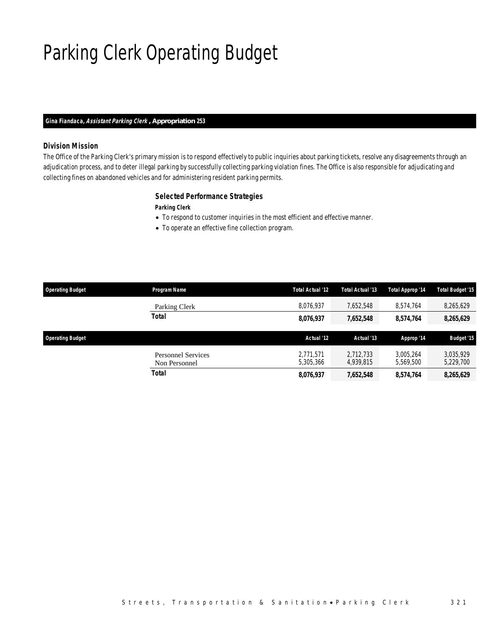## Parking Clerk Operating Budget

### *Gina Fiandaca, Assistant Parking Clerk , Appropriation 253*

## *Division Mission*

The Office of the Parking Clerk's primary mission is to respond effectively to public inquiries about parking tickets, resolve any disagreements through an adjudication process, and to deter illegal parking by successfully collecting parking violation fines. The Office is also responsible for adjudicating and collecting fines on abandoned vehicles and for administering resident parking permits.

## *Selected Performance Strategies*

#### *Parking Clerk*

- To respond to customer inquiries in the most efficient and effective manner.
- To operate an effective fine collection program.

| <b>Operating Budget</b> | Program Name                               | Total Actual '12       | Total Actual '13       | Total Approp '14       | <b>Total Budget '15</b> |
|-------------------------|--------------------------------------------|------------------------|------------------------|------------------------|-------------------------|
|                         | Parking Clerk                              | 8,076,937              | 7.652.548              | 8.574.764              | 8,265,629               |
|                         | <b>Total</b>                               | 8,076,937              | 7,652,548              | 8,574,764              | 8,265,629               |
| <b>Operating Budget</b> |                                            | Actual '12             | Actual '13             | Approp '14             | Budget '15              |
|                         | <b>Personnel Services</b><br>Non Personnel | 2.771.571<br>5,305,366 | 2.712.733<br>4,939,815 | 3.005.264<br>5.569.500 | 3,035,929<br>5,229,700  |
|                         |                                            |                        |                        |                        |                         |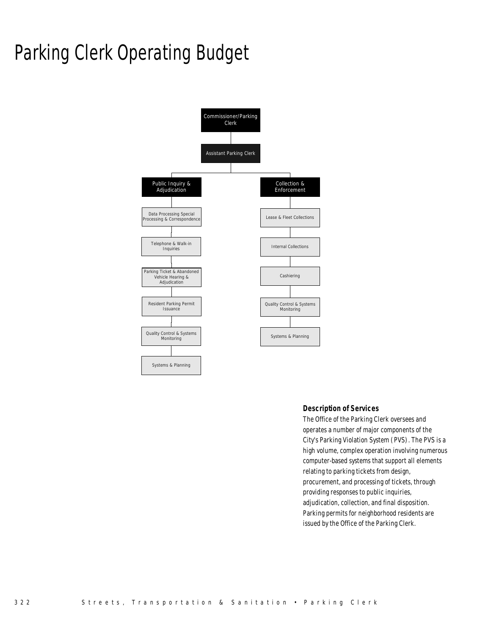# Parking Clerk Operating Budget



### *Description of Services*

The Office of the Parking Clerk oversees and operates a number of major components of the City's Parking Violation System (PVS). The PVS is a high volume, complex operation involving numerous computer-based systems that support all elements relating to parking tickets from design, procurement, and processing of tickets, through providing responses to public inquiries, adjudication, collection, and final disposition. Parking permits for neighborhood residents are issued by the Office of the Parking Clerk.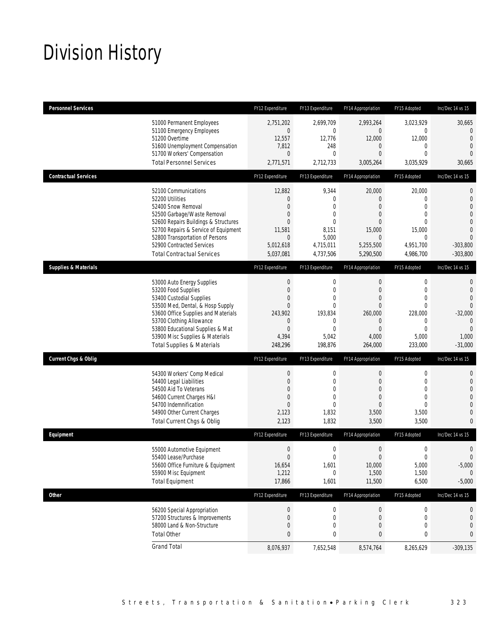## Division History

| <b>Personnel Services</b>                                                                  |                                                                                                                                                                                                                       | FY12 Expenditure                                                                                                | FY13 Expenditure                                                                                                | FY14 Appropriation                                                                                                             | FY15 Adopted                                                                                            | Inc/Dec 14 vs 15                                                                                                                           |
|--------------------------------------------------------------------------------------------|-----------------------------------------------------------------------------------------------------------------------------------------------------------------------------------------------------------------------|-----------------------------------------------------------------------------------------------------------------|-----------------------------------------------------------------------------------------------------------------|--------------------------------------------------------------------------------------------------------------------------------|---------------------------------------------------------------------------------------------------------|--------------------------------------------------------------------------------------------------------------------------------------------|
| 51200 Overtime                                                                             | 51000 Permanent Employees<br>51100 Emergency Employees<br>51600 Unemployment Compensation<br>51700 Workers' Compensation<br><b>Total Personnel Services</b>                                                           | 2,751,202<br>$\overline{0}$<br>12,557<br>7,812<br>$\overline{0}$<br>2,771,571                                   | 2,699,709<br>$\mathbf{0}$<br>12,776<br>248<br>$\mathbf 0$<br>2,712,733                                          | 2,993,264<br>$\overline{0}$<br>12,000<br>$\theta$<br>$\theta$<br>3,005,264                                                     | 3,023,929<br>0<br>12,000<br>0<br>$\mathbf{0}$<br>3,035,929                                              | 30,665<br>$\mathbf{0}$<br>$\overline{0}$<br>$\overline{0}$<br>$\Omega$<br>30,665                                                           |
| <b>Contractual Services</b>                                                                |                                                                                                                                                                                                                       | FY12 Expenditure                                                                                                | FY13 Expenditure                                                                                                | FY14 Appropriation                                                                                                             | FY15 Adopted                                                                                            | Inc/Dec 14 vs 15                                                                                                                           |
| 52100 Communications<br>52200 Utilities<br>52400 Snow Removal<br>52900 Contracted Services | 52500 Garbage/Waste Removal<br>52600 Repairs Buildings & Structures<br>52700 Repairs & Service of Equipment<br>52800 Transportation of Persons<br><b>Total Contractual Services</b>                                   | 12,882<br>0<br>$\Omega$<br>0<br>$\Omega$<br>11,581<br>$\overline{0}$<br>5,012,618<br>5,037,081                  | 9,344<br>$\mathbf 0$<br>$\Omega$<br>$\mathbf 0$<br>$\Omega$<br>8,151<br>5,000<br>4,715,011<br>4,737,506         | 20,000<br>$\theta$<br>$\theta$<br>$\overline{0}$<br>$\Omega$<br>15,000<br>$\mathbf{0}$<br>5,255,500<br>5,290,500               | 20,000<br>0<br>$\Omega$<br>$\overline{0}$<br>$\Omega$<br>15,000<br>0<br>4,951,700<br>4,986,700          | $\mathbf 0$<br>$\mathbf 0$<br>$\overline{0}$<br>$\overline{0}$<br>$\overline{0}$<br>$\Omega$<br>$\overline{0}$<br>$-303,800$<br>$-303,800$ |
| <b>Supplies &amp; Materials</b>                                                            |                                                                                                                                                                                                                       | FY12 Expenditure                                                                                                | FY13 Expenditure                                                                                                | FY14 Appropriation                                                                                                             | FY15 Adopted                                                                                            | Inc/Dec 14 vs 15                                                                                                                           |
| 53200 Food Supplies<br>53400 Custodial Supplies<br>53700 Clothing Allowance                | 53000 Auto Energy Supplies<br>53500 Med, Dental, & Hosp Supply<br>53600 Office Supplies and Materials<br>53800 Educational Supplies & Mat<br>53900 Misc Supplies & Materials<br><b>Total Supplies &amp; Materials</b> | $\boldsymbol{0}$<br>$\boldsymbol{0}$<br>0<br>$\overline{0}$<br>243,902<br>0<br>$\mathbf{0}$<br>4,394<br>248,296 | 0<br>$\mathbf{0}$<br>$\mathbf{0}$<br>$\mathbf{0}$<br>193,834<br>$\mathbf 0$<br>$\mathbf{0}$<br>5,042<br>198,876 | $\mathbf 0$<br>$\overline{0}$<br>$\overline{0}$<br>$\overline{0}$<br>260,000<br>$\theta$<br>$\overline{0}$<br>4,000<br>264,000 | 0<br>$\mathbf{0}$<br>$\mathbf{0}$<br>$\mathbf{0}$<br>228,000<br>0<br>$\overline{0}$<br>5,000<br>233,000 | 0<br>$\mathbf{0}$<br>$\overline{0}$<br>$\Omega$<br>$-32,000$<br>$\Omega$<br>$\mathbf{0}$<br>1,000<br>$-31,000$                             |
| <b>Current Chgs &amp; Oblig</b>                                                            |                                                                                                                                                                                                                       | FY12 Expenditure                                                                                                | FY13 Expenditure                                                                                                | FY14 Appropriation                                                                                                             | FY15 Adopted                                                                                            | Inc/Dec 14 vs 15                                                                                                                           |
| 54400 Legal Liabilities<br>54500 Aid To Veterans<br>54700 Indemnification                  | 54300 Workers' Comp Medical<br>54600 Current Charges H&I<br>54900 Other Current Charges<br>Total Current Chgs & Oblig                                                                                                 | $\boldsymbol{0}$<br>$\boldsymbol{0}$<br>0<br>0<br>$\overline{0}$<br>2,123<br>2,123                              | $\mathbf 0$<br>$\mathbf 0$<br>$\mathbf{0}$<br>$\mathbf{0}$<br>$\mathbf{0}$<br>1,832<br>1,832                    | $\mathbf 0$<br>$\overline{0}$<br>$\theta$<br>$\overline{0}$<br>$\overline{0}$<br>3,500<br>3,500                                | 0<br>$\mathbf 0$<br>$\mathbf{0}$<br>$\overline{0}$<br>$\Omega$<br>3,500<br>3,500                        | $\mathbf 0$<br>$\mathbf 0$<br>$\overline{0}$<br>$\overline{0}$<br>$\overline{0}$<br>$\overline{0}$<br>$\overline{0}$                       |
| Equipment                                                                                  |                                                                                                                                                                                                                       | FY12 Expenditure                                                                                                | FY13 Expenditure                                                                                                | FY14 Appropriation                                                                                                             | FY15 Adopted                                                                                            | Inc/Dec 14 vs 15                                                                                                                           |
| 55400 Lease/Purchase<br>55900 Misc Equipment<br><b>Total Equipment</b>                     | 55000 Automotive Equipment<br>55600 Office Furniture & Equipment                                                                                                                                                      | $\boldsymbol{0}$<br>$\Omega$<br>16,654<br>1,212<br>17,866                                                       | 0<br>$\mathbf 0$<br>1,601<br>0<br>1,601                                                                         | $\boldsymbol{0}$<br>$\mathbf{0}$<br>10,000<br>1,500<br>11,500                                                                  | $\mathbf 0$<br>$\overline{0}$<br>5,000<br>1,500<br>6,500                                                | $\mathbf 0$<br>$\overline{0}$<br>$-5,000$<br>$\Omega$<br>$-5,000$                                                                          |
| Other                                                                                      |                                                                                                                                                                                                                       | FY12 Expenditure                                                                                                | FY13 Expenditure                                                                                                | FY14 Appropriation                                                                                                             | FY15 Adopted                                                                                            | Inc/Dec 14 vs 15                                                                                                                           |
| <b>Total Other</b>                                                                         | 56200 Special Appropriation<br>57200 Structures & Improvements<br>58000 Land & Non-Structure                                                                                                                          | $\boldsymbol{0}$<br>0<br>$\mathbf 0$<br>0                                                                       | 0<br>0<br>$\mathbf 0$<br>0                                                                                      | $\theta$<br>$\mathbf 0$<br>$\theta$<br>$\bf{0}$                                                                                | 0<br>0<br>0<br>0                                                                                        | 0<br>0<br>$\mathbf 0$<br>0                                                                                                                 |
| <b>Grand Total</b>                                                                         |                                                                                                                                                                                                                       | 8,076,937                                                                                                       | 7,652,548                                                                                                       | 8,574,764                                                                                                                      | 8,265,629                                                                                               | $-309,135$                                                                                                                                 |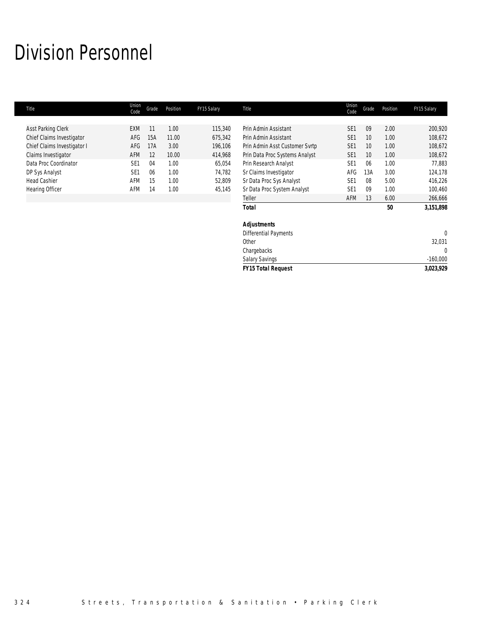## Division Personnel

| Title                       | Union<br>Code   | Grade | Position | FY15 Salary | Title                          | Union<br>Code   | Grade | Position | FY15 Salary  |
|-----------------------------|-----------------|-------|----------|-------------|--------------------------------|-----------------|-------|----------|--------------|
|                             |                 |       |          |             |                                |                 |       |          |              |
| Asst Parking Clerk          | EXM             | 11    | 1.00     | 115,340     | Prin Admin Assistant           | SE <sub>1</sub> | 09    | 2.00     | 200,920      |
| Chief Claims Investigator   | AFG             | 15A   | 11.00    | 675,342     | Prin Admin Assistant           | SE <sub>1</sub> | 10    | 1.00     | 108,672      |
| Chief Claims Investigator I | AFG             | 17A   | 3.00     | 196,106     | Prin Admin Asst Customer Svrtp | SE <sub>1</sub> | 10    | 1.00     | 108,672      |
| Claims Investigator         | AFM             | 12    | 10.00    | 414,968     | Prin Data Proc Systems Analyst | SE <sub>1</sub> | 10    | 1.00     | 108,672      |
| Data Proc Coordinator       | SE <sub>1</sub> | 04    | 1.00     | 65,054      | Prin Research Analyst          | SE <sub>1</sub> | 06    | 1.00     | 77,883       |
| DP Sys Analyst              | SE <sub>1</sub> | 06    | 1.00     | 74,782      | Sr Claims Investigator         | AFG             | 13A   | 3.00     | 124,178      |
| <b>Head Cashier</b>         | AFM             | 15    | 1.00     | 52,809      | Sr Data Proc Sys Analyst       | SE <sub>1</sub> | 08    | 5.00     | 416,226      |
| <b>Hearing Officer</b>      | AFM             | 14    | 1.00     | 45,145      | Sr Data Proc System Analyst    | SE <sub>1</sub> | 09    | 1.00     | 100,460      |
|                             |                 |       |          |             | Teller                         | AFM             | 13    | 6.00     | 266,666      |
|                             |                 |       |          |             | <b>Total</b>                   |                 |       | 50       | 3,151,898    |
|                             |                 |       |          |             | <b>Adjustments</b>             |                 |       |          |              |
|                             |                 |       |          |             | <b>Differential Payments</b>   |                 |       |          | 0            |
|                             |                 |       |          |             | Other                          |                 |       |          | 32,031       |
|                             |                 |       |          |             | Chargebacks                    |                 |       |          | $\mathbf{0}$ |
|                             |                 |       |          |             | <b>Salary Savings</b>          |                 |       |          | $-160.000$   |

| <b>FY15 Total Request</b> | 3.023.929  |
|---------------------------|------------|
| <b>Salary Savings</b>     | $-160.000$ |
| $$ anguwanio              |            |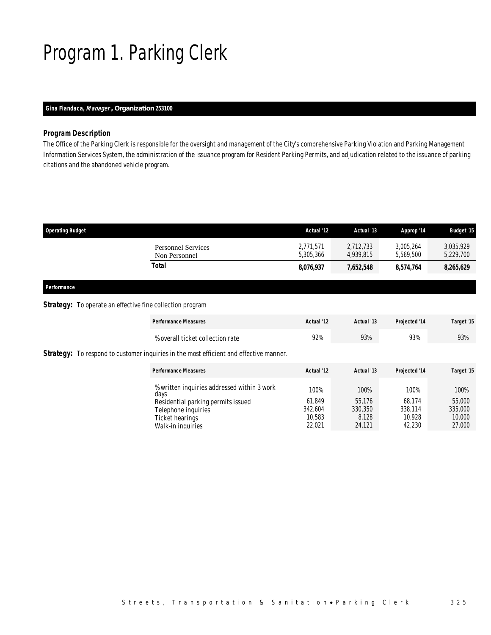## Program 1. Parking Clerk

## *Gina Fiandaca, Manager , Organization 253100*

### *Program Description*

The Office of the Parking Clerk is responsible for the oversight and management of the City's comprehensive Parking Violation and Parking Management Information Services System, the administration of the issuance program for Resident Parking Permits, and adjudication related to the issuance of parking citations and the abandoned vehicle program.

| <b>Operating Budget</b>                    | Actual '12             | Actual '13             | Approp '14             | <b>Budget '15</b>      |
|--------------------------------------------|------------------------|------------------------|------------------------|------------------------|
| <b>Personnel Services</b><br>Non Personnel | 2.771.571<br>5.305.366 | 2,712,733<br>4.939.815 | 3.005.264<br>5.569.500 | 3.035.929<br>5,229,700 |
| Total                                      | 8,076,937              | 7,652,548              | 8.574.764              | 8,265,629              |

## *Performance*

## *Strategy:* To operate an effective fine collection program

| <b>Performance Measures</b>                                                                       | Actual '12                            | Actual '13                           | Projected '14                         | Target '15                            |
|---------------------------------------------------------------------------------------------------|---------------------------------------|--------------------------------------|---------------------------------------|---------------------------------------|
| % overall ticket collection rate                                                                  | 92%                                   | 93%                                  | 93%                                   | 93%                                   |
| <b>Strategy:</b> To respond to customer inquiries in the most efficient and effective manner.     |                                       |                                      |                                       |                                       |
| <b>Performance Measures</b>                                                                       | Actual '12                            | Actual '13                           | Projected '14                         | Target '15                            |
| % written inquiries addressed within 3 work<br>days                                               | 100%                                  | 100%                                 | 100%                                  | 100%                                  |
| Residential parking permits issued<br>Telephone inquiries<br>Ticket hearings<br>Walk-in inquiries | 61.849<br>342,604<br>10.583<br>22,021 | 55.176<br>330,350<br>8.128<br>24,121 | 68.174<br>338,114<br>10.928<br>42.230 | 55,000<br>335,000<br>10,000<br>27,000 |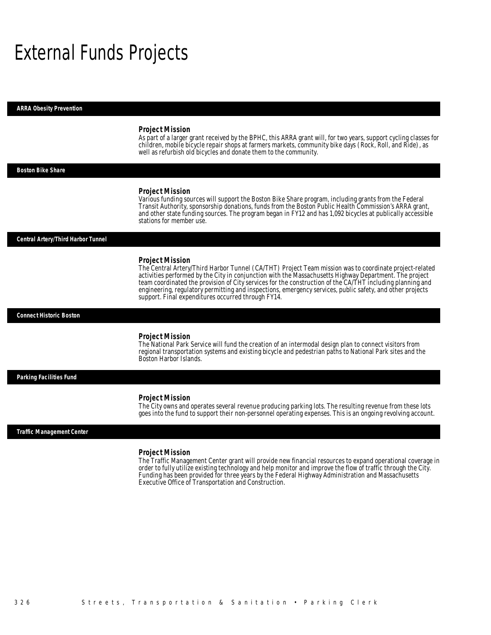## External Funds Projects

*ARRA Obesity Prevention* 

#### *Project Mission*

As part of a larger grant received by the BPHC, this ARRA grant will, for two years, support cycling classes for children, mobile bicycle repair shops at farmers markets, community bike days (Rock, Roll, and Ride), as well as refurbish old bicycles and donate them to the community.

*Boston Bike Share* 

#### *Project Mission*

Various funding sources will support the Boston Bike Share program, including grants from the Federal Transit Authority, sponsorship donations, funds from the Boston Public Health Commission's ARRA grant, and other state funding sources. The program began in FY12 and has 1,092 bicycles at publically accessible stations for member use.

#### *Central Artery/Third Harbor Tunnel*

#### *Project Mission*

The Central Artery/Third Harbor Tunnel (CA/THT) Project Team mission was to coordinate project-related activities performed by the City in conjunction with the Massachusetts Highway Department. The project team coordinated the provision of City services for the construction of the CA/THT including planning and engineering, regulatory permitting and inspections, emergency services, public safety, and other projects support. Final expenditures occurred through FY14.

*Connect Historic Boston* 

#### *Project Mission*

The National Park Service will fund the creation of an intermodal design plan to connect visitors from regional transportation systems and existing bicycle and pedestrian paths to National Park sites and the Boston Harbor Islands.

*Parking Facilities Fund* 

#### *Project Mission*

Ì

The City owns and operates several revenue producing parking lots. The resulting revenue from these lots goes into the fund to support their non-personnel operating expenses. This is an ongoing revolving account.

#### *Traffic Management Center*

#### *Project Mission*

The Traffic Management Center grant will provide new financial resources to expand operational coverage in order to fully utilize existing technology and help monitor and improve the flow of traffic through the City. Funding has been provided for three years by the Federal Highway Administration and Massachusetts Executive Office of Transportation and Construction.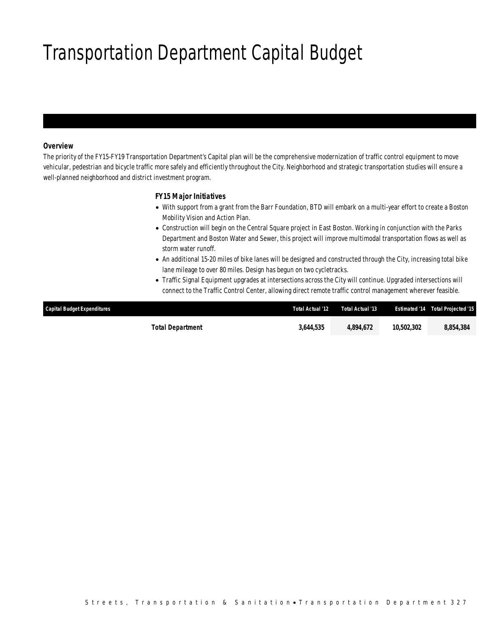## Transportation Department Capital Budget

## *Overview*

The priority of the FY15-FY19 Transportation Department's Capital plan will be the comprehensive modernization of traffic control equipment to move vehicular, pedestrian and bicycle traffic more safely and efficiently throughout the City. Neighborhood and strategic transportation studies will ensure a well-planned neighborhood and district investment program.

### *FY15 Major Initiatives*

- With support from a grant from the Barr Foundation, BTD will embark on a multi-year effort to create a Boston Mobility Vision and Action Plan.
- Construction will begin on the Central Square project in East Boston. Working in conjunction with the Parks Department and Boston Water and Sewer, this project will improve multimodal transportation flows as well as storm water runoff.
- An additional 15-20 miles of bike lanes will be designed and constructed through the City, increasing total bike lane mileage to over 80 miles. Design has begun on two cycletracks.
- Traffic Signal Equipment upgrades at intersections across the City will continue. Upgraded intersections will connect to the Traffic Control Center, allowing direct remote traffic control management wherever feasible.

| <b>Capital Budget Expenditures</b> | Total Actual '12 | Total Actual '13 |            | <b>Estimated '14 Total Projected '15</b> |
|------------------------------------|------------------|------------------|------------|------------------------------------------|
| Total Department                   | 3,644,535        | 4.894.672        | 10,502,302 | 8,854,384                                |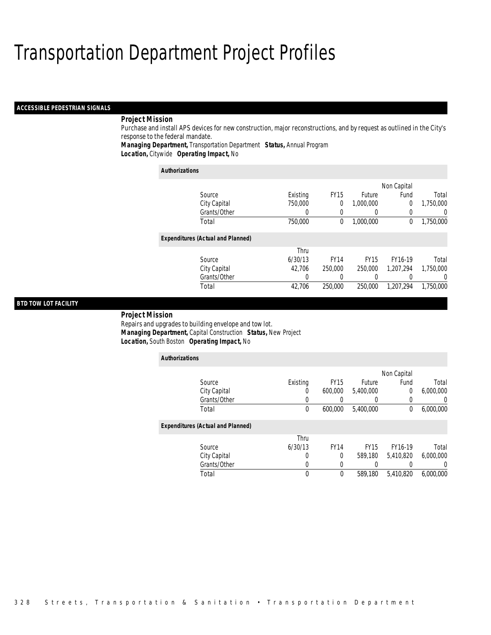### *ACCESSIBLE PEDESTRIAN SIGNALS*

## *Project Mission*

Purchase and install APS devices for new construction, major reconstructions, and by request as outlined in the City's response to the federal mandate.

*Managing Department,* Transportation Department *Status,* Annual Program

*Location,* Citywide *Operating Impact,* No

| <b>Authorizations</b>                    |          |             |             |             |                  |
|------------------------------------------|----------|-------------|-------------|-------------|------------------|
|                                          |          |             |             | Non Capital |                  |
| Source                                   | Existing | <b>FY15</b> | Future      | Fund        | Total            |
| City Capital                             | 750,000  | 0           | 1,000,000   | 0           | 1,750,000        |
| Grants/Other                             | 0        | 0           |             | 0           | $\left( \right)$ |
| Total                                    | 750,000  | 0           | 1,000,000   | 0           | 1,750,000        |
| <b>Expenditures (Actual and Planned)</b> |          |             |             |             |                  |
|                                          | Thru     |             |             |             |                  |
| Source                                   | 6/30/13  | <b>FY14</b> | <b>FY15</b> | FY16-19     | Total            |
| City Capital                             | 42.706   | 250,000     | 250,000     | 1.207.294   | 1.750.000        |
| Grants/Other                             | 0        | 0           | 0           | 0           | 0                |
| Total                                    | 42.706   | 250,000     | 250,000     | 1.207.294   | 1.750.000        |

### *BTD TOW LOT FACILITY*

#### *Project Mission*

Repairs and upgrades to building envelope and tow lot. *Managing Department,* Capital Construction *Status,* New Project *Location,* South Boston *Operating Impact,* No

| <b>Authorizations</b>                    |          |             |             |             |                  |
|------------------------------------------|----------|-------------|-------------|-------------|------------------|
|                                          |          |             |             | Non Capital |                  |
| Source                                   | Existing | <b>FY15</b> | Future      | Fund        | Total            |
| City Capital                             | U        | 600,000     | 5,400,000   | $\theta$    | 6,000,000        |
| Grants/Other                             | 0        |             |             | $\Omega$    | $\left( \right)$ |
| Total                                    | 0        | 600.000     | 5,400,000   | 0           | 6,000,000        |
| <b>Expenditures (Actual and Planned)</b> |          |             |             |             |                  |
|                                          | Thru     |             |             |             |                  |
| Source                                   | 6/30/13  | <b>FY14</b> | <b>FY15</b> | FY16-19     | Total            |
| City Capital                             | 0        | 0           | 589.180     | 5,410,820   | 6,000,000        |
| Grants/Other                             | 0        | 0           |             |             | U                |
| Total                                    | 0        | 0           | 589,180     | 5,410,820   | 6.000.000        |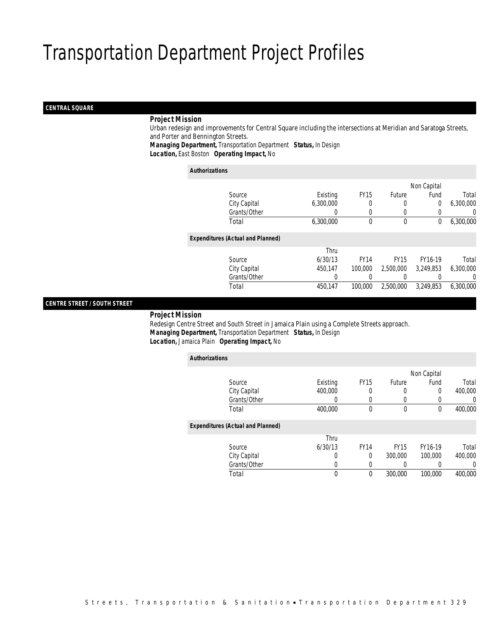#### *CENTRAL SQUARE*

### *Project Mission*

 Urban redesign and improvements for Central Square including the intersections at Meridian and Saratoga Streets, and Porter and Bennington Streets.

*Managing Department,* Transportation Department *Status,* In Design

*Location,* East Boston *Operating Impact,* No

#### *Authorizations*

*Authorizations*

|                                          |           |             |              | Non Capital    |           |
|------------------------------------------|-----------|-------------|--------------|----------------|-----------|
| Source                                   | Existing  | <b>FY15</b> | Future       | Fund           | Total     |
| City Capital                             | 6,300,000 |             | 0            | $\overline{0}$ | 6,300,000 |
| Grants/Other                             |           |             | 0            |                | 0         |
| Total                                    | 6,300,000 | $\theta$    | $\mathbf{0}$ | $\theta$       | 6,300,000 |
| <b>Expenditures (Actual and Planned)</b> |           |             |              |                |           |
|                                          | Thru      |             |              |                |           |
| Source                                   | 6/30/13   | <b>FY14</b> | <b>FY15</b>  | FY16-19        | Total     |
| City Capital                             | 450,147   | 100,000     | 2,500,000    | 3.249.853      | 6,300,000 |
| Grants/Other                             | 0         |             |              |                | 0         |
| Total                                    | 450.147   | 100,000     | 2,500,000    | 3,249,853      | 6,300,000 |

## *CENTRE STREET / SOUTH STREET*

*Project Mission*

 Redesign Centre Street and South Street in Jamaica Plain using a Complete Streets approach. *Managing Department,* Transportation Department *Status,* In Design *Location,* Jamaica Plain *Operating Impact,* No

| <b>AUUIVIILAUVIIS</b> |                                          |          |             |                  |             |         |
|-----------------------|------------------------------------------|----------|-------------|------------------|-------------|---------|
|                       |                                          |          |             |                  | Non Capital |         |
|                       | Source                                   | Existing | <b>FY15</b> | <b>Future</b>    | Fund        | Total   |
|                       | City Capital                             | 400,000  | 0           | $\left($         | 0           | 400,000 |
|                       | Grants/Other                             |          |             | $\left( \right)$ |             | 0       |
|                       | Total                                    | 400,000  | 0           | $\mathbf 0$      | 0           | 400,000 |
|                       | <b>Expenditures (Actual and Planned)</b> |          |             |                  |             |         |
|                       |                                          | Thru     |             |                  |             |         |
|                       | Source                                   | 6/30/13  | <b>FY14</b> | <b>FY15</b>      | FY16-19     | Total   |
|                       | City Capital                             | 0        | $\Omega$    | 300,000          | 100,000     | 400,000 |
|                       | Grants/Other                             | 0        |             |                  |             | 0       |
|                       | Total                                    | 0        | $\theta$    | 300,000          | 100,000     | 400,000 |
|                       |                                          |          |             |                  |             |         |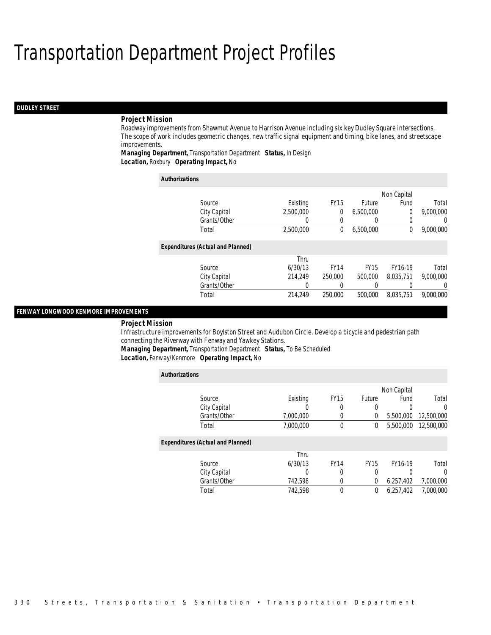### *DUDLEY STREET*

### *Project Mission*

Roadway improvements from Shawmut Avenue to Harrison Avenue including six key Dudley Square intersections. The scope of work includes geometric changes, new traffic signal equipment and timing, bike lanes, and streetscape improvements.

*Managing Department,* Transportation Department *Status,* In Design *Location,* Roxbury *Operating Impact,* No

| <b>Authorizations</b>                    |                  |             |             |             |                  |
|------------------------------------------|------------------|-------------|-------------|-------------|------------------|
|                                          |                  |             |             | Non Capital |                  |
| Source                                   | Existing         | <b>FY15</b> | Future      | Fund        | Total            |
| City Capital                             | 2.500.000        | 0           | 6,500,000   | 0           | 9.000.000        |
| Grants/Other                             | $\left( \right)$ | $\left($    |             | 0           | $\left( \right)$ |
| Total                                    | 2,500,000        | 0           | 6,500,000   | 0           | 9,000,000        |
| <b>Expenditures (Actual and Planned)</b> |                  |             |             |             |                  |
|                                          | Thru             |             |             |             |                  |
| Source                                   | 6/30/13          | <b>FY14</b> | <b>FY15</b> | FY16-19     | Total            |
| City Capital                             | 214.249          | 250,000     | 500,000     | 8,035,751   | 9.000.000        |
| Grants/Other                             | 0                | 0           |             |             | $\left($         |
| Total                                    | 214.249          | 250,000     | 500,000     | 8.035.751   | 9,000,000        |

#### *FENWAY LONGWOOD KENMORE IMPROVEMENTS*

*Project Mission* 

Infrastructure improvements for Boylston Street and Audubon Circle. Develop a bicycle and pedestrian path connecting the Riverway with Fenway and Yawkey Stations.

*Managing Department,* Transportation Department *Status,* To Be Scheduled

*Location,* Fenway/Kenmore *Operating Impact,* No

| <b>Authorizations</b>                    |           |             |             |             |            |
|------------------------------------------|-----------|-------------|-------------|-------------|------------|
|                                          |           |             |             | Non Capital |            |
| Source                                   | Existing  | <b>FY15</b> | Future      | Fund        | Total      |
| City Capital                             | 0         | 0           | 0           | 0           | $\Omega$   |
| Grants/Other                             | 7,000,000 | 0           | 0           | 5,500,000   | 12,500,000 |
| Total                                    | 7,000,000 | 0           | 0           | 5,500,000   | 12,500,000 |
| <b>Expenditures (Actual and Planned)</b> |           |             |             |             |            |
|                                          | Thru      |             |             |             |            |
| Source                                   | 6/30/13   | <b>FY14</b> | <b>FY15</b> | FY16-19     | Total      |
| City Capital                             | 0         | 0           | 0           | 0           | $\Omega$   |
| Grants/Other                             | 742.598   | 0           | $\Omega$    | 6,257,402   | 7,000,000  |
| Total                                    | 742,598   | 0           | 0           | 6.257.402   | 7.000.000  |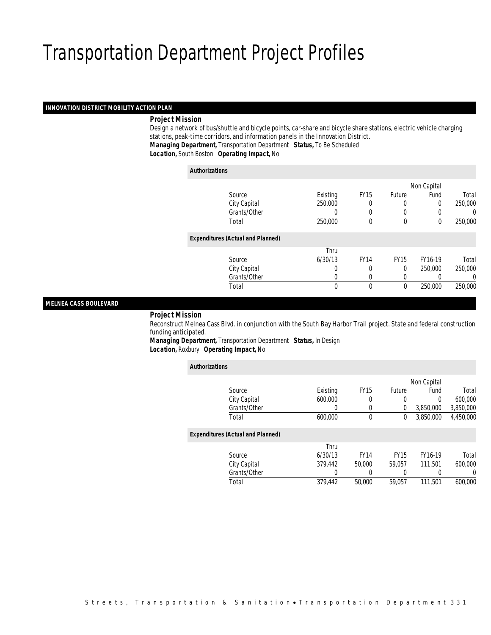### *INNOVATION DISTRICT MOBILITY ACTION PLAN*

### *Project Mission*

 Design a network of bus/shuttle and bicycle points, car-share and bicycle share stations, electric vehicle charging stations, peak-time corridors, and information panels in the Innovation District. *Managing Department,* Transportation Department *Status,* To Be Scheduled

*Location,* South Boston *Operating Impact,* No

#### *Authorizations*

|                                          |          |             |             | Non Capital |         |
|------------------------------------------|----------|-------------|-------------|-------------|---------|
| Source                                   | Existing | <b>FY15</b> | Future      | Fund        | Total   |
| City Capital                             | 250,000  | 0           |             | 0           | 250,000 |
| Grants/Other                             | 0        |             | $\left($    |             | 0       |
| Total                                    | 250,000  | $\theta$    | $\theta$    | $\theta$    | 250,000 |
| <b>Expenditures (Actual and Planned)</b> |          |             |             |             |         |
|                                          | Thru     |             |             |             |         |
| Source                                   | 6/30/13  | <b>FY14</b> | <b>FY15</b> | FY16-19     | Total   |
| City Capital                             | 0        | 0           | 0           | 250,000     | 250,000 |
| Grants/Other                             | 0        |             |             |             | 0       |
| Total                                    | 0        | $\theta$    | $\theta$    | 250,000     | 250,000 |
|                                          |          |             |             |             |         |

### *MELNEA CASS BOULEVARD*

*Project Mission*

 Reconstruct Melnea Cass Blvd. in conjunction with the South Bay Harbor Trail project. State and federal construction funding anticipated.

*Managing Department,* Transportation Department *Status,* In Design *Location,* Roxbury *Operating Impact,* No

| <b>Authorizations</b>                    |          |             |             |             |           |
|------------------------------------------|----------|-------------|-------------|-------------|-----------|
|                                          |          |             |             | Non Capital |           |
| Source                                   | Existing | <b>FY15</b> | Future      | Fund        | Total     |
| City Capital                             | 600,000  | 0           | 0           | 0           | 600,000   |
| Grants/Other                             | $\left($ | 0           | 0           | 3,850,000   | 3,850,000 |
| Total                                    | 600,000  | 0           | 0           | 3.850.000   | 4,450,000 |
| <b>Expenditures (Actual and Planned)</b> |          |             |             |             |           |
|                                          | Thru     |             |             |             |           |
| Source                                   | 6/30/13  | <b>FY14</b> | <b>FY15</b> | FY16-19     | Total     |
| City Capital                             | 379.442  | 50,000      | 59.057      | 111.501     | 600,000   |
| Grants/Other                             | 0        | 0           | 0           | 0           | 0         |
| Total                                    | 379.442  | 50,000      | 59.057      | 111.501     | 600,000   |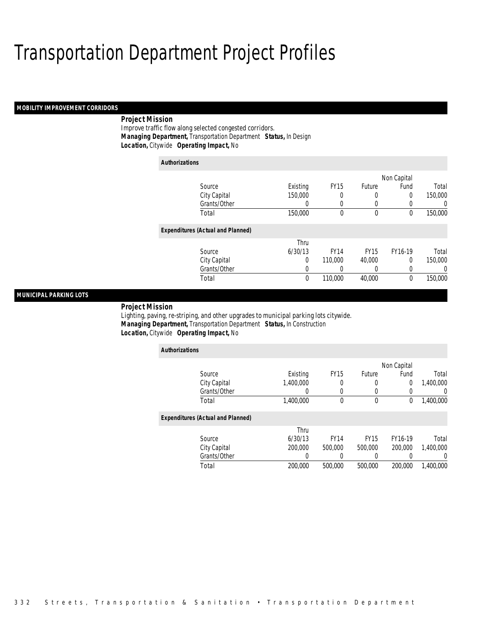### *MOBILITY IMPROVEMENT CORRIDORS*

### *Project Mission*

Improve traffic flow along selected congested corridors. *Managing Department,* Transportation Department *Status,* In Design *Location,* Citywide *Operating Impact,* No

| <b>Authorizations</b>                    |              |          |             |             |             |                |
|------------------------------------------|--------------|----------|-------------|-------------|-------------|----------------|
|                                          |              |          |             |             | Non Capital |                |
|                                          | Source       | Existing | <b>FY15</b> | Future      | Fund        | Total          |
|                                          | City Capital | 150,000  | 0           | 0           | $\Omega$    | 150,000        |
|                                          | Grants/Other | 0        | 0           | 0           | 0           | $\overline{0}$ |
| Total                                    |              | 150,000  | 0           | 0           | 0           | 150,000        |
| <b>Expenditures (Actual and Planned)</b> |              |          |             |             |             |                |
|                                          |              | Thru     |             |             |             |                |
|                                          | Source       | 6/30/13  | <b>FY14</b> | <b>FY15</b> | FY16-19     | Total          |
|                                          | City Capital | 0        | 110,000     | 40,000      | 0           | 150,000        |
|                                          | Grants/Other | 0        | 0           | 0           | 0           | 0              |
| Total                                    |              | 0        | 110,000     | 40,000      | 0           | 150,000        |

### *MUNICIPAL PARKING LOTS*

*Project Mission* 

Lighting, paving, re-striping, and other upgrades to municipal parking lots citywide. *Managing Department,* Transportation Department *Status,* In Construction *Location,* Citywide *Operating Impact,* No

| <b>Authorizations</b>                    |           |                  |             |                |           |
|------------------------------------------|-----------|------------------|-------------|----------------|-----------|
|                                          |           |                  |             | Non Capital    |           |
| Source                                   | Existing  | <b>FY15</b>      | Future      | Fund           | Total     |
| City Capital                             | 1.400.000 | 0                | 0           | $\overline{0}$ | 1.400.000 |
| Grants/Other                             |           | 0                | 0           | 0              |           |
| Total                                    | 1,400,000 | $\Omega$         | 0           | 0              | 1,400,000 |
| <b>Expenditures (Actual and Planned)</b> |           |                  |             |                |           |
|                                          | Thru      |                  |             |                |           |
| Source                                   | 6/30/13   | FY <sub>14</sub> | <b>FY15</b> | FY16-19        | Total     |
| City Capital                             | 200,000   | 500,000          | 500,000     | 200,000        | 1,400,000 |
| Grants/Other                             | 0         |                  | 0           | 0              |           |
| Total                                    | 200,000   | 500,000          | 500,000     | 200,000        | 1.400.000 |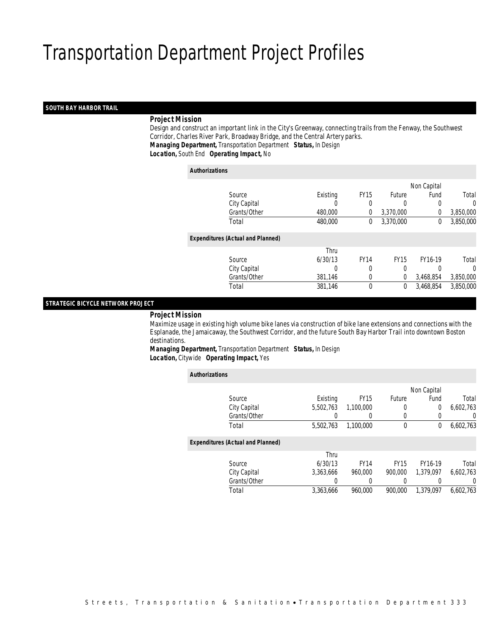#### *SOUTH BAY HARBOR TRAIL*

## *Project Mission*

 Design and construct an important link in the City's Greenway, connecting trails from the Fenway, the Southwest Corridor, Charles River Park, Broadway Bridge, and the Central Artery parks. *Managing Department,* Transportation Department *Status,* In Design *Location,* South End *Operating Impact,* No

*Authorizations*

|                                          |          |             |              | Non Capital |           |
|------------------------------------------|----------|-------------|--------------|-------------|-----------|
| Source                                   | Existing | <b>FY15</b> | Future       | Fund        | Total     |
| City Capital                             |          | 0           |              | 0           | O         |
| Grants/Other                             | 480,000  | 0           | 3,370,000    | 0           | 3,850,000 |
| Total                                    | 480,000  | $\theta$    | 3,370,000    | $^{0}$      | 3,850,000 |
| <b>Expenditures (Actual and Planned)</b> |          |             |              |             |           |
|                                          | Thru     |             |              |             |           |
| Source                                   | 6/30/13  | <b>FY14</b> | <b>FY15</b>  | FY16-19     | Total     |
| City Capital                             | 0        | 0           | 0            | 0           | 0         |
| Grants/Other                             | 381,146  | 0           | $\Omega$     | 3,468,854   | 3,850,000 |
| Total                                    | 381,146  | $\theta$    | $\mathbf{0}$ | 3,468,854   | 3,850,000 |
|                                          |          |             |              |             |           |

### *STRATEGIC BICYCLE NETWORK PROJECT*

#### *Project Mission*

 Maximize usage in existing high volume bike lanes via construction of bike lane extensions and connections with the Esplanade, the Jamaicaway, the Southwest Corridor, and the future South Bay Harbor Trail into downtown Boston destinations.

*Managing Department,* Transportation Department *Status,* In Design *Location,* Citywide *Operating Impact,* Yes

| <b>Authorizations</b>                    |           |             |             |             |           |
|------------------------------------------|-----------|-------------|-------------|-------------|-----------|
|                                          |           |             |             | Non Capital |           |
| Source                                   | Existing  | <b>FY15</b> | Future      | Fund        | Total     |
| City Capital                             | 5,502,763 | 1.100.000   | 0           | 0           | 6,602,763 |
| Grants/Other                             |           | 0           | 0           |             | 0         |
| Total                                    | 5,502,763 | 1,100,000   | 0           | 0           | 6,602,763 |
| <b>Expenditures (Actual and Planned)</b> |           |             |             |             |           |
|                                          | Thru      |             |             |             |           |
| Source                                   | 6/30/13   | <b>FY14</b> | <b>FY15</b> | FY16-19     | Total     |
| City Capital                             | 3,363,666 | 960.000     | 900.000     | 1.379.097   | 6,602,763 |
| Grants/Other                             | 0         | 0           | 0           |             | 0         |
| Total                                    | 3.363.666 | 960.000     | 900,000     | 1.379.097   | 6.602.763 |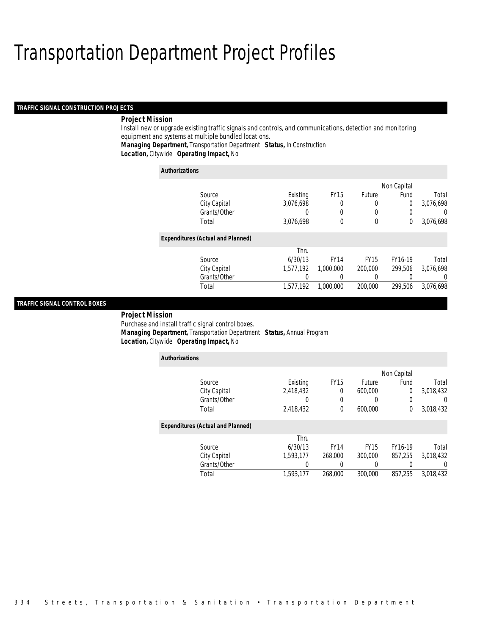## *TRAFFIC SIGNAL CONSTRUCTION PROJECTS*

### *Project Mission*

Install new or upgrade existing traffic signals and controls, and communications, detection and monitoring equipment and systems at multiple bundled locations.

*Managing Department,* Transportation Department *Status,* In Construction

*Location,* Citywide *Operating Impact,* No

| <b>Authorizations</b>                    |           |             |             |             |                  |
|------------------------------------------|-----------|-------------|-------------|-------------|------------------|
|                                          |           |             |             | Non Capital |                  |
| Source                                   | Existing  | <b>FY15</b> | Future      | Fund        | Total            |
| City Capital                             | 3,076,698 | 0           | 0           | 0           | 3,076,698        |
| Grants/Other                             |           |             | $\left($    | 0           | $\left( \right)$ |
| Total                                    | 3,076,698 | $\theta$    | $\mathbf 0$ | 0           | 3,076,698        |
| <b>Expenditures (Actual and Planned)</b> |           |             |             |             |                  |
|                                          | Thru      |             |             |             |                  |
| Source                                   | 6/30/13   | <b>FY14</b> | <b>FY15</b> | FY16-19     | Total            |
| City Capital                             | 1.577.192 | 1,000,000   | 200,000     | 299.506     | 3.076.698        |
| Grants/Other                             |           |             | 0           | $\left($    | $\left( \right)$ |
| Total                                    | 1,577,192 | 1.000.000   | 200,000     | 299.506     | 3.076.698        |

### *TRAFFIC SIGNAL CONTROL BOXES*

*Project Mission* 

Purchase and install traffic signal control boxes. *Managing Department,* Transportation Department *Status,* Annual Program *Location,* Citywide *Operating Impact,* No

| <b>Authorizations</b>                    |           |             |             |             |           |
|------------------------------------------|-----------|-------------|-------------|-------------|-----------|
|                                          |           |             |             | Non Capital |           |
| Source                                   | Existing  | <b>FY15</b> | Future      | Fund        | Total     |
| City Capital                             | 2,418,432 | $\theta$    | 600,000     | $\theta$    | 3,018,432 |
| Grants/Other                             |           | 0           |             |             | $\cup$    |
| Total                                    | 2,418,432 | $\theta$    | 600,000     | 0           | 3,018,432 |
| <b>Expenditures (Actual and Planned)</b> |           |             |             |             |           |
|                                          | Thru      |             |             |             |           |
| Source                                   | 6/30/13   | <b>FY14</b> | <b>FY15</b> | FY16-19     | Total     |
| City Capital                             | 1.593.177 | 268,000     | 300,000     | 857.255     | 3,018,432 |
| Grants/Other                             | 0         |             |             |             | 0         |
| Total                                    | 1,593,177 | 268,000     | 300,000     | 857.255     | 3,018,432 |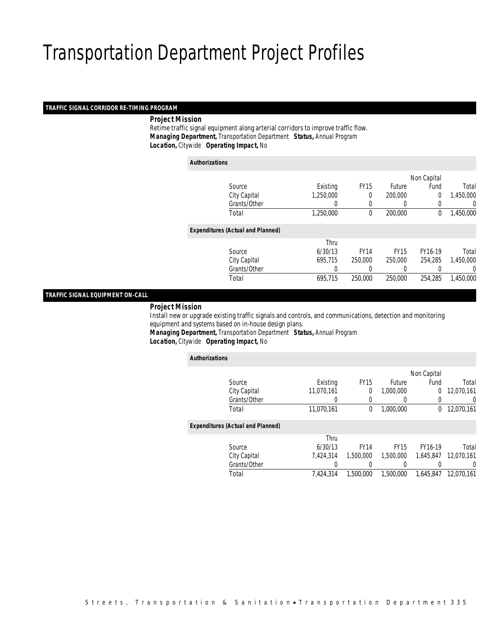#### *TRAFFIC SIGNAL CORRIDOR RE-TIMING PROGRAM*

*Project Mission*

 Retime traffic signal equipment along arterial corridors to improve traffic flow. *Managing Department,* Transportation Department *Status,* Annual Program *Location,* Citywide *Operating Impact,* No

> *Authorizations* Source **Existing** FY15 Future Non Capital Fund Total City Capital 1,250,000 0 200,000 0 1,450,000 Grants/Other 0 0 0 0 0 0 Total 1,250,000 0 200,000 0 1,450,000*Expenditures (Actual and Planned)* Source Thru 6/30/13 FY14 FY15 FY16-19 Total City Capital 695,715 250,000 250,000 254,285 1,450,000 Grants/Other 0 0 0 0 0 0 Total 695,715 250,000 250,000 254,285 1,450,000

### *TRAFFIC SIGNAL EQUIPMENT ON-CALL*

#### *Project Mission*

 Install new or upgrade existing traffic signals and controls, and communications, detection and monitoring equipment and systems based on in-house design plans.

*Managing Department,* Transportation Department *Status,* Annual Program *Location,* Citywide *Operating Impact,* No

| <b>Authorizations</b> |                                          |            |             |             |                |            |
|-----------------------|------------------------------------------|------------|-------------|-------------|----------------|------------|
|                       |                                          |            |             |             | Non Capital    |            |
|                       | Source                                   | Existing   | <b>FY15</b> | Future      | Fund           | Total      |
|                       | City Capital                             | 11,070,161 | 0           | 1,000,000   | $\overline{0}$ | 12,070,161 |
|                       | Grants/Other                             | 0          | 0           |             | 0              | 0          |
|                       | Total                                    | 11,070,161 | 0           | 1,000,000   | 0              | 12,070,161 |
|                       | <b>Expenditures (Actual and Planned)</b> |            |             |             |                |            |
|                       |                                          | Thru       |             |             |                |            |
|                       | Source                                   | 6/30/13    | <b>FY14</b> | <b>FY15</b> | FY16-19        | Total      |
|                       | City Capital                             | 7.424.314  | 1,500,000   | 1,500,000   | 1.645.847      | 12,070,161 |
|                       | Grants/Other                             | 0          | 0           | 0           | 0              | $\Omega$   |
|                       | Total                                    | 7,424,314  | 1,500,000   | 1.500.000   | 1.645.847      | 12.070.161 |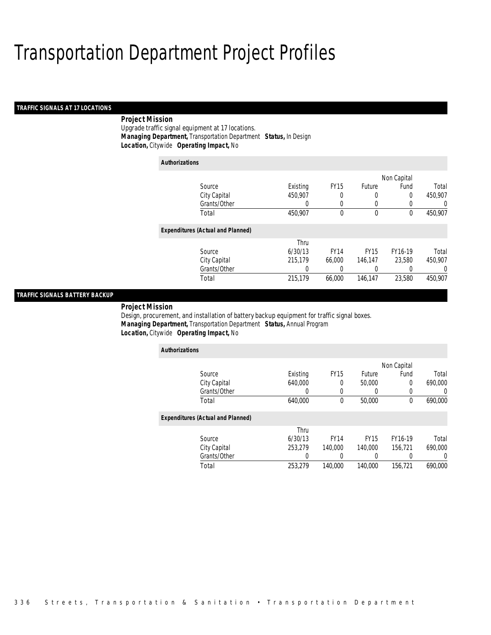### *TRAFFIC SIGNALS AT 17 LOCATIONS*

## *Project Mission*

Upgrade traffic signal equipment at 17 locations. *Managing Department,* Transportation Department *Status,* In Design *Location,* Citywide *Operating Impact,* No

## *Authorizations*

| <b>FY15</b><br>Existing<br>Future<br>Source<br>450,907<br>City Capital<br>0<br>0<br>Grants/Other |             |         |
|--------------------------------------------------------------------------------------------------|-------------|---------|
|                                                                                                  | Non Capital |         |
|                                                                                                  | Fund        | Total   |
|                                                                                                  | $\Omega$    | 450,907 |
| 0<br>0<br>0                                                                                      | 0           | 0       |
| $\mathbf 0$<br>$\mathbf 0$<br>Total<br>450,907                                                   | 0           | 450,907 |
| <b>Expenditures (Actual and Planned)</b>                                                         |             |         |
| Thru                                                                                             |             |         |
| <b>FY15</b><br>6/30/13<br><b>FY14</b><br>Source                                                  | FY16-19     | Total   |
| City Capital<br>215,179<br>66,000<br>146,147                                                     | 23,580      | 450.907 |
| Grants/Other<br>0                                                                                |             | 0       |
| 215,179<br>Total<br>66,000<br>146,147                                                            | 23,580      | 450.907 |

## *TRAFFIC SIGNALS BATTERY BACKUP*

*Project Mission* 

Design, procurement, and installation of battery backup equipment for traffic signal boxes. *Managing Department,* Transportation Department *Status,* Annual Program *Location,* Citywide *Operating Impact,* No

| <b>Authorizations</b>                    |          |             |             |         |                  |  |  |
|------------------------------------------|----------|-------------|-------------|---------|------------------|--|--|
|                                          |          |             | Non Capital |         |                  |  |  |
| Source                                   | Existing | <b>FY15</b> | Future      | Fund    | Total            |  |  |
| City Capital                             | 640.000  | 0           | 50,000      | 0       | 690,000          |  |  |
| Grants/Other                             | 0        | 0           |             | 0       | $\left( \right)$ |  |  |
| Total                                    | 640,000  | $\theta$    | 50,000      | 0       | 690,000          |  |  |
| <b>Expenditures (Actual and Planned)</b> |          |             |             |         |                  |  |  |
|                                          | Thru     |             |             |         |                  |  |  |
| Source                                   | 6/30/13  | <b>FY14</b> | <b>FY15</b> | FY16-19 | Total            |  |  |
| City Capital                             | 253,279  | 140,000     | 140,000     | 156.721 | 690,000          |  |  |
| Grants/Other                             | 0        |             |             |         | 0                |  |  |
| Total                                    | 253.279  | 140,000     | 140,000     | 156.721 | 690.000          |  |  |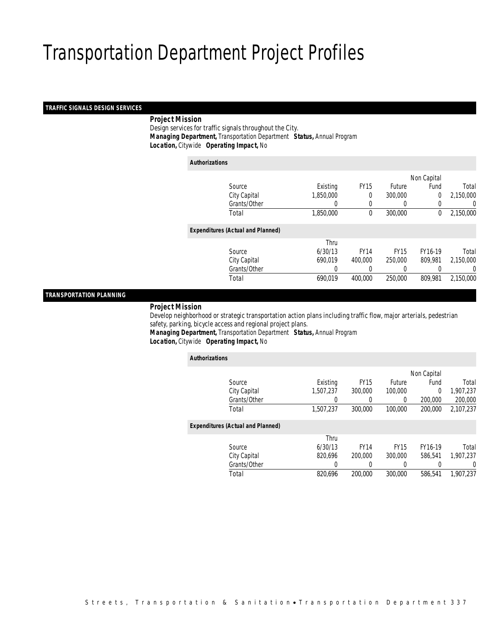### *TRAFFIC SIGNALS DESIGN SERVICES*

### *Project Mission*

 Design services for traffic signals throughout the City. *Managing Department,* Transportation Department *Status,* Annual Program *Location,* Citywide *Operating Impact,* No

| <b>Authorizations</b>                    |              |           |             |               |                |           |
|------------------------------------------|--------------|-----------|-------------|---------------|----------------|-----------|
|                                          |              |           |             |               | Non Capital    |           |
|                                          | Source       | Existing  | <b>FY15</b> | <b>Future</b> | Fund           | Total     |
|                                          | City Capital | 1.850.000 | $\theta$    | 300,000       | $\overline{0}$ | 2,150,000 |
|                                          | Grants/Other | 0         | 0           | $\left($      | 0              | 0         |
|                                          | Total        | 1,850,000 | 0           | 300,000       | 0              | 2,150,000 |
| <b>Expenditures (Actual and Planned)</b> |              |           |             |               |                |           |
|                                          |              | Thru      |             |               |                |           |
|                                          | Source       | 6/30/13   | <b>FY14</b> | <b>FY15</b>   | FY16-19        | Total     |
|                                          | City Capital | 690.019   | 400,000     | 250,000       | 809.981        | 2,150,000 |
|                                          | Grants/Other | 0         |             |               |                | 0         |
|                                          | Total        | 690,019   | 400.000     | 250,000       | 809,981        | 2,150,000 |
|                                          |              |           |             |               |                |           |

### *TRANSPORTATION PLANNING*

### *Project Mission*

 Develop neighborhood or strategic transportation action plans including traffic flow, major arterials, pedestrian safety, parking, bicycle access and regional project plans. *Managing Department,* Transportation Department *Status,* Annual Program

*Location,* Citywide *Operating Impact,* No

| <b>Authorizations</b>                    |              |           |             |               |             |           |
|------------------------------------------|--------------|-----------|-------------|---------------|-------------|-----------|
|                                          |              |           |             |               | Non Capital |           |
|                                          | Source       | Existing  | <b>FY15</b> | <b>Future</b> | Fund        | Total     |
|                                          | City Capital | 1.507.237 | 300,000     | 100,000       | 0           | 1.907.237 |
|                                          | Grants/Other | 0         |             | 0             | 200,000     | 200,000   |
|                                          | Total        | 1,507,237 | 300,000     | 100,000       | 200,000     | 2,107,237 |
| <b>Expenditures (Actual and Planned)</b> |              |           |             |               |             |           |
|                                          |              | Thru      |             |               |             |           |
|                                          | Source       | 6/30/13   | <b>FY14</b> | <b>FY15</b>   | FY16-19     | Total     |
|                                          | City Capital | 820.696   | 200,000     | 300,000       | 586.541     | 1.907.237 |
|                                          | Grants/Other |           |             |               |             | 0         |
|                                          | Total        | 820.696   | 200,000     | 300,000       | 586,541     | 1.907.237 |
|                                          |              |           |             |               |             |           |